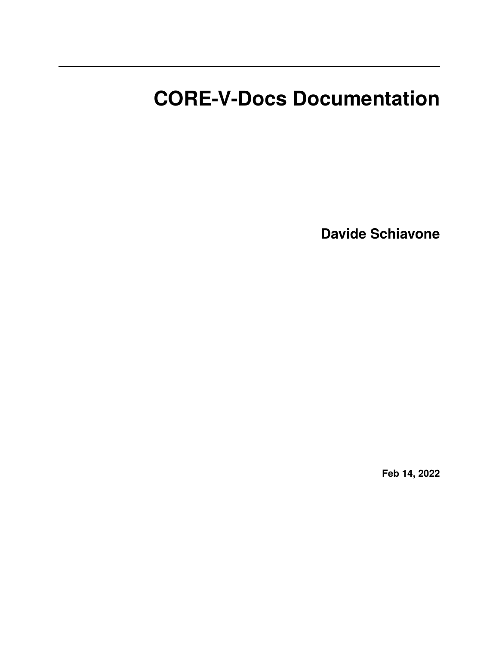# **CORE-V-Docs Documentation**

**Davide Schiavone**

**Feb 14, 2022**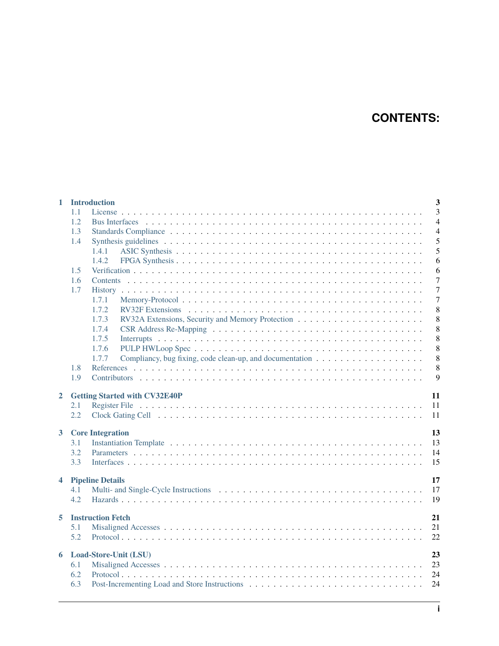# **CONTENTS:**

| $\mathbf{1}$                 |                 | $\overline{3}$<br><b>Introduction</b>                                                                        |  |  |  |  |  |  |  |  |  |
|------------------------------|-----------------|--------------------------------------------------------------------------------------------------------------|--|--|--|--|--|--|--|--|--|
|                              | 1.1             | 3                                                                                                            |  |  |  |  |  |  |  |  |  |
|                              | 1.2             | $\overline{4}$                                                                                               |  |  |  |  |  |  |  |  |  |
|                              | 1.3             | $\overline{4}$                                                                                               |  |  |  |  |  |  |  |  |  |
|                              | 1.4             | 5                                                                                                            |  |  |  |  |  |  |  |  |  |
|                              |                 | 5<br>1.4.1                                                                                                   |  |  |  |  |  |  |  |  |  |
|                              |                 | 1.4.2<br>6                                                                                                   |  |  |  |  |  |  |  |  |  |
|                              | 1.5             | 6                                                                                                            |  |  |  |  |  |  |  |  |  |
|                              | 1.6             | $\overline{7}$                                                                                               |  |  |  |  |  |  |  |  |  |
|                              | 1.7             | $\overline{7}$                                                                                               |  |  |  |  |  |  |  |  |  |
|                              |                 | 1.7.1<br>7                                                                                                   |  |  |  |  |  |  |  |  |  |
|                              |                 | 8<br>1.7.2                                                                                                   |  |  |  |  |  |  |  |  |  |
|                              |                 | 8<br>1.7.3                                                                                                   |  |  |  |  |  |  |  |  |  |
|                              |                 | 8<br>1.7.4                                                                                                   |  |  |  |  |  |  |  |  |  |
|                              |                 | 8<br>1.7.5                                                                                                   |  |  |  |  |  |  |  |  |  |
|                              |                 | 8<br>1.7.6                                                                                                   |  |  |  |  |  |  |  |  |  |
|                              |                 | 8<br>1.7.7<br>Compliancy, bug fixing, code clean-up, and documentation $\dots \dots \dots \dots \dots \dots$ |  |  |  |  |  |  |  |  |  |
|                              | 1.8             | 8                                                                                                            |  |  |  |  |  |  |  |  |  |
|                              | 1.9             | 9                                                                                                            |  |  |  |  |  |  |  |  |  |
|                              |                 |                                                                                                              |  |  |  |  |  |  |  |  |  |
| $\overline{2}$               |                 | 11<br><b>Getting Started with CV32E40P</b>                                                                   |  |  |  |  |  |  |  |  |  |
|                              | 2.1             | 11                                                                                                           |  |  |  |  |  |  |  |  |  |
|                              | 2.2             | 11                                                                                                           |  |  |  |  |  |  |  |  |  |
| $\mathbf{3}$                 |                 | 13<br><b>Core Integration</b>                                                                                |  |  |  |  |  |  |  |  |  |
|                              | 3.1             | 13                                                                                                           |  |  |  |  |  |  |  |  |  |
|                              | 3.2             | 14                                                                                                           |  |  |  |  |  |  |  |  |  |
|                              | 3.3             | 15                                                                                                           |  |  |  |  |  |  |  |  |  |
|                              |                 |                                                                                                              |  |  |  |  |  |  |  |  |  |
| <b>Pipeline Details</b><br>4 |                 |                                                                                                              |  |  |  |  |  |  |  |  |  |
|                              | 4.1             | 17                                                                                                           |  |  |  |  |  |  |  |  |  |
|                              | 4.2             | 19                                                                                                           |  |  |  |  |  |  |  |  |  |
|                              |                 |                                                                                                              |  |  |  |  |  |  |  |  |  |
| 5                            |                 | 21<br><b>Instruction Fetch</b>                                                                               |  |  |  |  |  |  |  |  |  |
|                              | 5.1             | 21                                                                                                           |  |  |  |  |  |  |  |  |  |
|                              | 5.2             | 22                                                                                                           |  |  |  |  |  |  |  |  |  |
| Load-Store-Unit (LSU)<br>6   |                 |                                                                                                              |  |  |  |  |  |  |  |  |  |
|                              | 23<br>23<br>6.1 |                                                                                                              |  |  |  |  |  |  |  |  |  |
|                              | 6.2             | 24                                                                                                           |  |  |  |  |  |  |  |  |  |
|                              | 6.3             | 24                                                                                                           |  |  |  |  |  |  |  |  |  |
|                              |                 |                                                                                                              |  |  |  |  |  |  |  |  |  |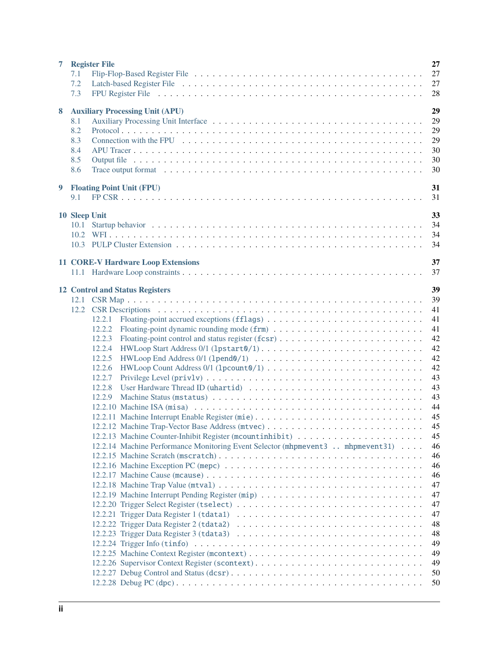| $\overline{7}$ |               | 27<br><b>Register File</b>                                                                                                                                                                                                           |
|----------------|---------------|--------------------------------------------------------------------------------------------------------------------------------------------------------------------------------------------------------------------------------------|
|                | 7.1           | 27                                                                                                                                                                                                                                   |
|                | 7.2           | 27                                                                                                                                                                                                                                   |
|                | 7.3           | 28                                                                                                                                                                                                                                   |
|                |               |                                                                                                                                                                                                                                      |
| 8              |               | 29<br><b>Auxiliary Processing Unit (APU)</b>                                                                                                                                                                                         |
|                | 8.1           | 29                                                                                                                                                                                                                                   |
|                | 8.2           | 29                                                                                                                                                                                                                                   |
|                | 8.3           | 29                                                                                                                                                                                                                                   |
|                | 8.4           | 30                                                                                                                                                                                                                                   |
|                | 8.5           | 30                                                                                                                                                                                                                                   |
|                | 8.6           | 30<br>Trace output format enterprise in the content of the content of the content of the content of the content of the content of the content of the content of the content of the content of the content of the content of the cont |
|                |               |                                                                                                                                                                                                                                      |
| 9              |               | 31<br><b>Floating Point Unit (FPU)</b>                                                                                                                                                                                               |
|                | 9.1           | 31                                                                                                                                                                                                                                   |
|                | 10 Sleep Unit | 33                                                                                                                                                                                                                                   |
|                |               | 34                                                                                                                                                                                                                                   |
|                |               | 34                                                                                                                                                                                                                                   |
|                |               |                                                                                                                                                                                                                                      |
|                |               | 34                                                                                                                                                                                                                                   |
|                |               | 37<br><b>11 CORE-V Hardware Loop Extensions</b>                                                                                                                                                                                      |
|                |               | 37                                                                                                                                                                                                                                   |
|                |               |                                                                                                                                                                                                                                      |
|                |               | 39<br><b>12 Control and Status Registers</b>                                                                                                                                                                                         |
|                |               | 39                                                                                                                                                                                                                                   |
|                |               | 41                                                                                                                                                                                                                                   |
|                |               | 41<br>12.2.1                                                                                                                                                                                                                         |
|                |               | 41<br>12.2.2                                                                                                                                                                                                                         |
|                |               | 42<br>12.2.3                                                                                                                                                                                                                         |
|                |               | 42<br>12.2.4                                                                                                                                                                                                                         |
|                |               | 42<br>12.2.5                                                                                                                                                                                                                         |
|                |               | 42<br>12.2.6                                                                                                                                                                                                                         |
|                |               | 43<br>12.2.7                                                                                                                                                                                                                         |
|                |               | 43<br>12.2.8                                                                                                                                                                                                                         |
|                |               | 43<br>12.2.9                                                                                                                                                                                                                         |
|                |               | 44                                                                                                                                                                                                                                   |
|                |               | 12.2.11 Machine Interrupt Enable Register (mie)<br>45                                                                                                                                                                                |
|                |               | 45                                                                                                                                                                                                                                   |
|                |               | 45                                                                                                                                                                                                                                   |
|                |               | 12.2.14 Machine Performance Monitoring Event Selector (mhpmevent3  mhpmevent31)<br>46                                                                                                                                                |
|                |               | 46                                                                                                                                                                                                                                   |
|                |               | 46                                                                                                                                                                                                                                   |
|                |               | 46                                                                                                                                                                                                                                   |
|                |               | 47                                                                                                                                                                                                                                   |
|                |               | 47                                                                                                                                                                                                                                   |
|                |               |                                                                                                                                                                                                                                      |
|                |               | 47<br>47                                                                                                                                                                                                                             |
|                |               | 48                                                                                                                                                                                                                                   |
|                |               |                                                                                                                                                                                                                                      |
|                |               | 48                                                                                                                                                                                                                                   |
|                |               | 49                                                                                                                                                                                                                                   |
|                |               | 49                                                                                                                                                                                                                                   |
|                |               | 49<br>12.2.26 Supervisor Context Register (scontext)                                                                                                                                                                                 |
|                |               | 50                                                                                                                                                                                                                                   |
|                |               | 50                                                                                                                                                                                                                                   |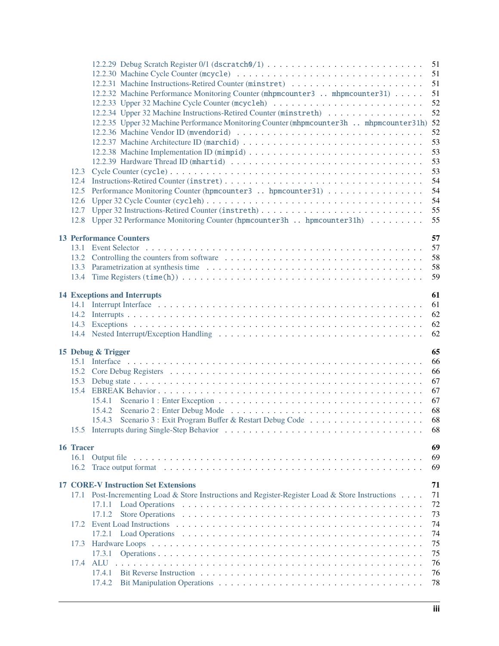|           |                                                                                                                                           | 51       |
|-----------|-------------------------------------------------------------------------------------------------------------------------------------------|----------|
|           |                                                                                                                                           | 51       |
|           | 12.2.31 Machine Instructions-Retired Counter (minstret)<br>12.2.32 Machine Performance Monitoring Counter (mhpmcounter 3  mhpmcounter 31) | 51<br>51 |
|           |                                                                                                                                           | 52       |
|           | 12.2.34 Upper 32 Machine Instructions-Retired Counter (minstreth)                                                                         | 52       |
|           | 12.2.35 Upper 32 Machine Performance Monitoring Counter (mhpmcounter 3h . mhpmcounter 31h) 52                                             |          |
|           |                                                                                                                                           | 52       |
|           |                                                                                                                                           | 53       |
|           |                                                                                                                                           | 53       |
|           |                                                                                                                                           | 53       |
|           |                                                                                                                                           | 53       |
|           |                                                                                                                                           | 54       |
|           | 12.5 Performance Monitoring Counter (hpmcounter3  hpmcounter31)                                                                           | 54       |
| 12.6      |                                                                                                                                           | 54       |
| 12.7      |                                                                                                                                           | 55       |
|           | 12.8 Upper 32 Performance Monitoring Counter (hpmcounter 3h . hpmcounter 31h)                                                             | 55       |
|           |                                                                                                                                           |          |
|           | <b>13 Performance Counters</b>                                                                                                            | 57       |
| 13.1      |                                                                                                                                           | 57       |
|           |                                                                                                                                           | 58       |
|           |                                                                                                                                           | 58       |
|           |                                                                                                                                           | 59       |
|           |                                                                                                                                           |          |
|           | <b>14 Exceptions and Interrupts</b>                                                                                                       | 61       |
|           |                                                                                                                                           | 61       |
|           |                                                                                                                                           | 62       |
|           |                                                                                                                                           | 62       |
|           |                                                                                                                                           | 62       |
|           | 15 Debug & Trigger                                                                                                                        | 65       |
|           |                                                                                                                                           | 66       |
|           |                                                                                                                                           | 66       |
|           |                                                                                                                                           | 67       |
|           |                                                                                                                                           | 67       |
|           |                                                                                                                                           | 67       |
|           |                                                                                                                                           | 68       |
|           | 15.4.3                                                                                                                                    | 68       |
|           |                                                                                                                                           | 68       |
|           |                                                                                                                                           |          |
| 16 Tracer |                                                                                                                                           | 69       |
| 16.1      |                                                                                                                                           | 69       |
| 16.2      |                                                                                                                                           | 69       |
|           | <b>17 CORE-V Instruction Set Extensions</b>                                                                                               | 71       |
|           | 17.1 Post-Incrementing Load & Store Instructions and Register-Register Load & Store Instructions                                          | 71       |
|           | 17.1.1                                                                                                                                    | 72       |
|           | 17.1.2                                                                                                                                    | 73       |
| 17.2      |                                                                                                                                           | 74       |
|           | 17.2.1                                                                                                                                    | 74       |
| 17.3      |                                                                                                                                           | 75       |
|           | 17.3.1                                                                                                                                    | 75       |
| 17.4      | <b>ALU</b>                                                                                                                                | 76       |
|           | 17.4.1                                                                                                                                    | 76       |
|           | 17.4.2                                                                                                                                    | 78       |
|           |                                                                                                                                           |          |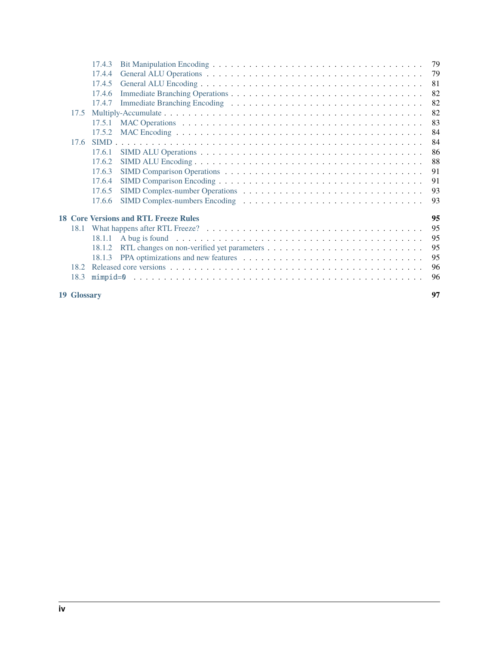| <b>19 Glossary</b> |        |                                              | 97  |
|--------------------|--------|----------------------------------------------|-----|
| 18.3               |        |                                              | 96  |
| 18.2               |        |                                              | 96  |
|                    | 18.1.3 |                                              | 95  |
|                    | 18.1.2 |                                              | 95  |
|                    | 18.1.1 |                                              | 95  |
|                    |        |                                              | 95  |
|                    |        | <b>18 Core Versions and RTL Freeze Rules</b> | 95  |
|                    | 17.6.6 |                                              | 93  |
|                    | 17.6.5 |                                              | 93  |
|                    | 17.6.4 |                                              | 91  |
|                    | 17.6.3 |                                              | 91  |
|                    | 17.6.2 |                                              | 88  |
|                    | 17.6.1 |                                              | 86  |
| 17.6               |        |                                              | 84  |
|                    | 17.5.2 |                                              | 84  |
|                    | 17.5.1 |                                              | 83  |
| 17.5               |        |                                              | 82  |
|                    | 17.4.7 |                                              | 82  |
|                    | 17.4.6 |                                              | 82  |
|                    | 17.4.5 |                                              | 81  |
|                    | 17.4.4 |                                              | 79  |
|                    | 17.4.3 |                                              | -79 |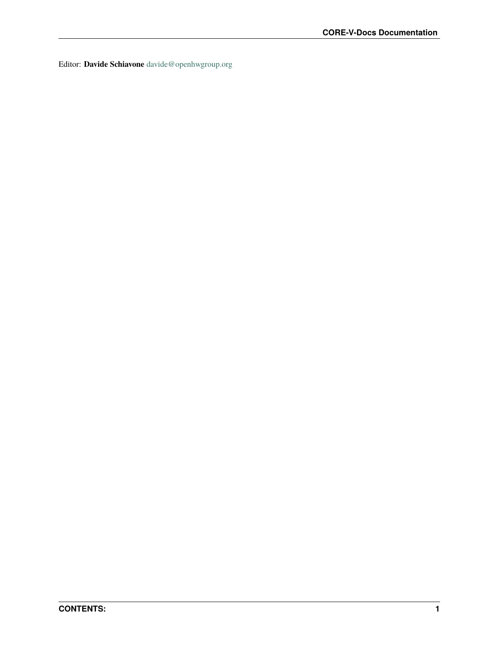Editor: **Davide Schiavone** [davide@openhwgroup.org](mailto:davide@openhwgroup.org?subject=CV32E40P%20User%20Manual)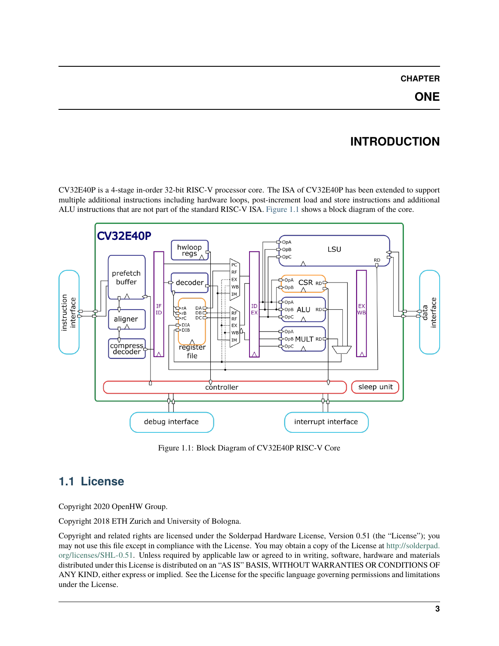#### **CHAPTER**

# **INTRODUCTION**

<span id="page-8-0"></span>CV32E40P is a 4-stage in-order 32-bit RISC-V processor core. The ISA of CV32E40P has been extended to support multiple additional instructions including hardware loops, post-increment load and store instructions and additional ALU instructions that are not part of the standard RISC-V ISA. [Figure](#page-8-2) [1.1](#page-8-2) shows a block diagram of the core.

<span id="page-8-2"></span>

Figure 1.1: Block Diagram of CV32E40P RISC-V Core

# <span id="page-8-1"></span>**1.1 License**

Copyright 2020 OpenHW Group.

Copyright 2018 ETH Zurich and University of Bologna.

Copyright and related rights are licensed under the Solderpad Hardware License, Version 0.51 (the "License"); you may not use this file except in compliance with the License. You may obtain a copy of the License at [http://solderpad.](http://solderpad.org/licenses/SHL-0.51) [org/licenses/SHL-0.51.](http://solderpad.org/licenses/SHL-0.51) Unless required by applicable law or agreed to in writing, software, hardware and materials distributed under this License is distributed on an "AS IS" BASIS, WITHOUT WARRANTIES OR CONDITIONS OF ANY KIND, either express or implied. See the License for the specific language governing permissions and limitations under the License.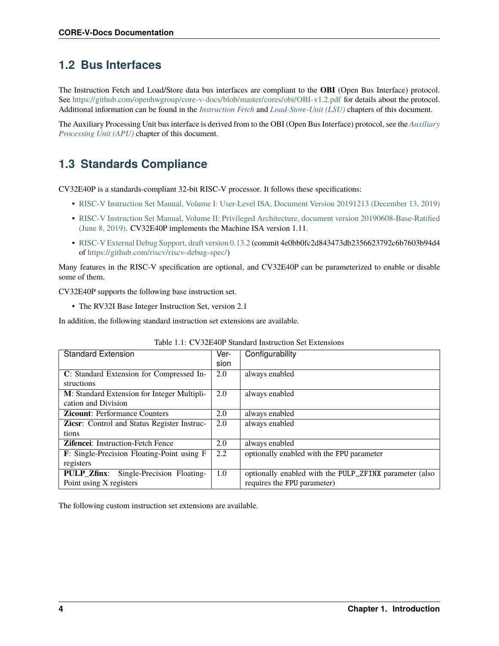#### <span id="page-9-0"></span>**1.2 Bus Interfaces**

The Instruction Fetch and Load/Store data bus interfaces are compliant to the **OBI** (Open Bus Interface) protocol. See <https://github.com/openhwgroup/core-v-docs/blob/master/cores/obi/OBI-v1.2.pdf> for details about the protocol. Additional information can be found in the *[Instruction Fetch](#page-26-0)* and *[Load-Store-Unit \(LSU\)](#page-28-0)* chapters of this document.

The Auxiliary Processing Unit bus interface is derived from to the OBI (Open Bus Interface) protocol, see the *[Auxiliary](#page-34-0) [Processing Unit \(APU\)](#page-34-0)* chapter of this document.

### <span id="page-9-1"></span>**1.3 Standards Compliance**

CV32E40P is a standards-compliant 32-bit RISC-V processor. It follows these specifications:

- [RISC-V Instruction Set Manual, Volume I: User-Level ISA, Document Version 20191213 \(December 13, 2019\)](https://github.com/riscv/riscv-isa-manual/releases/download/Ratified-IMAFDQC/riscv-spec-20191213.pdf)
- [RISC-V Instruction Set Manual, Volume II: Privileged Architecture, document version 20190608-Base-Ratified](https://github.com/riscv/riscv-isa-manual/releases/download/Ratified-IMFDQC-and-Priv-v1.11/riscv-privileged-20190608.pdf) [\(June 8, 2019\).](https://github.com/riscv/riscv-isa-manual/releases/download/Ratified-IMFDQC-and-Priv-v1.11/riscv-privileged-20190608.pdf) CV32E40P implements the Machine ISA version 1.11.
- [RISC-V External Debug Support, draft version 0.13.2](https://github.com/riscv/riscv-debug-spec/raw/release/riscv-debug-release.pdf) (commit 4e0bb0fc2d843473db2356623792c6b7603b94d4 of [https://github.com/riscv/riscv-debug-spec/\)](https://github.com/riscv/riscv-debug-spec/)

Many features in the RISC-V specification are optional, and CV32E40P can be parameterized to enable or disable some of them.

CV32E40P supports the following base instruction set.

• The RV32I Base Integer Instruction Set, version 2.1

In addition, the following standard instruction set extensions are available.

| <b>Standard Extension</b>                          | Ver- | Configurability                                        |
|----------------------------------------------------|------|--------------------------------------------------------|
|                                                    | sion |                                                        |
| C: Standard Extension for Compressed In-           | 2.0  | always enabled                                         |
| structions                                         |      |                                                        |
| M: Standard Extension for Integer Multipli-        | 2.0  | always enabled                                         |
| cation and Division                                |      |                                                        |
| <b>Zicount:</b> Performance Counters               | 2.0  | always enabled                                         |
| <b>Zicsr:</b> Control and Status Register Instruc- | 2.0  | always enabled                                         |
| tions                                              |      |                                                        |
| <b>Zifencei:</b> Instruction-Fetch Fence           | 2.0  | always enabled                                         |
| F: Single-Precision Floating-Point using F         | 2.2  | optionally enabled with the FPU parameter              |
| registers                                          |      |                                                        |
| Single-Precision Floating-<br><b>PULP Zfinx:</b>   | 1.0  | optionally enabled with the PULP_ZFINX parameter (also |
| Point using X registers                            |      | requires the FPU parameter)                            |

|--|

The following custom instruction set extensions are available.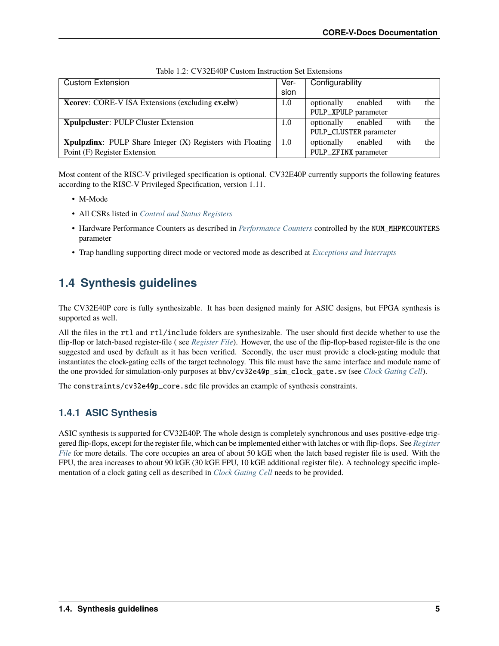| <b>Custom Extension</b>                                         | Ver- | Configurability                      |
|-----------------------------------------------------------------|------|--------------------------------------|
|                                                                 | sion |                                      |
| <b>Xcorey:</b> CORE-V ISA Extensions (excluding <b>cv.elw</b> ) | 1.0  | the<br>optionally<br>enabled<br>with |
|                                                                 |      | PULP_XPULP parameter                 |
| <b>Xpulpcluster: PULP Cluster Extension</b>                     | 1.0  | the<br>optionally<br>enabled<br>with |
|                                                                 |      | PULP_CLUSTER parameter               |
| Xpulpzfinx: PULP Share Integer (X) Registers with Floating      | -1.0 | the<br>optionally<br>with<br>enabled |
| Point (F) Register Extension                                    |      | PULP_ZFINX parameter                 |

Most content of the RISC-V privileged specification is optional. CV32E40P currently supports the following features according to the RISC-V Privileged Specification, version 1.11.

- M-Mode
- All CSRs listed in *[Control and Status Registers](#page-44-0)*
- Hardware Performance Counters as described in *[Performance Counters](#page-62-0)* controlled by the NUM\_MHPMCOUNTERS parameter
- Trap handling supporting direct mode or vectored mode as described at *[Exceptions and Interrupts](#page-66-0)*

### <span id="page-10-0"></span>**1.4 Synthesis guidelines**

The CV32E40P core is fully synthesizable. It has been designed mainly for ASIC designs, but FPGA synthesis is supported as well.

All the files in the rtl and rtl/include folders are synthesizable. The user should first decide whether to use the flip-flop or latch-based register-file ( see *[Register File](#page-32-0)*). However, the use of the flip-flop-based register-file is the one suggested and used by default as it has been verified. Secondly, the user must provide a clock-gating module that instantiates the clock-gating cells of the target technology. This file must have the same interface and module name of the one provided for simulation-only purposes at bhv/cv32e40p\_sim\_clock\_gate.sv (see *[Clock Gating Cell](#page-16-2)*).

The constraints/cv32e40p\_core.sdc file provides an example of synthesis constraints.

#### <span id="page-10-1"></span>**1.4.1 ASIC Synthesis**

ASIC synthesis is supported for CV32E40P. The whole design is completely synchronous and uses positive-edge triggered flip-flops, except for the register file, which can be implemented either with latches or with flip-flops. See *[Register](#page-32-0) [File](#page-32-0)* for more details. The core occupies an area of about 50 kGE when the latch based register file is used. With the FPU, the area increases to about 90 kGE (30 kGE FPU, 10 kGE additional register file). A technology specific implementation of a clock gating cell as described in *[Clock Gating Cell](#page-16-2)* needs to be provided.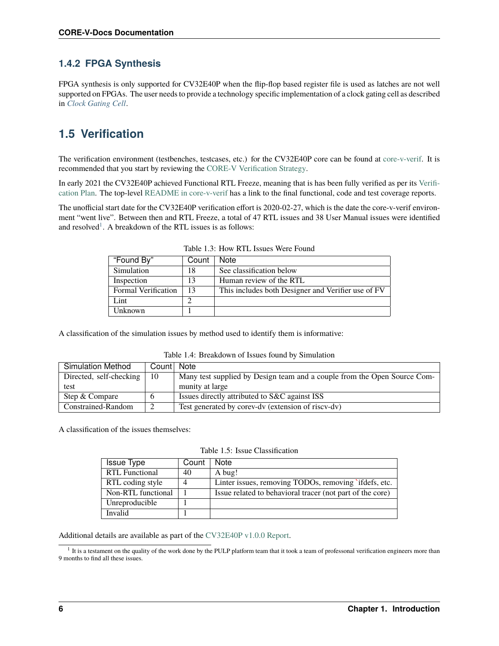#### <span id="page-11-0"></span>**1.4.2 FPGA Synthesis**

FPGA synthesis is only supported for CV32E40P when the flip-flop based register file is used as latches are not well supported on FPGAs. The user needs to provide a technology specific implementation of a clock gating cell as described in *[Clock Gating Cell](#page-16-2)*.

## <span id="page-11-1"></span>**1.5 Verification**

The verification environment (testbenches, testcases, etc.) for the CV32E40P core can be found at [core-v-verif.](https://github.com/openhwgroup/core-v-verif) It is recommended that you start by reviewing the [CORE-V Verification Strategy.](https://core-v-docs-verif-strat.readthedocs.io/en/latest/)

In early 2021 the CV32E40P achieved Functional RTL Freeze, meaning that is has been fully verified as per its [Verifi](https://github.com/openhwgroup/core-v-docs/blob/master/verif/CV32E40P/README.md)[cation Plan.](https://github.com/openhwgroup/core-v-docs/blob/master/verif/CV32E40P/README.md) The top-level [README in core-v-verif](https://github.com/openhwgroup/core-v-verif#cv32e40p-coverage-data) has a link to the final functional, code and test coverage reports.

The unofficial start date for the CV32E40P verification effort is 2020-02-27, which is the date the core-v-verif environment "went live". Between then and RTL Freeze, a total of 47 RTL issues and 38 User Manual issues were identified and resolved<sup>[1](#page-11-2)</sup>. A breakdown of the RTL issues is as follows:

| "Found By"                 | Count | <b>Note</b>                                        |
|----------------------------|-------|----------------------------------------------------|
| Simulation                 | 18    | See classification below                           |
| Inspection                 | 13    | Human review of the RTL                            |
| <b>Formal Verification</b> | 13    | This includes both Designer and Verifier use of FV |
| Lint                       |       |                                                    |
| Unknown                    |       |                                                    |

Table 1.3: How RTL Issues Were Found

A classification of the simulation issues by method used to identify them is informative:

| <b>Simulation Method</b> | Count   Note |                                                                          |  |  |  |
|--------------------------|--------------|--------------------------------------------------------------------------|--|--|--|
| Directed, self-checking  | -10          | Many test supplied by Design team and a couple from the Open Source Com- |  |  |  |
| test                     |              | munity at large                                                          |  |  |  |
| Step & Compare           | $\sigma$     | Issues directly attributed to S&C against ISS                            |  |  |  |
| Constrained-Random       | 2            | Test generated by corev-dv (extension of riscv-dv)                       |  |  |  |

Table 1.4: Breakdown of Issues found by Simulation

A classification of the issues themselves:

Table 1.5: Issue Classification

| <b>Issue Type</b>     | Count | <b>Note</b>                                               |
|-----------------------|-------|-----------------------------------------------------------|
| <b>RTL Functional</b> | 40    | A bug!                                                    |
| RTL coding style      | 4     | Linter issues, removing TODOs, removing `ifdefs, etc.     |
| Non-RTL functional    |       | Issue related to behavioral tracer (not part of the core) |
| Unreproducible        |       |                                                           |
| Invalid               |       |                                                           |

Additional details are available as part of the [CV32E40P v1.0.0 Report.](https://github.com/openhwgroup/core-v-docs/tree/master/program/milestones/CV32E40P/RTL_Freeze_v1.0.0)

<span id="page-11-2"></span><sup>&</sup>lt;sup>1</sup> It is a testament on the quality of the work done by the PULP platform team that it took a team of professonal verification engineers more than 9 months to find all these issues.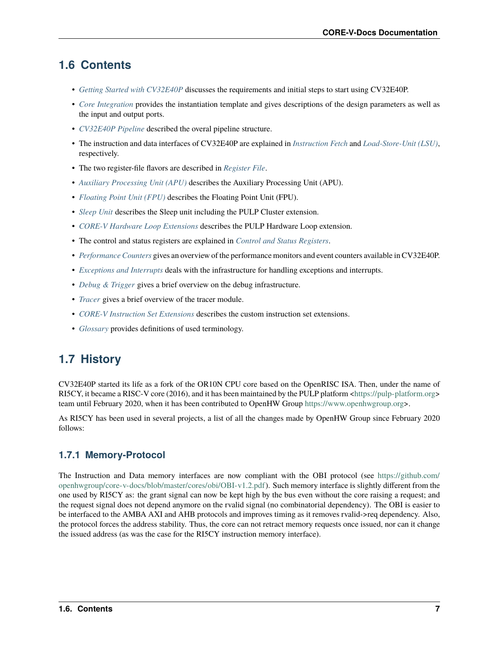#### <span id="page-12-0"></span>**1.6 Contents**

- *[Getting Started with CV32E40P](#page-16-0)* discusses the requirements and initial steps to start using CV32E40P.
- *[Core Integration](#page-18-0)* provides the instantiation template and gives descriptions of the design parameters as well as the input and output ports.
- *[CV32E40P Pipeline](#page-21-0)* described the overal pipeline structure.
- The instruction and data interfaces of CV32E40P are explained in *[Instruction Fetch](#page-26-0)* and *[Load-Store-Unit \(LSU\)](#page-28-0)*, respectively.
- The two register-file flavors are described in *[Register File](#page-32-0)*.
- *[Auxiliary Processing Unit \(APU\)](#page-34-0)* describes the Auxiliary Processing Unit (APU).
- *[Floating Point Unit \(FPU\)](#page-36-0)* describes the Floating Point Unit (FPU).
- *[Sleep Unit](#page-38-0)* describes the Sleep unit including the PULP Cluster extension.
- *[CORE-V Hardware Loop Extensions](#page-42-0)* describes the PULP Hardware Loop extension.
- The control and status registers are explained in *[Control and Status Registers](#page-44-0)*.
- *[Performance Counters](#page-62-0)* gives an overview of the performance monitors and event counters available in CV32E40P.
- *[Exceptions and Interrupts](#page-66-0)* deals with the infrastructure for handling exceptions and interrupts.
- *[Debug & Trigger](#page-70-0)* gives a brief overview on the debug infrastructure.
- *[Tracer](#page-74-0)* gives a brief overview of the tracer module.
- *[CORE-V Instruction Set Extensions](#page-76-0)* describes the custom instruction set extensions.
- *[Glossary](#page-102-0)* provides definitions of used terminology.

### <span id="page-12-1"></span>**1.7 History**

CV32E40P started its life as a fork of the OR10N CPU core based on the OpenRISC ISA. Then, under the name of RI5CY, it became a RISC-V core (2016), and it has been maintained by the PULP platform [<https://pulp-platform.org>](https://pulp-platform.org) team until February 2020, when it has been contributed to OpenHW Group [https://www.openhwgroup.org>](https://www.openhwgroup.org).

As RI5CY has been used in several projects, a list of all the changes made by OpenHW Group since February 2020 follows:

#### <span id="page-12-2"></span>**1.7.1 Memory-Protocol**

The Instruction and Data memory interfaces are now compliant with the OBI protocol (see [https://github.com/](https://github.com/openhwgroup/core-v-docs/blob/master/cores/obi/OBI-v1.2.pdf) [openhwgroup/core-v-docs/blob/master/cores/obi/OBI-v1.2.pdf\)](https://github.com/openhwgroup/core-v-docs/blob/master/cores/obi/OBI-v1.2.pdf). Such memory interface is slightly different from the one used by RI5CY as: the grant signal can now be kept high by the bus even without the core raising a request; and the request signal does not depend anymore on the rvalid signal (no combinatorial dependency). The OBI is easier to be interfaced to the AMBA AXI and AHB protocols and improves timing as it removes rvalid->req dependency. Also, the protocol forces the address stability. Thus, the core can not retract memory requests once issued, nor can it change the issued address (as was the case for the RI5CY instruction memory interface).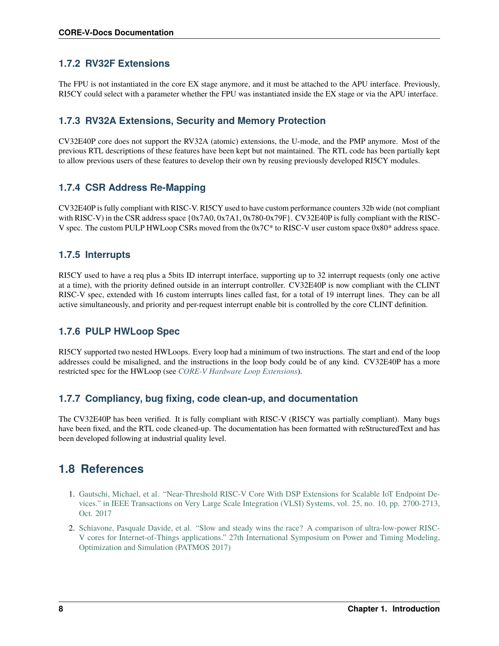#### <span id="page-13-0"></span>**1.7.2 RV32F Extensions**

The FPU is not instantiated in the core EX stage anymore, and it must be attached to the APU interface. Previously, RI5CY could select with a parameter whether the FPU was instantiated inside the EX stage or via the APU interface.

#### <span id="page-13-1"></span>**1.7.3 RV32A Extensions, Security and Memory Protection**

CV32E40P core does not support the RV32A (atomic) extensions, the U-mode, and the PMP anymore. Most of the previous RTL descriptions of these features have been kept but not maintained. The RTL code has been partially kept to allow previous users of these features to develop their own by reusing previously developed RI5CY modules.

#### <span id="page-13-2"></span>**1.7.4 CSR Address Re-Mapping**

CV32E40P is fully compliant with RISC-V. RI5CY used to have custom performance counters 32b wide (not compliant with RISC-V) in the CSR address space  $\{0x7A0, 0x7A1, 0x780-0x79F\}$ . CV32E40P is fully compliant with the RISC-V spec. The custom PULP HWLoop CSRs moved from the 0x7C\* to RISC-V user custom space 0x80\* address space.

#### <span id="page-13-3"></span>**1.7.5 Interrupts**

RI5CY used to have a req plus a 5bits ID interrupt interface, supporting up to 32 interrupt requests (only one active at a time), with the priority defined outside in an interrupt controller. CV32E40P is now compliant with the CLINT RISC-V spec, extended with 16 custom interrupts lines called fast, for a total of 19 interrupt lines. They can be all active simultaneously, and priority and per-request interrupt enable bit is controlled by the core CLINT definition.

#### <span id="page-13-4"></span>**1.7.6 PULP HWLoop Spec**

RI5CY supported two nested HWLoops. Every loop had a minimum of two instructions. The start and end of the loop addresses could be misaligned, and the instructions in the loop body could be of any kind. CV32E40P has a more restricted spec for the HWLoop (see *[CORE-V Hardware Loop Extensions](#page-42-0)*).

#### <span id="page-13-5"></span>**1.7.7 Compliancy, bug fixing, code clean-up, and documentation**

The CV32E40P has been verified. It is fully compliant with RISC-V (RI5CY was partially compliant). Many bugs have been fixed, and the RTL code cleaned-up. The documentation has been formatted with reStructuredText and has been developed following at industrial quality level.

#### <span id="page-13-6"></span>**1.8 References**

- 1. [Gautschi, Michael, et al. "Near-Threshold RISC-V Core With DSP Extensions for Scalable IoT Endpoint De](https://ieeexplore.ieee.org/document/7864441)[vices." in IEEE Transactions on Very Large Scale Integration \(VLSI\) Systems, vol. 25, no. 10, pp. 2700-2713,](https://ieeexplore.ieee.org/document/7864441) [Oct. 2017](https://ieeexplore.ieee.org/document/7864441)
- 2. [Schiavone, Pasquale Davide, et al. "Slow and steady wins the race? A comparison of ultra-low-power RISC-](https://doi.org/10.1109/PATMOS.2017.8106976)[V cores for Internet-of-Things applications." 27th International Symposium on Power and Timing Modeling,](https://doi.org/10.1109/PATMOS.2017.8106976) [Optimization and Simulation \(PATMOS 2017\)](https://doi.org/10.1109/PATMOS.2017.8106976)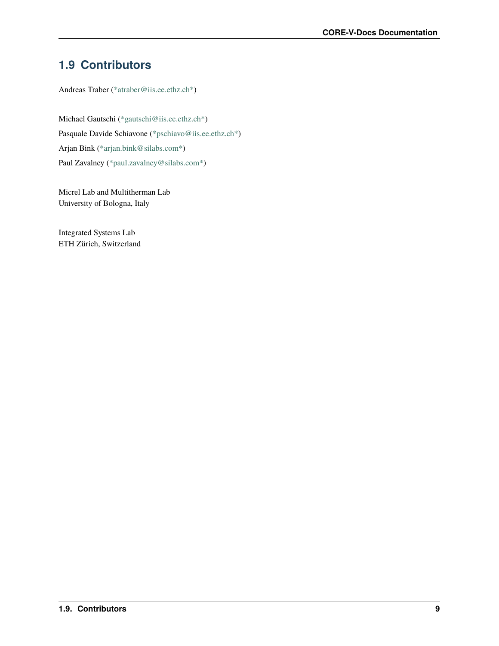# <span id="page-14-0"></span>**1.9 Contributors**

Andreas Traber [\(\\*atraber@iis.ee.ethz.ch\\*\)](mailto:atraber@iis.ee.ethz.ch)

Michael Gautschi [\(\\*gautschi@iis.ee.ethz.ch\\*\)](mailto:gautschi@iis.ee.ethz.ch) Pasquale Davide Schiavone [\(\\*pschiavo@iis.ee.ethz.ch\\*\)](mailto:pschiavo@iis.ee.ethz.ch) Arjan Bink [\(\\*arjan.bink@silabs.com\\*\)](mailto:arjan.bink@silabs.com) Paul Zavalney [\(\\*paul.zavalney@silabs.com\\*\)](mailto:paul.zavalney@silabs.com)

Micrel Lab and Multitherman Lab University of Bologna, Italy

Integrated Systems Lab ETH Zürich, Switzerland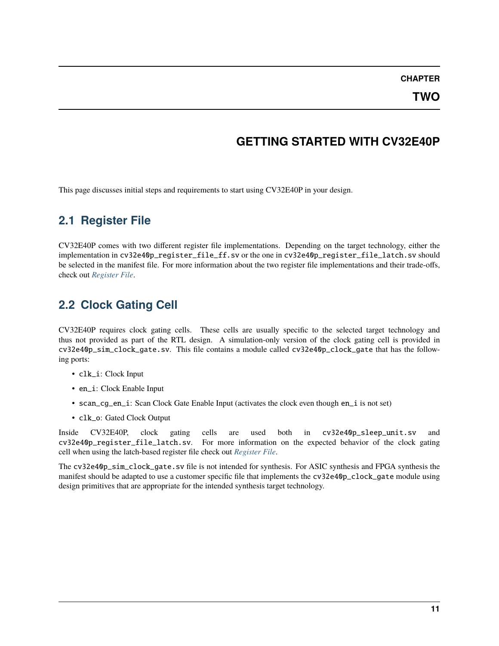**CHAPTER**

#### **GETTING STARTED WITH CV32E40P**

<span id="page-16-0"></span>This page discusses initial steps and requirements to start using CV32E40P in your design.

#### <span id="page-16-1"></span>**2.1 Register File**

CV32E40P comes with two different register file implementations. Depending on the target technology, either the implementation in cv32e40p\_register\_file\_ff.sv or the one in cv32e40p\_register\_file\_latch.sv should be selected in the manifest file. For more information about the two register file implementations and their trade-offs, check out *[Register File](#page-32-0)*.

#### <span id="page-16-2"></span>**2.2 Clock Gating Cell**

CV32E40P requires clock gating cells. These cells are usually specific to the selected target technology and thus not provided as part of the RTL design. A simulation-only version of the clock gating cell is provided in cv32e40p\_sim\_clock\_gate.sv. This file contains a module called cv32e40p\_clock\_gate that has the following ports:

- clk\_i: Clock Input
- en\_i: Clock Enable Input
- scan\_cg\_en\_i: Scan Clock Gate Enable Input (activates the clock even though en\_i is not set)
- clk\_o: Gated Clock Output

Inside CV32E40P, clock gating cells are used both in cv32e40p\_sleep\_unit.sv and cv32e40p\_register\_file\_latch.sv. For more information on the expected behavior of the clock gating cell when using the latch-based register file check out *[Register File](#page-32-0)*.

The cv32e40p\_sim\_clock\_gate.sv file is not intended for synthesis. For ASIC synthesis and FPGA synthesis the manifest should be adapted to use a customer specific file that implements the cv32e40p\_clock\_gate module using design primitives that are appropriate for the intended synthesis target technology.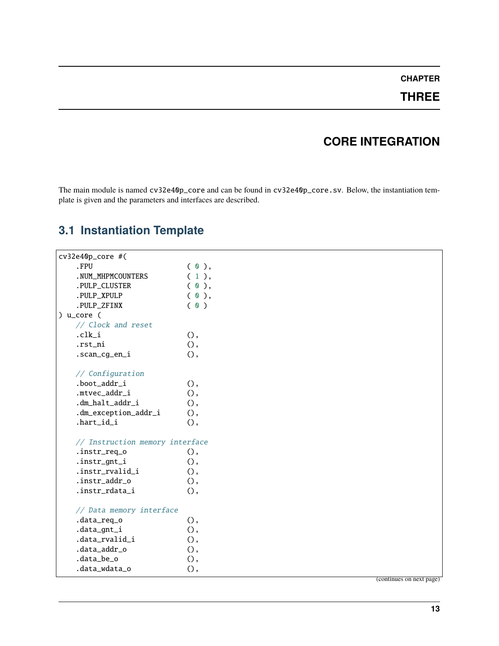#### **CHAPTER**

#### **THREE**

### **CORE INTEGRATION**

<span id="page-18-0"></span>The main module is named cv32e40p\_core and can be found in cv32e40p\_core.sv. Below, the instantiation template is given and the parameters and interfaces are described.

### <span id="page-18-1"></span>**3.1 Instantiation Template**

```
cv32e40p_core #(
  FPU ( 0 ),
  .NUM_MHPMCOUNTERS (1),
  .PULP_CLUSTER (0),
  .PULP_XPULP ( 0 ),
  .PULP_ZFINX ( 0 )
) u_core (
  // Clock and reset
  . c l k_i (),
  .rst_ni (),
  .scan_cg_en_i (),
  // Configuration
  .boot_addr_i (),
  .mtvec_addr_i (),
  .dm_halt_addr_i (),
  .dm_exception_addr_i (),
  .\text{hart_id}_i (),
  // Instruction memory interface
  .instr_req_o (),
  .instr_gnt_i (),
  .instr_rvalid_i (),
  .instr_addr_o (),
  .instr_rdata_i (),
  // Data memory interface
  .data_req_o (),
  .data_gnt_i (),
  .data_rvalid_i (),
  .data_addr_o (),
  .data_be_o (),
  .data_wdata_o (),
```
(continues on next page)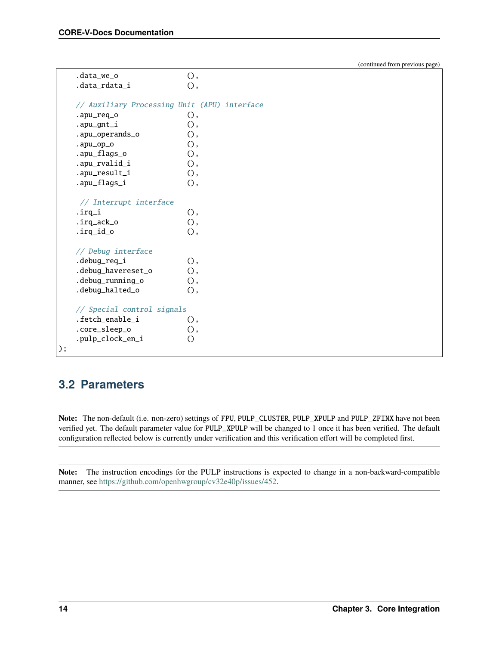(continued from previous page)

```
.data_we_o (),
  .data_rdata_i (),
  // Auxiliary Processing Unit (APU) interface
  .apu_req_o (),
  .apu_gnt_i (),
  .apu_operands_o (),
  apu_op_o (),
  .apu_flags_o (),
  .apu_rvalid_i (),
  .apu_result_i (),
  .apu_flags_i (),
   // Interrupt interface
  \text{irq}_i (),
  \text{irq}_\text{ack\_o} (),
  \text{irq_id_o} (),
  // Debug interface
  .debug_req_i (),
  .debug_havereset_o (),
  .debug_running_o (),
  .debug_halted_o (),
  // Special control signals
  .fetch_enable_i (),
  .core_sleep_o (),
  .pulp_clock_en_i ()
);
```
#### <span id="page-19-0"></span>**3.2 Parameters**

**Note:** The non-default (i.e. non-zero) settings of FPU, PULP\_CLUSTER, PULP\_XPULP and PULP\_ZFINX have not been verified yet. The default parameter value for PULP\_XPULP will be changed to 1 once it has been verified. The default configuration reflected below is currently under verification and this verification effort will be completed first.

**Note:** The instruction encodings for the PULP instructions is expected to change in a non-backward-compatible manner, see [https://github.com/openhwgroup/cv32e40p/issues/452.](https://github.com/openhwgroup/cv32e40p/issues/452)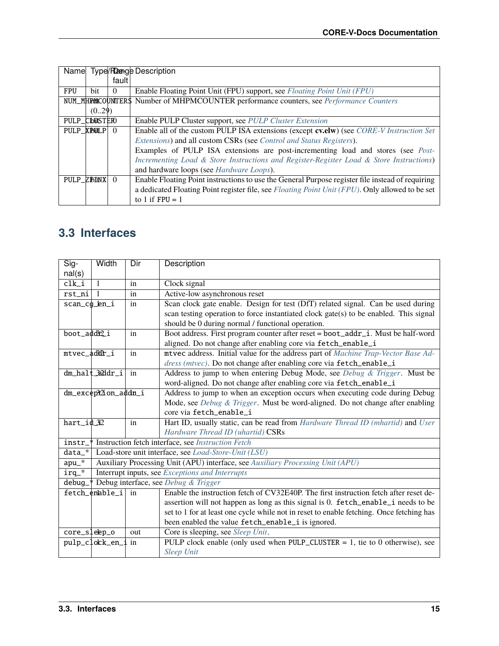|               |            |          | Name Type/Reangle Description                                                                    |
|---------------|------------|----------|--------------------------------------------------------------------------------------------------|
|               |            | fault    |                                                                                                  |
| <b>FPU</b>    | bit        | $\theta$ | Enable Floating Point Unit (FPU) support, see Floating Point Unit (FPU)                          |
|               |            |          | NUM_MHEMICOUNTER\$ Number of MHPMCOUNTER performance counters, see Performance Counters          |
|               | (029)      |          |                                                                                                  |
| PULP_CLUSTERO |            |          | Enable PULP Cluster support, see PULP Cluster Extension                                          |
|               | PULP XPULP | $\Omega$ | Enable all of the custom PULP ISA extensions (except cv.elw) (see <i>CORE-V Instruction Set</i>  |
|               |            |          | Extensions) and all custom CSRs (see Control and Status Registers).                              |
|               |            |          | Examples of PULP ISA extensions are post-incrementing load and stores (see Post-                 |
|               |            |          | Incrementing Load & Store Instructions and Register-Register Load & Store Instructions)          |
|               |            |          | and hardware loops (see <i>Hardware Loops</i> ).                                                 |
|               | PULP_ZEINX | $\theta$ | Enable Floating Point instructions to use the General Purpose register file instead of requiring |
|               |            |          | a dedicated Floating Point register file, see Floating Point Unit (FPU). Only allowed to be set  |
|               |            |          | to 1 if $FPU = 1$                                                                                |

### <span id="page-20-0"></span>**3.3 Interfaces**

| $\overline{Sig}$<br>nal(s)                                                              | Width                | Dir | Description                                                                              |
|-----------------------------------------------------------------------------------------|----------------------|-----|------------------------------------------------------------------------------------------|
| $clk_i$                                                                                 | $\overline{1}$       |     |                                                                                          |
|                                                                                         |                      | in  | Clock signal                                                                             |
| rst_ni                                                                                  | $\overline{1}$       | in  | Active-low asynchronous reset                                                            |
|                                                                                         | scan_cg_en_i         | in  | Scan clock gate enable. Design for test (DfT) related signal. Can be used during         |
|                                                                                         |                      |     | scan testing operation to force instantiated clock gate(s) to be enabled. This signal    |
|                                                                                         |                      |     | should be 0 during normal / functional operation.                                        |
| boot_addf2_i                                                                            |                      | in  | Boot address. First program counter after reset = boot_addr_i. Must be half-word         |
|                                                                                         |                      |     | aligned. Do not change after enabling core via fetch_enable_i                            |
| mtvec_addr_i                                                                            |                      | in  | mtvec address. Initial value for the address part of Machine Trap-Vector Base Ad-        |
|                                                                                         |                      |     | dress (mtvec). Do not change after enabling core via fetch_enable_i                      |
|                                                                                         | dm_halt_?addr_i      | in  | Address to jump to when entering Debug Mode, see Debug & Trigger. Must be                |
|                                                                                         |                      |     | word-aligned. Do not change after enabling core via fetch_enable_i                       |
|                                                                                         | dm_except2ion_addn_i |     | Address to jump to when an exception occurs when executing code during Debug             |
|                                                                                         |                      |     | Mode, see Debug & Trigger. Must be word-aligned. Do not change after enabling            |
|                                                                                         |                      |     | core via fetch_enable_i                                                                  |
| hart_id_32                                                                              |                      | in  | Hart ID, usually static, can be read from Hardware Thread ID (mhartid) and User          |
|                                                                                         |                      |     | Hardware Thread ID (uhartid) CSRs                                                        |
| Instruction fetch interface, see Instruction Fetch<br>instr_*                           |                      |     |                                                                                          |
| $data$ <sup>*</sup>                                                                     |                      |     | Load-store unit interface, see Load-Store-Unit (LSU)                                     |
| Auxiliary Processing Unit (APU) interface, see Auxiliary Processing Unit (APU)<br>apu_* |                      |     |                                                                                          |
| irq_*<br>Interrupt inputs, see Exceptions and Interrupts                                |                      |     |                                                                                          |
| Debug interface, see Debug & Trigger<br>$debug_$                                        |                      |     |                                                                                          |
|                                                                                         | fetch_enable_i in    |     | Enable the instruction fetch of CV32E40P. The first instruction fetch after reset de-    |
|                                                                                         |                      |     | assertion will not happen as long as this signal is 0. fetch_enable_i needs to be        |
|                                                                                         |                      |     | set to 1 for at least one cycle while not in reset to enable fetching. Once fetching has |
|                                                                                         |                      |     | been enabled the value fetch_enable_i is ignored.                                        |
|                                                                                         | core_sleep_o         | out | Core is sleeping, see Sleep Unit.                                                        |
|                                                                                         | pulp_clock_en_i in   |     | PULP clock enable (only used when PULP_CLUSTER = $1$ , tie to 0 otherwise), see          |
|                                                                                         |                      |     | <b>Sleep Unit</b>                                                                        |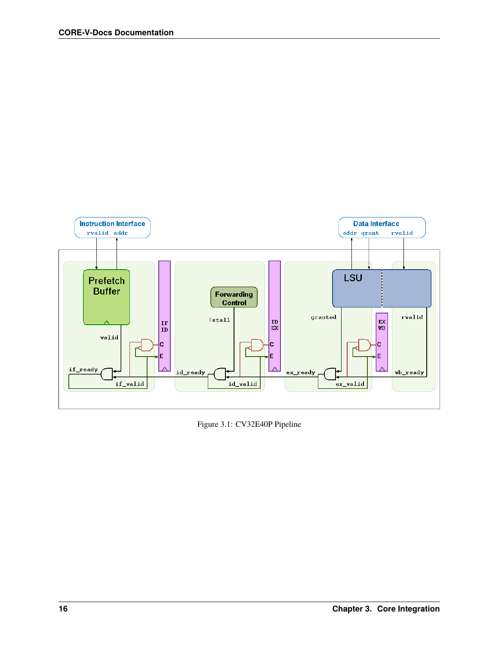<span id="page-21-0"></span>

Figure 3.1: CV32E40P Pipeline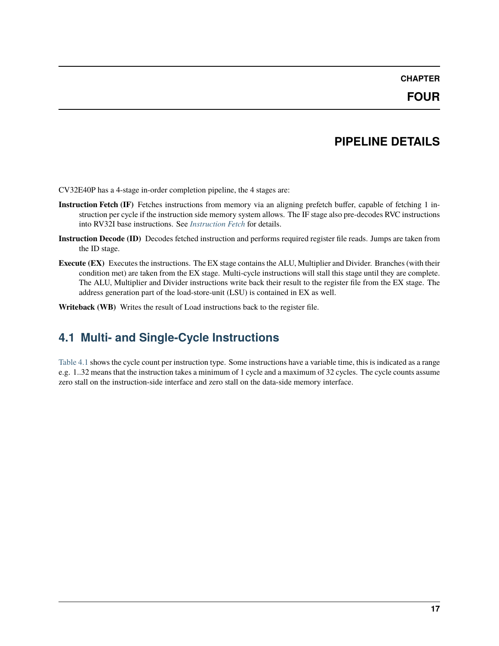#### **PIPELINE DETAILS**

<span id="page-22-0"></span>CV32E40P has a 4-stage in-order completion pipeline, the 4 stages are:

- **Instruction Fetch (IF)** Fetches instructions from memory via an aligning prefetch buffer, capable of fetching 1 instruction per cycle if the instruction side memory system allows. The IF stage also pre-decodes RVC instructions into RV32I base instructions. See *[Instruction Fetch](#page-26-0)* for details.
- **Instruction Decode (ID)** Decodes fetched instruction and performs required register file reads. Jumps are taken from the ID stage.
- **Execute (EX)** Executes the instructions. The EX stage contains the ALU, Multiplier and Divider. Branches (with their condition met) are taken from the EX stage. Multi-cycle instructions will stall this stage until they are complete. The ALU, Multiplier and Divider instructions write back their result to the register file from the EX stage. The address generation part of the load-store-unit (LSU) is contained in EX as well.
- **Writeback (WB)** Writes the result of Load instructions back to the register file.

#### <span id="page-22-1"></span>**4.1 Multi- and Single-Cycle Instructions**

[Table](#page-23-0) [4.1](#page-23-0) shows the cycle count per instruction type. Some instructions have a variable time, this is indicated as a range e.g. 1..32 means that the instruction takes a minimum of 1 cycle and a maximum of 32 cycles. The cycle counts assume zero stall on the instruction-side interface and zero stall on the data-side memory interface.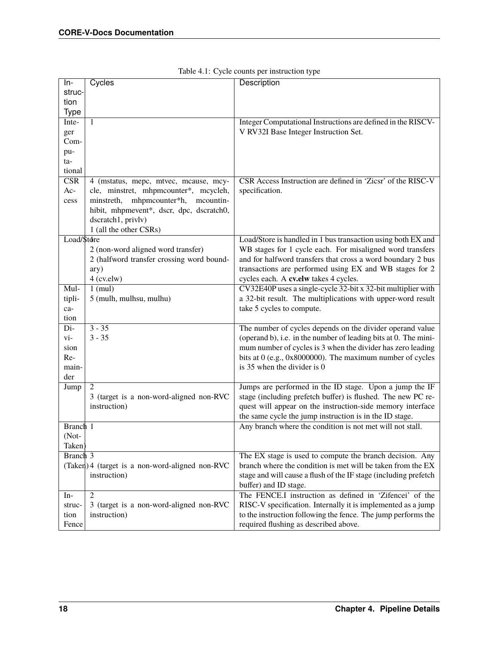<span id="page-23-0"></span>

| ln-                     | Cycles                                          | Description                                                      |
|-------------------------|-------------------------------------------------|------------------------------------------------------------------|
| struc-                  |                                                 |                                                                  |
| tion                    |                                                 |                                                                  |
| Type                    |                                                 |                                                                  |
| Inte-                   | $\mathbf{1}$                                    | Integer Computational Instructions are defined in the RISCV-     |
|                         |                                                 | V RV32I Base Integer Instruction Set.                            |
| ger<br>Com-             |                                                 |                                                                  |
|                         |                                                 |                                                                  |
| pu-                     |                                                 |                                                                  |
| ta-                     |                                                 |                                                                  |
| tional                  |                                                 |                                                                  |
| $\overline{\text{CSR}}$ | 4 (mstatus, mepc, mtvec, mcause, mcy-           | CSR Access Instruction are defined in 'Zicsr' of the RISC-V      |
| $Ac-$                   | cle, minstret, mhpmcounter*, mcycleh,           | specification.                                                   |
| cess                    | minstreth, mhpmcounter*h,<br>mcountin-          |                                                                  |
|                         | hibit, mhpmevent*, dscr, dpc, dscratch0,        |                                                                  |
|                         | dscratch1, privlv)                              |                                                                  |
|                         | 1 (all the other CSRs)                          |                                                                  |
| Load/\$tdre             |                                                 | Load/Store is handled in 1 bus transaction using both EX and     |
|                         | 2 (non-word aligned word transfer)              | WB stages for 1 cycle each. For misaligned word transfers        |
|                         |                                                 |                                                                  |
|                         | 2 (halfword transfer crossing word bound-       | and for halfword transfers that cross a word boundary 2 bus      |
|                         | ary)                                            | transactions are performed using EX and WB stages for 2          |
|                         | $4$ (cv.elw)                                    | cycles each. A cv.elw takes 4 cycles.                            |
| Mul-                    | $1$ (mul)                                       | CV32E40P uses a single-cycle 32-bit x 32-bit multiplier with     |
| tipli-                  | 5 (mulh, mulhsu, mulhu)                         | a 32-bit result. The multiplications with upper-word result      |
| ca-                     |                                                 | take 5 cycles to compute.                                        |
| tion                    |                                                 |                                                                  |
| Di-                     | $3 - 35$                                        | The number of cycles depends on the divider operand value        |
| vi-                     | $3 - 35$                                        | (operand b), i.e. in the number of leading bits at 0. The mini-  |
| sion                    |                                                 | mum number of cycles is 3 when the divider has zero leading      |
| Re-                     |                                                 | bits at 0 (e.g., 0x8000000). The maximum number of cycles        |
|                         |                                                 | is 35 when the divider is 0                                      |
| main-                   |                                                 |                                                                  |
| der                     |                                                 |                                                                  |
| Jump                    | $\overline{2}$                                  | Jumps are performed in the ID stage. Upon a jump the IF          |
|                         | 3 (target is a non-word-aligned non-RVC         | stage (including prefetch buffer) is flushed. The new PC re-     |
|                         | instruction)                                    | quest will appear on the instruction-side memory interface       |
|                         |                                                 | the same cycle the jump instruction is in the ID stage.          |
| Branch 1                |                                                 | Any branch where the condition is not met will not stall.        |
| (Not-                   |                                                 |                                                                  |
| Taken)                  |                                                 |                                                                  |
| Branch $3$              |                                                 | The EX stage is used to compute the branch decision. Any         |
|                         | (Taken) 4 (target is a non-word-aligned non-RVC | branch where the condition is met will be taken from the EX      |
|                         |                                                 |                                                                  |
|                         | instruction)                                    | stage and will cause a flush of the IF stage (including prefetch |
|                         |                                                 | buffer) and ID stage.                                            |
| $In-$                   | $\mathfrak{2}$                                  | The FENCE.I instruction as defined in 'Zifencei' of the          |
| struc-                  | 3 (target is a non-word-aligned non-RVC         | RISC-V specification. Internally it is implemented as a jump     |
| tion                    | instruction)                                    | to the instruction following the fence. The jump performs the    |
| Fence                   |                                                 | required flushing as described above.                            |

|  |  | Table 4.1: Cycle counts per instruction type |  |
|--|--|----------------------------------------------|--|
|  |  |                                              |  |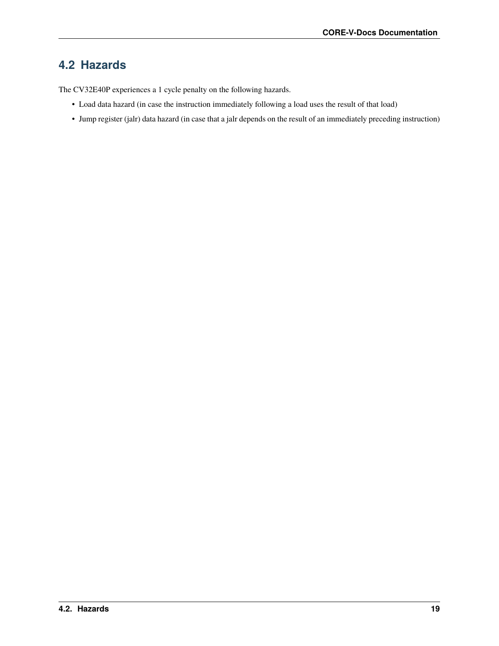#### <span id="page-24-0"></span>**4.2 Hazards**

The CV32E40P experiences a 1 cycle penalty on the following hazards.

- Load data hazard (in case the instruction immediately following a load uses the result of that load)
- Jump register (jalr) data hazard (in case that a jalr depends on the result of an immediately preceding instruction)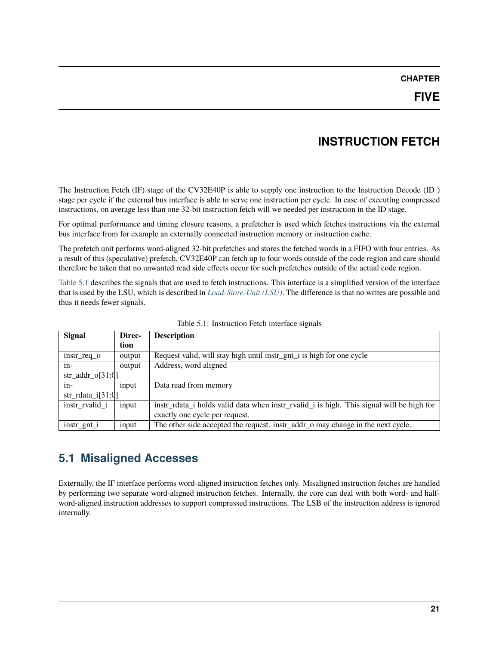### **INSTRUCTION FETCH**

<span id="page-26-0"></span>The Instruction Fetch (IF) stage of the CV32E40P is able to supply one instruction to the Instruction Decode (ID ) stage per cycle if the external bus interface is able to serve one instruction per cycle. In case of executing compressed instructions, on average less than one 32-bit instruction fetch will we needed per instruction in the ID stage.

For optimal performance and timing closure reasons, a prefetcher is used which fetches instructions via the external bus interface from for example an externally connected instruction memory or instruction cache.

The prefetch unit performs word-aligned 32-bit prefetches and stores the fetched words in a FIFO with four entries. As a result of this (speculative) prefetch, CV32E40P can fetch up to four words outside of the code region and care should therefore be taken that no unwanted read side effects occur for such prefetches outside of the actual code region.

[Table](#page-26-2) [5.1](#page-26-2) describes the signals that are used to fetch instructions. This interface is a simplified version of the interface that is used by the LSU, which is described in *[Load-Store-Unit \(LSU\)](#page-28-0)*. The difference is that no writes are possible and thus it needs fewer signals.

<span id="page-26-2"></span>

| <b>Signal</b>        | Direc- | <b>Description</b>                                                                       |  |
|----------------------|--------|------------------------------------------------------------------------------------------|--|
|                      | tion   |                                                                                          |  |
| instr_req_o          | output | Request valid, will stay high until instr_gnt_i is high for one cycle                    |  |
| in-                  | output | Address, word aligned                                                                    |  |
| $str\_addr\_o[31:0]$ |        |                                                                                          |  |
| $in-$                | input  | Data read from memory                                                                    |  |
| $str\_rdata_i[31:0]$ |        |                                                                                          |  |
| instr rvalid i       | input  | instr rdata i holds valid data when instr rvalid i is high. This signal will be high for |  |
|                      |        | exactly one cycle per request.                                                           |  |
| $instr\_gnt_i$       | input  | The other side accepted the request. instr_addr_o may change in the next cycle.          |  |

Table 5.1: Instruction Fetch interface signals

#### <span id="page-26-1"></span>**5.1 Misaligned Accesses**

Externally, the IF interface performs word-aligned instruction fetches only. Misaligned instruction fetches are handled by performing two separate word-aligned instruction fetches. Internally, the core can deal with both word- and halfword-aligned instruction addresses to support compressed instructions. The LSB of the instruction address is ignored internally.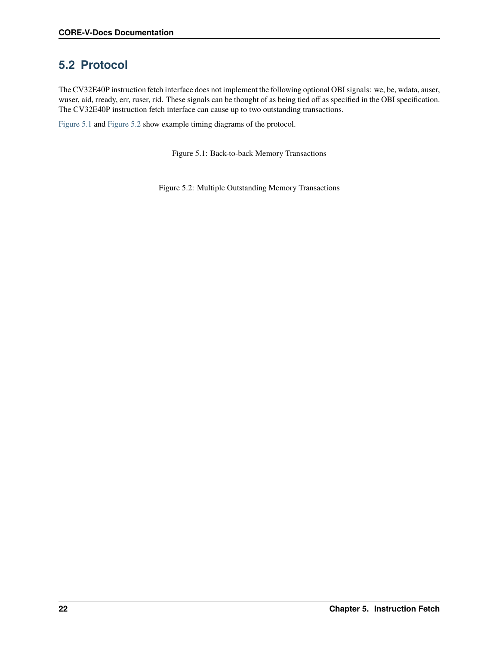#### <span id="page-27-0"></span>**5.2 Protocol**

The CV32E40P instruction fetch interface does not implement the following optional OBI signals: we, be, wdata, auser, wuser, aid, rready, err, ruser, rid. These signals can be thought of as being tied off as specified in the OBI specification. The CV32E40P instruction fetch interface can cause up to two outstanding transactions.

<span id="page-27-2"></span><span id="page-27-1"></span>[Figure](#page-27-1) [5.1](#page-27-1) and [Figure](#page-27-2) [5.2](#page-27-2) show example timing diagrams of the protocol.

Figure 5.1: Back-to-back Memory Transactions

Figure 5.2: Multiple Outstanding Memory Transactions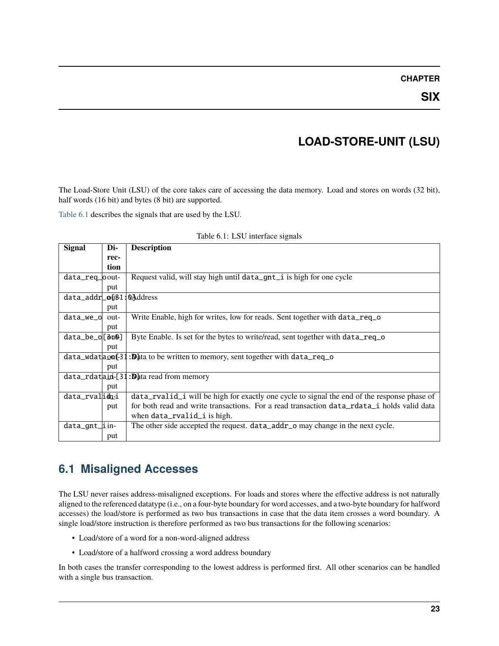#### **CHAPTER**

### **LOAD-STORE-UNIT (LSU)**

<span id="page-28-0"></span>The Load-Store Unit (LSU) of the core takes care of accessing the data memory. Load and stores on words (32 bit), half words (16 bit) and bytes (8 bit) are supported.

[Table](#page-28-2) [6.1](#page-28-2) describes the signals that are used by the LSU.

<span id="page-28-2"></span>

| <b>Signal</b>                             | Di-  | <b>Description</b>                                                                              |
|-------------------------------------------|------|-------------------------------------------------------------------------------------------------|
|                                           | rec- |                                                                                                 |
|                                           | tion |                                                                                                 |
| data_req_oout-                            |      | Request valid, will stay high until data_gnt_i is high for one cycle                            |
|                                           | put  |                                                                                                 |
| $data\_addr$ $o$ $$1$ : $0$ $^{4}$ ddress |      |                                                                                                 |
|                                           | put  |                                                                                                 |
| data_we_o                                 | out- | Write Enable, high for writes, low for reads. Sent together with data_req_o                     |
|                                           | put  |                                                                                                 |
| data_be_o[8u0]                            |      | Byte Enable. Is set for the bytes to write/read, sent together with data_req_o                  |
|                                           | put  |                                                                                                 |
|                                           |      | $data_wdata_0$ = 31: $\mathbb{D}_{3}$ ta to be written to memory, sent together with data_req_o |
|                                           | put  |                                                                                                 |
|                                           |      | $data_rdata$ $j$ $j$ $j$ $j$ $k$ $k$ aread from memory                                          |
|                                           | put  |                                                                                                 |
| data_rvalidni                             |      | data_rvalid_i will be high for exactly one cycle to signal the end of the response phase of     |
|                                           | put  | for both read and write transactions. For a read transaction data_rdata_i holds valid data      |
|                                           |      | when data_rvalid_i is high.                                                                     |
| data_gnt_iin-                             |      | The other side accepted the request. data_addr_o may change in the next cycle.                  |
|                                           | put  |                                                                                                 |

| Table 6.1: LSU interface signals |  |  |  |
|----------------------------------|--|--|--|
|----------------------------------|--|--|--|

#### <span id="page-28-1"></span>**6.1 Misaligned Accesses**

The LSU never raises address-misaligned exceptions. For loads and stores where the effective address is not naturally aligned to the referenced datatype (i.e., on a four-byte boundary for word accesses, and a two-byte boundary for halfword accesses) the load/store is performed as two bus transactions in case that the data item crosses a word boundary. A single load/store instruction is therefore performed as two bus transactions for the following scenarios:

- Load/store of a word for a non-word-aligned address
- Load/store of a halfword crossing a word address boundary

In both cases the transfer corresponding to the lowest address is performed first. All other scenarios can be handled with a single bus transaction.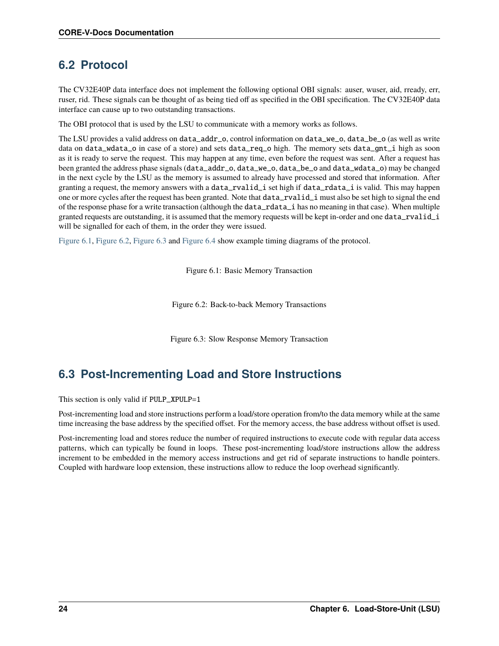#### <span id="page-29-0"></span>**6.2 Protocol**

The CV32E40P data interface does not implement the following optional OBI signals: auser, wuser, aid, rready, err, ruser, rid. These signals can be thought of as being tied off as specified in the OBI specification. The CV32E40P data interface can cause up to two outstanding transactions.

The OBI protocol that is used by the LSU to communicate with a memory works as follows.

The LSU provides a valid address on data\_addr\_o, control information on data\_we\_o, data\_be\_o (as well as write data on data\_wdata\_o in case of a store) and sets data\_req\_o high. The memory sets data\_gnt\_i high as soon as it is ready to serve the request. This may happen at any time, even before the request was sent. After a request has been granted the address phase signals (data\_addr\_o, data\_we\_o, data\_be\_o and data\_wdata\_o) may be changed in the next cycle by the LSU as the memory is assumed to already have processed and stored that information. After granting a request, the memory answers with a data\_rvalid\_i set high if data\_rdata\_i is valid. This may happen one or more cycles after the request has been granted. Note that data\_rvalid\_i must also be set high to signal the end of the response phase for a write transaction (although the data\_rdata\_i has no meaning in that case). When multiple granted requests are outstanding, it is assumed that the memory requests will be kept in-order and one data\_rvalid\_i will be signalled for each of them, in the order they were issued.

<span id="page-29-3"></span><span id="page-29-2"></span>[Figure](#page-29-2) [6.1,](#page-29-2) [Figure](#page-29-3) [6.2,](#page-29-3) [Figure](#page-29-4) [6.3](#page-29-4) and [Figure](#page-30-0) [6.4](#page-30-0) show example timing diagrams of the protocol.

Figure 6.1: Basic Memory Transaction

Figure 6.2: Back-to-back Memory Transactions

Figure 6.3: Slow Response Memory Transaction

### <span id="page-29-4"></span><span id="page-29-1"></span>**6.3 Post-Incrementing Load and Store Instructions**

This section is only valid if PULP\_XPULP=1

Post-incrementing load and store instructions perform a load/store operation from/to the data memory while at the same time increasing the base address by the specified offset. For the memory access, the base address without offset is used.

Post-incrementing load and stores reduce the number of required instructions to execute code with regular data access patterns, which can typically be found in loops. These post-incrementing load/store instructions allow the address increment to be embedded in the memory access instructions and get rid of separate instructions to handle pointers. Coupled with hardware loop extension, these instructions allow to reduce the loop overhead significantly.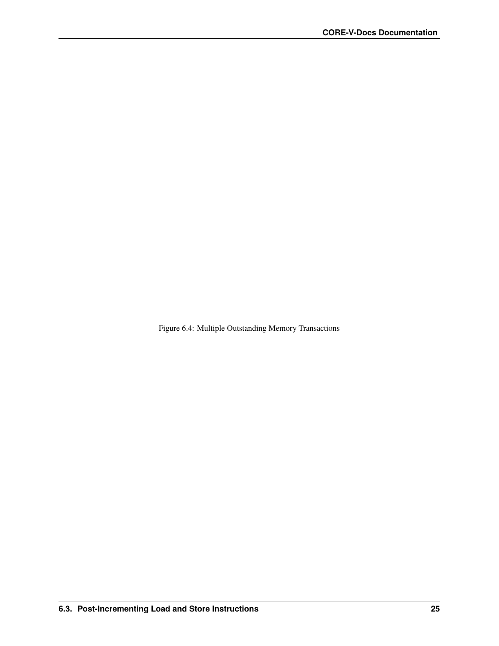<span id="page-30-0"></span>Figure 6.4: Multiple Outstanding Memory Transactions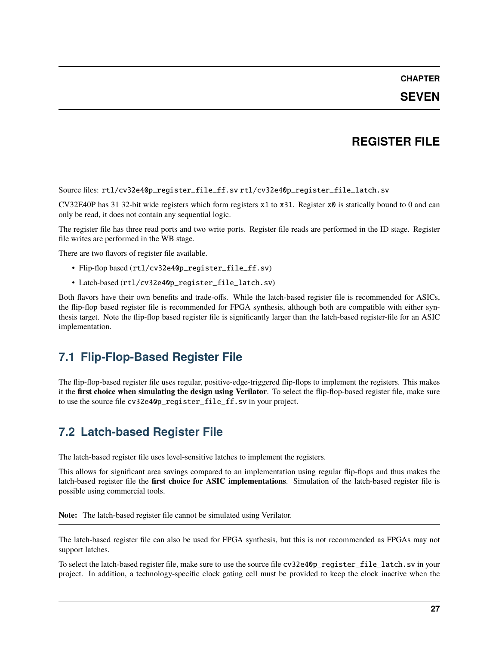#### **REGISTER FILE**

<span id="page-32-0"></span>Source files: rtl/cv32e40p\_register\_file\_ff.sv rtl/cv32e40p\_register\_file\_latch.sv

CV32E40P has 31 32-bit wide registers which form registers x1 to x31. Register x0 is statically bound to 0 and can only be read, it does not contain any sequential logic.

The register file has three read ports and two write ports. Register file reads are performed in the ID stage. Register file writes are performed in the WB stage.

There are two flavors of register file available.

- Flip-flop based (rtl/cv32e40p\_register\_file\_ff.sv)
- Latch-based (rtl/cv32e40p\_register\_file\_latch.sv)

Both flavors have their own benefits and trade-offs. While the latch-based register file is recommended for ASICs, the flip-flop based register file is recommended for FPGA synthesis, although both are compatible with either synthesis target. Note the flip-flop based register file is significantly larger than the latch-based register-file for an ASIC implementation.

#### <span id="page-32-1"></span>**7.1 Flip-Flop-Based Register File**

The flip-flop-based register file uses regular, positive-edge-triggered flip-flops to implement the registers. This makes it the **first choice when simulating the design using Verilator**. To select the flip-flop-based register file, make sure to use the source file cv32e40p\_register\_file\_ff.sv in your project.

#### <span id="page-32-2"></span>**7.2 Latch-based Register File**

The latch-based register file uses level-sensitive latches to implement the registers.

This allows for significant area savings compared to an implementation using regular flip-flops and thus makes the latch-based register file the **first choice for ASIC implementations**. Simulation of the latch-based register file is possible using commercial tools.

**Note:** The latch-based register file cannot be simulated using Verilator.

The latch-based register file can also be used for FPGA synthesis, but this is not recommended as FPGAs may not support latches.

To select the latch-based register file, make sure to use the source file cv32e40p\_register\_file\_latch.sv in your project. In addition, a technology-specific clock gating cell must be provided to keep the clock inactive when the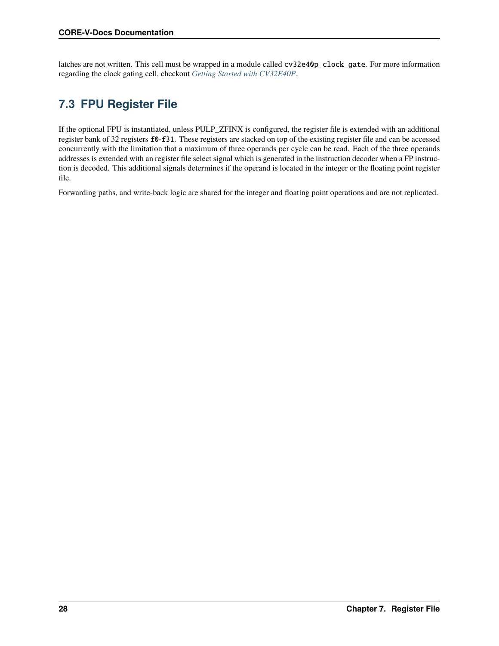latches are not written. This cell must be wrapped in a module called cv32e40p\_clock\_gate. For more information regarding the clock gating cell, checkout *[Getting Started with CV32E40P](#page-16-0)*.

# <span id="page-33-0"></span>**7.3 FPU Register File**

If the optional FPU is instantiated, unless PULP\_ZFINX is configured, the register file is extended with an additional register bank of 32 registers f0-f31. These registers are stacked on top of the existing register file and can be accessed concurrently with the limitation that a maximum of three operands per cycle can be read. Each of the three operands addresses is extended with an register file select signal which is generated in the instruction decoder when a FP instruction is decoded. This additional signals determines if the operand is located in the integer or the floating point register file.

Forwarding paths, and write-back logic are shared for the integer and floating point operations and are not replicated.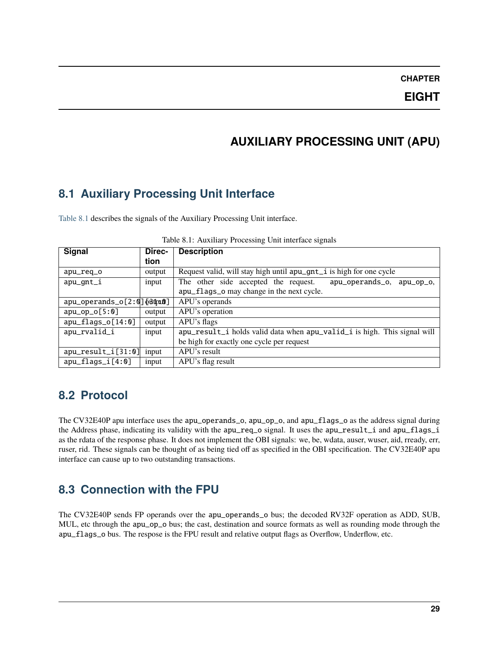### **AUXILIARY PROCESSING UNIT (APU)**

#### <span id="page-34-1"></span><span id="page-34-0"></span>**8.1 Auxiliary Processing Unit Interface**

<span id="page-34-4"></span>[Table](#page-34-4) [8.1](#page-34-4) describes the signals of the Auxiliary Processing Unit interface.

| Signal                      | Direc- | <b>Description</b>                                                       |
|-----------------------------|--------|--------------------------------------------------------------------------|
|                             | tion   |                                                                          |
| apu_req_o                   | output | Request valid, will stay high until apu_gnt_i is high for one cycle      |
| apu_gnt_i                   | input  | The other side accepted the request.<br>apu_operands_o,<br>apu_op_o.     |
|                             |        | apu_flags_o may change in the next cycle.                                |
| apu_operands_o[2:0] [d0010] |        | APU's operands                                                           |
| $apu_op_o[5:0]$             | output | APU's operation                                                          |
| $apu_flags_o[14:0]$         | output | APU's flags                                                              |
| apu_rvalid_i                | input  | apu_result_i holds valid data when apu_valid_i is high. This signal will |
|                             |        | be high for exactly one cycle per request                                |
| $apu_result_i[31:0]$        | input  | APU's result                                                             |
| $apu_flags_i[4:0]$          | input  | APU's flag result                                                        |

Table 8.1: Auxiliary Processing Unit interface signals

#### <span id="page-34-2"></span>**8.2 Protocol**

The CV32E40P apu interface uses the apu\_operands\_o, apu\_op\_o, and apu\_flags\_o as the address signal during the Address phase, indicating its validity with the apu\_req\_o signal. It uses the apu\_result\_i and apu\_flags\_i as the rdata of the response phase. It does not implement the OBI signals: we, be, wdata, auser, wuser, aid, rready, err, ruser, rid. These signals can be thought of as being tied off as specified in the OBI specification. The CV32E40P apu interface can cause up to two outstanding transactions.

### <span id="page-34-3"></span>**8.3 Connection with the FPU**

The CV32E40P sends FP operands over the apu\_operands\_o bus; the decoded RV32F operation as ADD, SUB, MUL, etc through the apu\_op\_o bus; the cast, destination and source formats as well as rounding mode through the apu\_flags\_o bus. The respose is the FPU result and relative output flags as Overflow, Underflow, etc.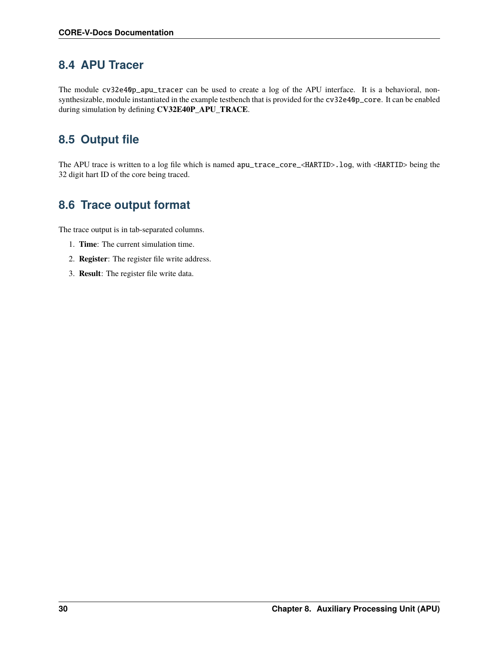#### <span id="page-35-0"></span>**8.4 APU Tracer**

The module cv32e40p\_apu\_tracer can be used to create a log of the APU interface. It is a behavioral, nonsynthesizable, module instantiated in the example testbench that is provided for the cv32e40p\_core. It can be enabled during simulation by defining **CV32E40P\_APU\_TRACE**.

### <span id="page-35-1"></span>**8.5 Output file**

The APU trace is written to a log file which is named apu\_trace\_core\_<HARTID>.log, with <HARTID> being the 32 digit hart ID of the core being traced.

### <span id="page-35-2"></span>**8.6 Trace output format**

The trace output is in tab-separated columns.

- 1. **Time**: The current simulation time.
- 2. **Register**: The register file write address.
- 3. **Result**: The register file write data.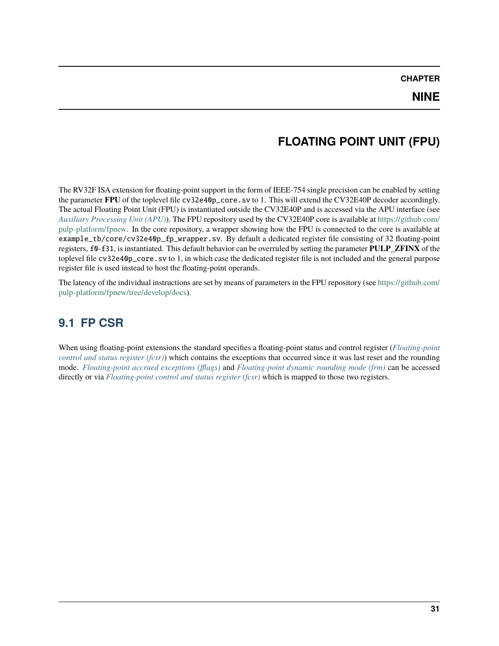## **FLOATING POINT UNIT (FPU)**

The RV32F ISA extension for floating-point support in the form of IEEE-754 single precision can be enabled by setting the parameter **FPU** of the toplevel file cv32e40p\_core.sv to 1. This will extend the CV32E40P decoder accordingly. The actual Floating Point Unit (FPU) is instantiated outside the CV32E40P and is accessed via the APU interface (see *[Auxiliary Processing Unit \(APU\)](#page-34-0)*). The FPU repository used by the CV32E40P core is available at [https://github.com/](https://github.com/pulp-platform/fpnew) [pulp-platform/fpnew.](https://github.com/pulp-platform/fpnew) In the core repository, a wrapper showing how the FPU is connected to the core is available at example\_tb/core/cv32e40p\_fp\_wrapper.sv. By default a dedicated register file consisting of 32 floating-point registers, f0-f31, is instantiated. This default behavior can be overruled by setting the parameter **PULP\_ZFINX** of the toplevel file cv32e40p\_core.sv to 1, in which case the dedicated register file is not included and the general purpose register file is used instead to host the floating-point operands.

The latency of the individual instructions are set by means of parameters in the FPU repository (see [https://github.com/](https://github.com/pulp-platform/fpnew/tree/develop/docs) [pulp-platform/fpnew/tree/develop/docs\)](https://github.com/pulp-platform/fpnew/tree/develop/docs).

## **9.1 FP CSR**

When using floating-point extensions the standard specifies a floating-point status and control register (*[Floating-point](#page-47-0) [control and status register \(fcsr\)](#page-47-0)*) which contains the exceptions that occurred since it was last reset and the rounding mode. *[Floating-point accrued exceptions \(fflags\)](#page-46-0)* and *[Floating-point dynamic rounding mode \(frm\)](#page-46-1)* can be accessed directly or via *[Floating-point control and status register \(fcsr\)](#page-47-0)* which is mapped to those two registers.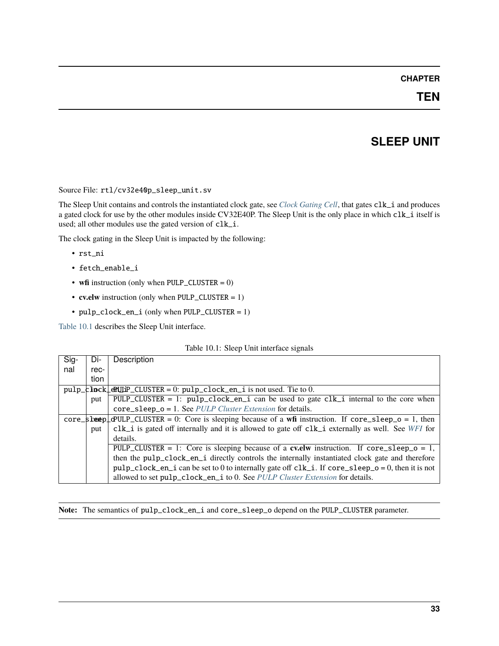### **TEN**

## **SLEEP UNIT**

<span id="page-38-1"></span>Source File: rtl/cv32e40p\_sleep\_unit.sv

The Sleep Unit contains and controls the instantiated clock gate, see *[Clock Gating Cell](#page-16-0)*, that gates clk\_i and produces a gated clock for use by the other modules inside CV32E40P. The Sleep Unit is the only place in which clk\_i itself is used; all other modules use the gated version of clk\_i.

The clock gating in the Sleep Unit is impacted by the following:

- rst\_ni
- fetch\_enable\_i
- **wfi** instruction (only when PULP\_CLUSTER = 0)
- **cv.elw** instruction (only when PULP\_CLUSTER = 1)
- pulp\_clock\_en\_i (only when PULP\_CLUSTER = 1)

[Table](#page-38-0) [10.1](#page-38-0) describes the Sleep Unit interface.

|  |  | Table 10.1: Sleep Unit interface signals |  |
|--|--|------------------------------------------|--|
|--|--|------------------------------------------|--|

<span id="page-38-0"></span>

| $\overline{Sig}$ | Di-  | Description                                                                                                                          |
|------------------|------|--------------------------------------------------------------------------------------------------------------------------------------|
| nal              | rec- |                                                                                                                                      |
|                  | tion |                                                                                                                                      |
|                  |      | $pulp_k$ <b>Inck</b> $\downarrow$ <b>eRUIP</b> _CLUSTER = 0: $pulp_clock_en_i$ is not used. Tie to 0.                                |
|                  | put  | PULP_CLUSTER = 1: pulp_clock_en_i can be used to gate $clk_i$ internal to the core when                                              |
|                  |      | $core\_sleep\_o = 1$ . See <i>PULP Cluster Extension</i> for details.                                                                |
|                  |      | $core\_s$ betep $\perp$ $\alpha$ ULP_CLUSTER = 0: Core is sleeping because of a wfi instruction. If core_sleep_o = 1, then           |
|                  | put  | clk_i is gated off internally and it is allowed to gate off clk_i externally as well. See $WFI$ for                                  |
|                  |      | details.                                                                                                                             |
|                  |      | PULP_CLUSTER = 1: Core is sleeping because of a <b>cv.elw</b> instruction. If $\text{core\_sleep\_o} = 1$ ,                          |
|                  |      | then the pulp_clock_en_i directly controls the internally instantiated clock gate and therefore                                      |
|                  |      | $\text{pulp\_clock\_en\_i}$ can be set to 0 to internally gate off $\text{clk\_i}$ . If $\text{core\_sleep\_o} = 0$ , then it is not |
|                  |      | allowed to set pulp_clock_en_i to 0. See PULP Cluster Extension for details.                                                         |

**Note:** The semantics of pulp\_clock\_en\_i and core\_sleep\_o depend on the PULP\_CLUSTER parameter.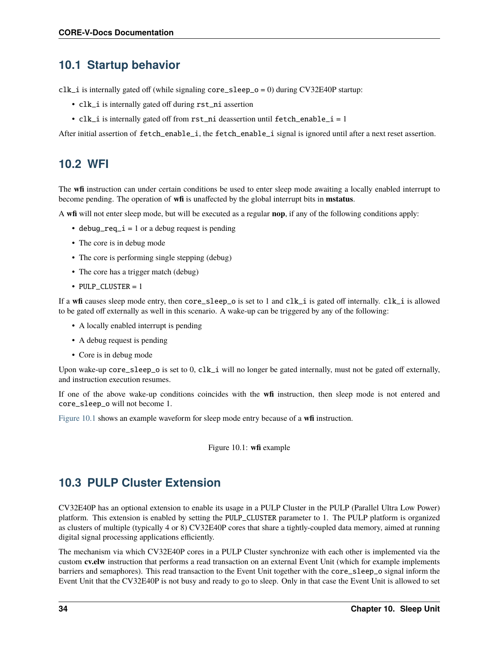## **10.1 Startup behavior**

 $clk_i$  is internally gated off (while signaling core\_sleep\_o = 0) during CV32E40P startup:

- clk\_i is internally gated off during rst\_ni assertion
- clk\_i is internally gated off from rst\_ni deassertion until fetch\_enable\_i = 1

After initial assertion of fetch\_enable\_i, the fetch\_enable\_i signal is ignored until after a next reset assertion.

## <span id="page-39-1"></span>**10.2 WFI**

The **wfi** instruction can under certain conditions be used to enter sleep mode awaiting a locally enabled interrupt to become pending. The operation of **wfi** is unaffected by the global interrupt bits in **mstatus**.

A **wfi** will not enter sleep mode, but will be executed as a regular **nop**, if any of the following conditions apply:

- debug\_req\_ $i = 1$  or a debug request is pending
- The core is in debug mode
- The core is performing single stepping (debug)
- The core has a trigger match (debug)
- PULP CLUSTER  $= 1$

If a **wfi** causes sleep mode entry, then core\_sleep\_o is set to 1 and clk\_i is gated off internally. clk\_i is allowed to be gated off externally as well in this scenario. A wake-up can be triggered by any of the following:

- A locally enabled interrupt is pending
- A debug request is pending
- Core is in debug mode

Upon wake-up core\_sleep\_o is set to 0, clk\_i will no longer be gated internally, must not be gated off externally, and instruction execution resumes.

If one of the above wake-up conditions coincides with the **wfi** instruction, then sleep mode is not entered and core\_sleep\_o will not become 1.

<span id="page-39-2"></span>[Figure](#page-39-2) [10.1](#page-39-2) shows an example waveform for sleep mode entry because of a **wfi** instruction.

Figure 10.1: **wfi** example

## <span id="page-39-0"></span>**10.3 PULP Cluster Extension**

CV32E40P has an optional extension to enable its usage in a PULP Cluster in the PULP (Parallel Ultra Low Power) platform. This extension is enabled by setting the PULP\_CLUSTER parameter to 1. The PULP platform is organized as clusters of multiple (typically 4 or 8) CV32E40P cores that share a tightly-coupled data memory, aimed at running digital signal processing applications efficiently.

The mechanism via which CV32E40P cores in a PULP Cluster synchronize with each other is implemented via the custom **cv.elw** instruction that performs a read transaction on an external Event Unit (which for example implements barriers and semaphores). This read transaction to the Event Unit together with the core\_sleep\_o signal inform the Event Unit that the CV32E40P is not busy and ready to go to sleep. Only in that case the Event Unit is allowed to set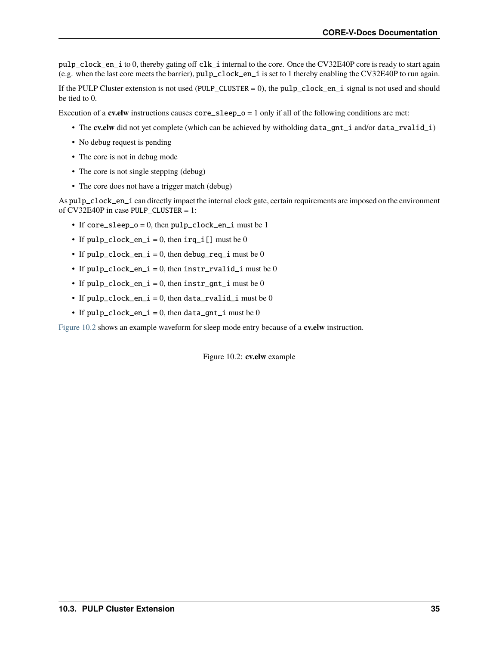pulp\_clock\_en\_i to 0, thereby gating off clk\_i internal to the core. Once the CV32E40P core is ready to start again (e.g. when the last core meets the barrier), pulp\_clock\_en\_i is set to 1 thereby enabling the CV32E40P to run again.

If the PULP Cluster extension is not used (PULP\_CLUSTER = 0), the pulp\_clock\_en\_i signal is not used and should be tied to 0.

Execution of a **cv.elw** instructions causes  $\text{core\_sleep\_o} = 1$  only if all of the following conditions are met:

- The **cv.elw** did not yet complete (which can be achieved by witholding data\_gnt\_i and/or data\_rvalid\_i)
- No debug request is pending
- The core is not in debug mode
- The core is not single stepping (debug)
- The core does not have a trigger match (debug)

As pulp\_clock\_en\_i can directly impact the internal clock gate, certain requirements are imposed on the environment of CV32E40P in case PULP\_CLUSTER = 1:

- If core\_sleep\_o = 0, then  $\text{pulp\_clock\_en\_i}$  must be 1
- If  $pulp\_clock_en_i = 0$ , then  $irq_i[]$  must be 0
- If  $pulp\_clock_en_i = 0$ , then debug\_req\_i must be 0
- If pulp\_clock\_en\_i = 0, then instr\_rvalid\_i must be 0
- If  $pulp\_clock_en_i = 0$ , then  $instr_gnt_i$  must be 0
- If  $pulp\_clock_en_i = 0$ , then data\_rvalid\_i must be 0
- If  $pulp\_clock\_en_i = 0$ , then data\_gnt\_i must be 0

<span id="page-40-0"></span>[Figure](#page-40-0) [10.2](#page-40-0) shows an example waveform for sleep mode entry because of a **cv.elw** instruction.

Figure 10.2: **cv.elw** example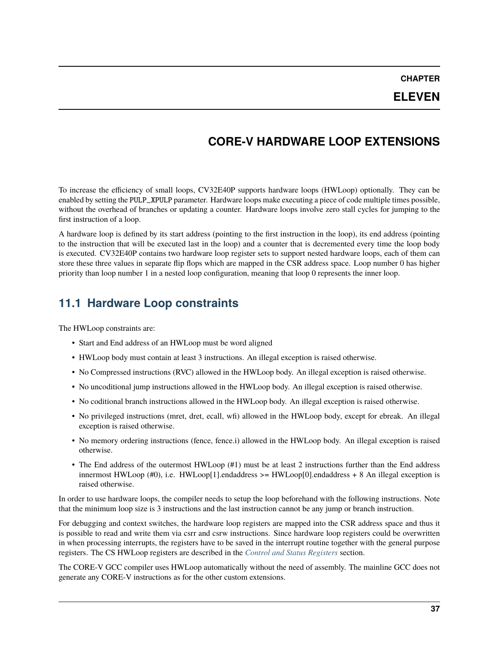### **ELEVEN**

## **CORE-V HARDWARE LOOP EXTENSIONS**

To increase the efficiency of small loops, CV32E40P supports hardware loops (HWLoop) optionally. They can be enabled by setting the PULP\_XPULP parameter. Hardware loops make executing a piece of code multiple times possible, without the overhead of branches or updating a counter. Hardware loops involve zero stall cycles for jumping to the first instruction of a loop.

A hardware loop is defined by its start address (pointing to the first instruction in the loop), its end address (pointing to the instruction that will be executed last in the loop) and a counter that is decremented every time the loop body is executed. CV32E40P contains two hardware loop register sets to support nested hardware loops, each of them can store these three values in separate flip flops which are mapped in the CSR address space. Loop number 0 has higher priority than loop number 1 in a nested loop configuration, meaning that loop 0 represents the inner loop.

## **11.1 Hardware Loop constraints**

The HWLoop constraints are:

- Start and End address of an HWLoop must be word aligned
- HWLoop body must contain at least 3 instructions. An illegal exception is raised otherwise.
- No Compressed instructions (RVC) allowed in the HWLoop body. An illegal exception is raised otherwise.
- No uncoditional jump instructions allowed in the HWLoop body. An illegal exception is raised otherwise.
- No coditional branch instructions allowed in the HWLoop body. An illegal exception is raised otherwise.
- No privileged instructions (mret, dret, ecall, wfi) allowed in the HWLoop body, except for ebreak. An illegal exception is raised otherwise.
- No memory ordering instructions (fence, fence.i) allowed in the HWLoop body. An illegal exception is raised otherwise.
- The End address of the outermost HWLoop (#1) must be at least 2 instructions further than the End address innermost HWLoop  $(\#0)$ , i.e. HWLoop[1].endaddress >= HWLoop[0].endaddress + 8 An illegal exception is raised otherwise.

In order to use hardware loops, the compiler needs to setup the loop beforehand with the following instructions. Note that the minimum loop size is 3 instructions and the last instruction cannot be any jump or branch instruction.

For debugging and context switches, the hardware loop registers are mapped into the CSR address space and thus it is possible to read and write them via csrr and csrw instructions. Since hardware loop registers could be overwritten in when processing interrupts, the registers have to be saved in the interrupt routine together with the general purpose registers. The CS HWLoop registers are described in the *[Control and Status Registers](#page-44-0)* section.

The CORE-V GCC compiler uses HWLoop automatically without the need of assembly. The mainline GCC does not generate any CORE-V instructions as for the other custom extensions.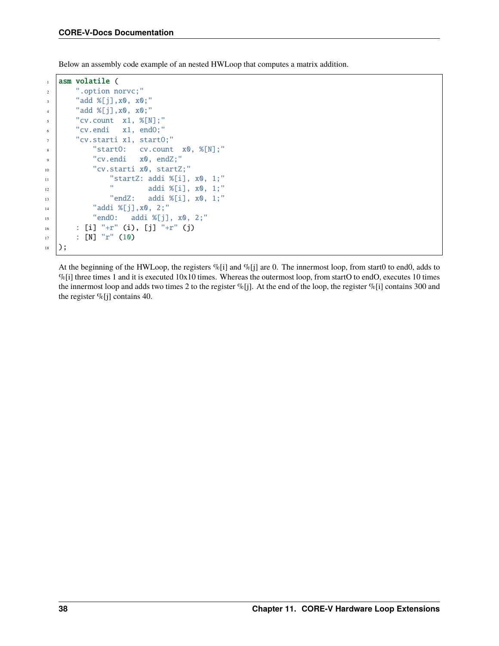Below an assembly code example of an nested HWLoop that computes a matrix addition.

```
1 asm volatile (
2 ".option norvc;"
3 "add %[j], x0, x0;"
4 "add %[j],x0, x0;"
5 "cv.count x1, \mathcal{E}[N];"
6 "cv.endi x1, endO;"
7 "cv.starti x1, startO;"
8 "startO: cv.count x0, %[N];"
9 "cv.endi x0, endZ;"
10 "cv.starti x0, startZ;"
11 "startZ: addi %[i], x0, 1;"
\frac{1}{12} " addi %[i], x0, 1;"
\frac{13}{13} "endZ: addi %[i], x0, 1;"
14 "addi %[j], x0, 2;"
15 "endO: addi %[j], x0, 2;"
_{16} : [i] "+r" (i), [j] "+r" (j)
17 : [N] "r" (10)
_{18} );
```
At the beginning of the HWLoop, the registers  $\%$ [i] and  $\%$ [j] are 0. The innermost loop, from start0 to end0, adds to  $\%$ [i] three times 1 and it is executed 10x10 times. Whereas the outermost loop, from startO to endO, executes 10 times the innermost loop and adds two times 2 to the register %[j]. At the end of the loop, the register %[i] contains 300 and the register  $\%$ [j] contains 40.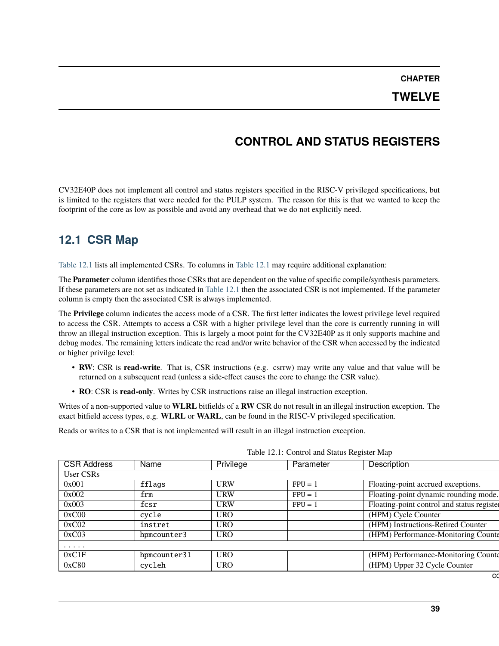#### **TWELVE**

## **CONTROL AND STATUS REGISTERS**

<span id="page-44-0"></span>CV32E40P does not implement all control and status registers specified in the RISC-V privileged specifications, but is limited to the registers that were needed for the PULP system. The reason for this is that we wanted to keep the footprint of the core as low as possible and avoid any overhead that we do not explicitly need.

## **12.1 CSR Map**

[Table](#page-44-1) [12.1](#page-44-1) lists all implemented CSRs. To columns in [Table](#page-44-1) [12.1](#page-44-1) may require additional explanation:

The **Parameter** column identifies those CSRs that are dependent on the value of specific compile/synthesis parameters. If these parameters are not set as indicated in [Table](#page-44-1) [12.1](#page-44-1) then the associated CSR is not implemented. If the parameter column is empty then the associated CSR is always implemented.

The **Privilege** column indicates the access mode of a CSR. The first letter indicates the lowest privilege level required to access the CSR. Attempts to access a CSR with a higher privilege level than the core is currently running in will throw an illegal instruction exception. This is largely a moot point for the CV32E40P as it only supports machine and debug modes. The remaining letters indicate the read and/or write behavior of the CSR when accessed by the indicated or higher privilge level:

- **RW**: CSR is **read-write**. That is, CSR instructions (e.g. csrrw) may write any value and that value will be returned on a subsequent read (unless a side-effect causes the core to change the CSR value).
- **RO**: CSR is **read-only**. Writes by CSR instructions raise an illegal instruction exception.

Writes of a non-supported value to **WLRL** bitfields of a **RW** CSR do not result in an illegal instruction exception. The exact bitfield access types, e.g. **WLRL** or **WARL**, can be found in the RISC-V privileged specification.

Reads or writes to a CSR that is not implemented will result in an illegal instruction exception.

<span id="page-44-1"></span>

|                    |                             |            | Table 12.1. Control and Status Register Map |                                            |
|--------------------|-----------------------------|------------|---------------------------------------------|--------------------------------------------|
| <b>CSR Address</b> | Name                        | Privilege  | Parameter                                   | Description                                |
| User CSRs          |                             |            |                                             |                                            |
| 0x001              | fflags                      | URW        | $FPU = 1$                                   | Floating-point accrued exceptions.         |
| 0x002              | $\mathop{\rm frm}\nolimits$ | <b>URW</b> | $FPU = 1$                                   | Floating-point dynamic rounding mode.      |
| 0x003              | fcsr                        | URW        | $FPU = 1$                                   | Floating-point control and status register |
| 0xC00              | cycle                       | <b>URO</b> |                                             | (HPM) Cycle Counter                        |
| 0xC02              | instret                     | <b>URO</b> |                                             | (HPM) Instructions-Retired Counter         |
| 0xC03              | hpmcounter3                 | <b>URO</b> |                                             | (HPM) Performance-Monitoring Counter       |
| $\cdots$           |                             |            |                                             |                                            |
| 0xC1F              | hpmcounter31                | <b>URO</b> |                                             | (HPM) Performance-Monitoring Counte        |
| 0xC80              | cycleh                      | <b>URO</b> |                                             | (HPM) Upper 32 Cycle Counter               |
|                    |                             |            |                                             |                                            |

Table 12.1: Control and Status Register Map

co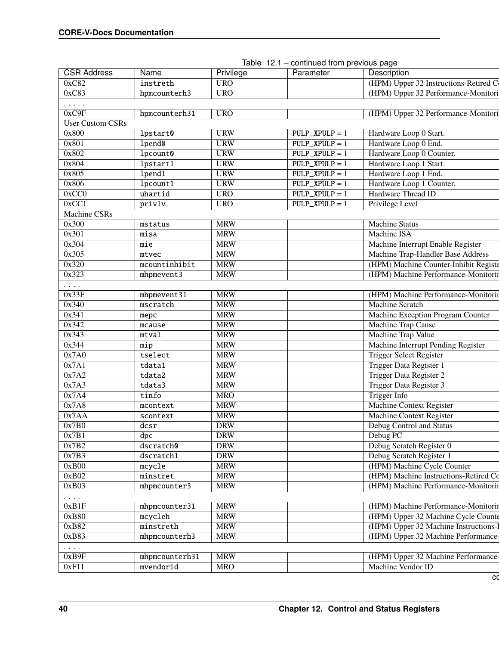| <b>CSR Address</b>                                 | Name             | Privilege  | Parameter         | Description                           |
|----------------------------------------------------|------------------|------------|-------------------|---------------------------------------|
| 0xC82                                              | instreth         | <b>URO</b> |                   | (HPM) Upper 32 Instructions-Retired C |
| 0xC83                                              | hpmcounterh3     | <b>URO</b> |                   | (HPM) Upper 32 Performance-Monitori   |
| $\mathbf{1}$ , and $\mathbf{1}$ , and $\mathbf{1}$ |                  |            |                   |                                       |
| 0xC9F                                              | hpmcounterh31    | <b>URO</b> |                   | (HPM) Upper 32 Performance-Monitori   |
| <b>User Custom CSRs</b>                            |                  |            |                   |                                       |
| 0x800                                              | lpstart0         | <b>URW</b> | $PULP$ _XPULP = 1 | Hardware Loop 0 Start.                |
| 0x801                                              | $1$ pend $0$     | <b>URW</b> | $PULP$ _XPULP = 1 | Hardware Loop 0 End.                  |
| 0x802                                              | lpcount0         | <b>URW</b> | $PULP$ _XPULP = 1 | Hardware Loop 0 Counter.              |
| 0x804                                              | lpstart1         | <b>URW</b> | $PULP$ _XPULP = 1 | Hardware Loop 1 Start.                |
| 0x805                                              | 1pend1           | <b>URW</b> | $PULP$ _XPULP = 1 | Hardware Loop 1 End.                  |
| 0x806                                              | lpcount1         | <b>URW</b> | $PULP$ _XPULP = 1 | Hardware Loop 1 Counter.              |
| 0xCC0                                              | uhartid          | <b>URO</b> | $PULP$ _XPULP = 1 | Hardware Thread ID                    |
| 0xCC1                                              | privly           | <b>URO</b> | $PULP$ _XPULP = 1 | Privilege Level                       |
| <b>Machine CSRs</b>                                |                  |            |                   |                                       |
| 0x300                                              | mstatus          | <b>MRW</b> |                   | <b>Machine Status</b>                 |
| 0x301                                              | misa             | <b>MRW</b> |                   | <b>Machine ISA</b>                    |
| 0x304                                              | mie              | <b>MRW</b> |                   | Machine Interrupt Enable Register     |
| 0x305                                              | mtvec            | <b>MRW</b> |                   | Machine Trap-Handler Base Address     |
| 0x320                                              | $m$ countinhibit | <b>MRW</b> |                   | (HPM) Machine Counter-Inhibit Registe |
| 0x323                                              | mhpmevent3       | <b>MRW</b> |                   | (HPM) Machine Performance-Monitorin   |
| $\cdots$                                           |                  |            |                   |                                       |
| 0x33F                                              | mhpmevent31      | <b>MRW</b> |                   | (HPM) Machine Performance-Monitorin   |
| 0x340                                              | mscratch         | <b>MRW</b> |                   | <b>Machine Scratch</b>                |
| 0x341                                              | mepc             | <b>MRW</b> |                   | Machine Exception Program Counter     |
| 0x342                                              | mcause           | <b>MRW</b> |                   | <b>Machine Trap Cause</b>             |
| 0x343                                              | mtval            | <b>MRW</b> |                   | <b>Machine Trap Value</b>             |
| 0x344                                              | mip              | <b>MRW</b> |                   | Machine Interrupt Pending Register    |
| 0x7A0                                              | tselect          | <b>MRW</b> |                   | <b>Trigger Select Register</b>        |
| 0x7A1                                              | tdata1           | <b>MRW</b> |                   | Trigger Data Register 1               |
| 0x7A2                                              | tdata2           | <b>MRW</b> |                   | Trigger Data Register 2               |
| 0x7A3                                              | tdata3           | <b>MRW</b> |                   | Trigger Data Register 3               |
| 0x7A4                                              | tinfo            | <b>MRO</b> |                   | <b>Trigger Info</b>                   |
| 0x7A8                                              | mcontext         | <b>MRW</b> |                   | Machine Context Register              |
| 0x7AA                                              | scontext         | <b>MRW</b> |                   | Machine Context Register              |
| 0x7B0                                              | dcsr             | <b>DRW</b> |                   | Debug Control and Status              |
| 0x7B1                                              | dpc              | <b>DRW</b> |                   | Debug PC                              |
| 0x7B2                                              | dscratch0        | <b>DRW</b> |                   | Debug Scratch Register 0              |
| 0x7B3                                              | dscratch1        | <b>DRW</b> |                   | Debug Scratch Register 1              |
| 0xB00                                              | mcycle           | <b>MRW</b> |                   | (HPM) Machine Cycle Counter           |
| 0xB02                                              | minstret         | <b>MRW</b> |                   | (HPM) Machine Instructions-Retired Co |
| 0xB03                                              | mhpmcounter3     | <b>MRW</b> |                   | (HPM) Machine Performance-Monitorin   |
| $\ldots$                                           |                  |            |                   |                                       |
| 0xB1F                                              | mhpmcounter31    | <b>MRW</b> |                   | (HPM) Machine Performance-Monitorin   |
| 0xB80                                              | mcycleh          | <b>MRW</b> |                   | (HPM) Upper 32 Machine Cycle Counte   |
| 0xB82                                              | minstreth        | <b>MRW</b> |                   | (HPM) Upper 32 Machine Instructions-  |
| 0xB83                                              | mhpmcounterh3    | <b>MRW</b> |                   | (HPM) Upper 32 Machine Performance-   |
|                                                    |                  |            |                   |                                       |
| $\cdots$<br>0xB9F                                  | mhpmcounterh31   | <b>MRW</b> |                   | (HPM) Upper 32 Machine Performance-   |
| 0xF11                                              | mvendorid        | <b>MRO</b> |                   | Machine Vendor ID                     |
|                                                    |                  |            |                   |                                       |

|  |  | Table 12.1 – continued from previous page |  |  |  |
|--|--|-------------------------------------------|--|--|--|
|--|--|-------------------------------------------|--|--|--|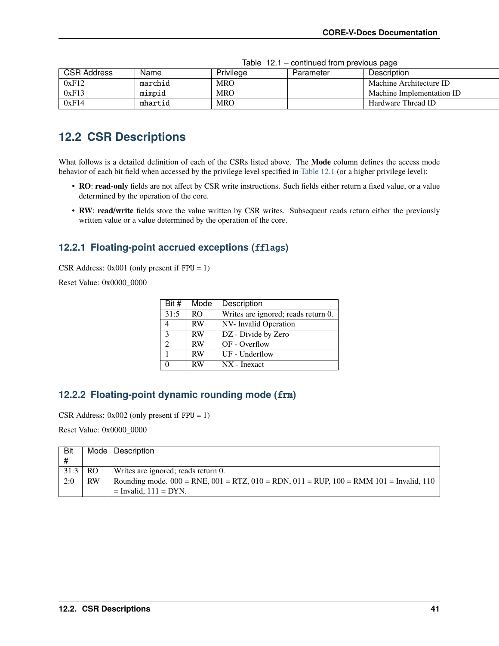| <b>CSR Address</b> | Name    | Privilege  | Parameter | Description               |
|--------------------|---------|------------|-----------|---------------------------|
| 0xF12              | marchid | <b>MRO</b> |           | Machine Architecture ID   |
| 0xF13              | mimpid  | <b>MRO</b> |           | Machine Implementation ID |
| 0xF14              | mhartid | <b>MRO</b> |           | Hardware Thread ID        |

Table 12.1 – continued from previous page

## **12.2 CSR Descriptions**

What follows is a detailed definition of each of the CSRs listed above. The **Mode** column defines the access mode behavior of each bit field when accessed by the privilege level specified in [Table](#page-44-1) [12.1](#page-44-1) (or a higher privilege level):

- **RO**: **read-only** fields are not affect by CSR write instructions. Such fields either return a fixed value, or a value determined by the operation of the core.
- **RW**: **read/write** fields store the value written by CSR writes. Subsequent reads return either the previously written value or a value determined by the operation of the core.

#### <span id="page-46-0"></span>**12.2.1 Floating-point accrued exceptions (**fflags**)**

CSR Address:  $0x001$  (only present if  $FPU = 1$ )

Reset Value: 0x0000\_0000

| Bit #         | Mode      | Description                         |
|---------------|-----------|-------------------------------------|
| 31:5          | RO.       | Writes are ignored; reads return 0. |
|               | <b>RW</b> | NV- Invalid Operation               |
| 3             | <b>RW</b> | DZ - Divide by Zero                 |
| $\mathcal{D}$ | <b>RW</b> | OF - Overflow                       |
|               | <b>RW</b> | UF - Underflow                      |
|               | <b>RW</b> | $NX - Inexact$                      |

#### <span id="page-46-1"></span>**12.2.2 Floating-point dynamic rounding mode (**frm**)**

CSR Address: 0x002 (only present if FPU = 1)

Reset Value: 0x0000\_0000

| Bit  |           | Model Description                                                                                          |
|------|-----------|------------------------------------------------------------------------------------------------------------|
| #    |           |                                                                                                            |
| 31:3 | <b>RO</b> | Writes are ignored; reads return 0.                                                                        |
| 2:0  | <b>RW</b> | Rounding mode. $000 = RNE$ , $001 = RTZ$ , $010 = RDN$ , $011 = RUP$ , $100 = RMM$ $101 = Invalid$ , $110$ |
|      |           | $=$ Invalid, $111 = DYN$ .                                                                                 |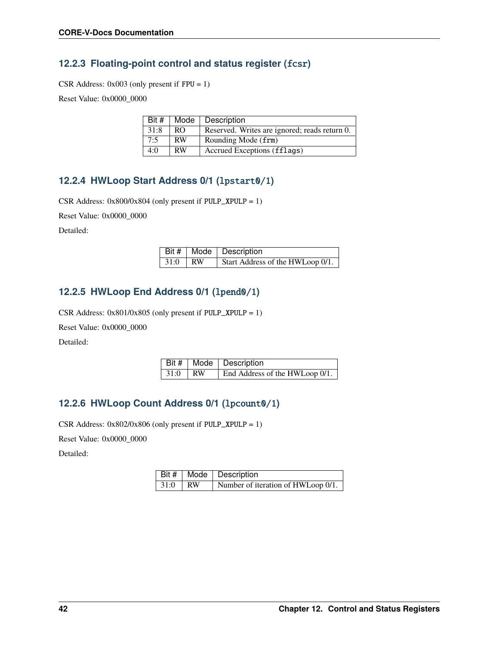### <span id="page-47-0"></span>**12.2.3 Floating-point control and status register (**fcsr**)**

CSR Address: 0x003 (only present if FPU = 1)

Reset Value: 0x0000\_0000

| Bit # |           | Mode   Description                            |
|-------|-----------|-----------------------------------------------|
| 31:8  | RO.       | Reserved. Writes are ignored; reads return 0. |
| 7:5   | <b>RW</b> | Rounding Mode (frm)                           |
| 4:0   | <b>RW</b> | Accrued Exceptions (fflags)                   |

### **12.2.4 HWLoop Start Address 0/1 (**lpstart0/1**)**

CSR Address: 0x800/0x804 (only present if PULP\_XPULP = 1)

Reset Value: 0x0000\_0000

Detailed:

|           | Bit #   Mode   Description       |
|-----------|----------------------------------|
| $31:0$ RW | Start Address of the HWLoop 0/1. |

#### **12.2.5 HWLoop End Address 0/1 (**lpend0/1**)**

CSR Address:  $0x801/0x805$  (only present if PULP\_XPULP = 1)

Reset Value: 0x0000\_0000

Detailed:

|           | Bit #   Mode   Description     |
|-----------|--------------------------------|
| $31:0$ RW | End Address of the HWLoop 0/1. |

### **12.2.6 HWLoop Count Address 0/1 (**lpcount0/1**)**

CSR Address: 0x802/0x806 (only present if PULP\_XPULP = 1)

Reset Value: 0x0000\_0000

Detailed:

|           | Bit #   Mode   Description         |
|-----------|------------------------------------|
| $31:0$ RW | Number of iteration of HWLoop 0/1. |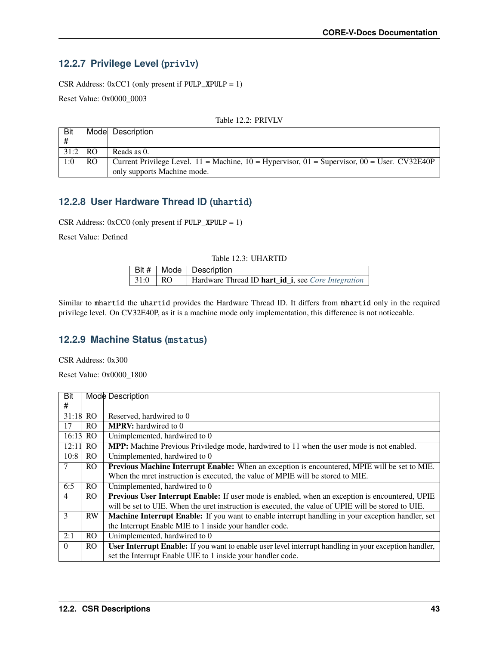## **12.2.7 Privilege Level (**privlv**)**

CSR Address: 0xCC1 (only present if PULP\_XPULP = 1)

Reset Value: 0x0000\_0003

| Bit  |                | Mode Description                                                                                                                     |
|------|----------------|--------------------------------------------------------------------------------------------------------------------------------------|
| #    |                |                                                                                                                                      |
| 31:2 | R <sub>O</sub> | Reads as 0.                                                                                                                          |
| 1:0  | RO             | Current Privilege Level. $11 = \text{Machine}$ , $10 = \text{Hypervisor}$ , $01 = \text{Supervisor}$ , $00 = \text{User}$ . CV32E40P |
|      |                | only supports Machine mode.                                                                                                          |

#### Table 12.2: PRIVLV

### **12.2.8 User Hardware Thread ID (**uhartid**)**

CSR Address: 0xCC0 (only present if PULP\_XPULP = 1)

Reset Value: Defined

| Table 12.3: UHARTID |     |                                                    |  |  |  |
|---------------------|-----|----------------------------------------------------|--|--|--|
|                     |     | Bit $#$   Mode   Description                       |  |  |  |
| 31:0                | RO. | Hardware Thread ID hart_id_i, see Core Integration |  |  |  |

Similar to mhartid the uhartid provides the Hardware Thread ID. It differs from mhartid only in the required privilege level. On CV32E40P, as it is a machine mode only implementation, this difference is not noticeable.

#### **12.2.9 Machine Status (**mstatus**)**

CSR Address: 0x300

Reset Value: 0x0000\_1800

| Bit            |                | Mode Description                                                                                             |  |
|----------------|----------------|--------------------------------------------------------------------------------------------------------------|--|
| #              |                |                                                                                                              |  |
| 31:18          | RO.            | Reserved, hardwired to 0                                                                                     |  |
| 17             | R <sub>O</sub> | <b>MPRV:</b> hardwired to 0                                                                                  |  |
| 16:13          | RO.            | Unimplemented, hardwired to 0                                                                                |  |
| 12:11          | RO             | MPP: Machine Previous Priviledge mode, hardwired to 11 when the user mode is not enabled.                    |  |
| 10:8           | RO.            | Unimplemented, hardwired to 0                                                                                |  |
| 7              | RO.            | <b>Previous Machine Interrupt Enable:</b> When an exception is encountered, MPIE will be set to MIE.         |  |
|                |                | When the mret instruction is executed, the value of MPIE will be stored to MIE.                              |  |
| 6:5            | RO.            | Unimplemented, hardwired to 0                                                                                |  |
| $\overline{4}$ | RO.            | Previous User Interrupt Enable: If user mode is enabled, when an exception is encountered, UPIE              |  |
|                |                | will be set to UIE. When the uret instruction is executed, the value of UPIE will be stored to UIE.          |  |
| $\mathcal{E}$  | <b>RW</b>      | <b>Machine Interrupt Enable:</b> If you want to enable interrupt handling in your exception handler, set     |  |
|                |                | the Interrupt Enable MIE to 1 inside your handler code.                                                      |  |
| 2:1            | R <sub>O</sub> | Unimplemented, hardwired to 0                                                                                |  |
| $\Omega$       | R <sub>O</sub> | <b>User Interrupt Enable:</b> If you want to enable user level interrupt handling in your exception handler, |  |
|                |                | set the Interrupt Enable UIE to 1 inside your handler code.                                                  |  |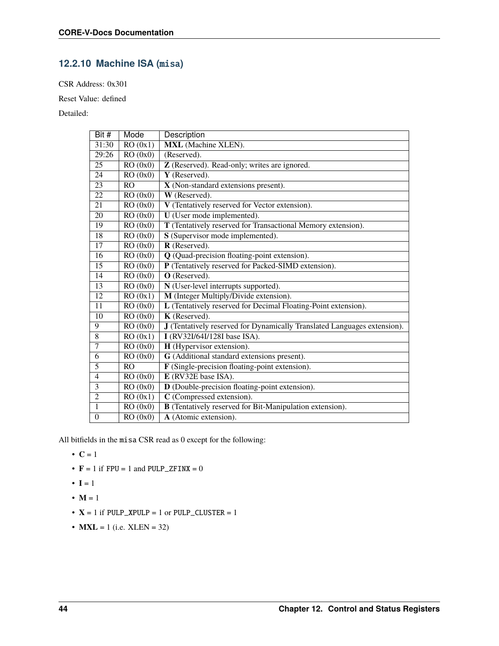### **12.2.10 Machine ISA (**misa**)**

CSR Address: 0x301

Reset Value: defined

Detailed:

| Bit $#$         | Mode                 | Description                                                              |
|-----------------|----------------------|--------------------------------------------------------------------------|
| 31:30           | RO(0x1)              | <b>MXL</b> (Machine XLEN).                                               |
| 29:26           | RO(0x0)              | (Reserved).                                                              |
| 25              | RO(0x0)              | Z (Reserved). Read-only; writes are ignored.                             |
| 24              | RO(0x0)              | Y (Reserved).                                                            |
| 23              | RO                   | $\overline{X}$ (Non-standard extensions present).                        |
| 22              | RO(0x0)              | W (Reserved).                                                            |
| 21              | RO(0x0)              | V (Tentatively reserved for Vector extension).                           |
| 20              | RO(0x0)              | U (User mode implemented).                                               |
| $\overline{19}$ | RO(0x0)              | T (Tentatively reserved for Transactional Memory extension).             |
| 18              | RO(0x0)              | S (Supervisor mode implemented).                                         |
| $\overline{17}$ | RO(0x0)              | R (Reserved).                                                            |
| 16              | RO(0x0)              | Q (Quad-precision floating-point extension).                             |
| 15              | RO(0x0)              | P (Tentatively reserved for Packed-SIMD extension).                      |
| 14              | RO(0x0)              | O (Reserved).                                                            |
| 13              | RO(0x0)              | N (User-level interrupts supported).                                     |
| $\overline{12}$ | RO(0x1)              | M (Integer Multiply/Divide extension).                                   |
| $\overline{11}$ | RO(0x0)              | L (Tentatively reserved for Decimal Floating-Point extension).           |
| $\overline{10}$ | RO(0x0)              | K (Reserved).                                                            |
| 9               | RO(0x0)              | J (Tentatively reserved for Dynamically Translated Languages extension). |
| $\overline{8}$  | RO(0x1)              | I (RV32I/64I/128I base ISA).                                             |
| 7               | RO(0x0)              | H (Hypervisor extension).                                                |
| 6               | RO(0x0)              | G (Additional standard extensions present).                              |
| $\overline{5}$  | RO                   | F (Single-precision floating-point extension).                           |
| $\overline{4}$  | RO(0x0)              | E (RV32E base ISA).                                                      |
| $\overline{3}$  | $\overline{RO(0x0)}$ | D (Double-precision floating-point extension).                           |
| $\overline{2}$  | RO(0x1)              | C (Compressed extension).                                                |
| $\mathbf{1}$    | RO(0x0)              | <b>B</b> (Tentatively reserved for Bit-Manipulation extension).          |
| $\overline{0}$  | RO(0x0)              | A (Atomic extension).                                                    |

All bitfields in the misa CSR read as 0 except for the following:

$$
\bullet \ \mathbf{C} = 1
$$

- $\mathbf{F} = 1$  if  $\mathbf{FPU} = 1$  and  $\mathbf{PULP\_ZFINK} = 0$
- $\bullet$  **I** = 1
- $M = 1$
- $X = 1$  if PULP\_XPULP = 1 or PULP\_CLUSTER = 1
- $MXL = 1$  (i.e.  $XLEN = 32$ )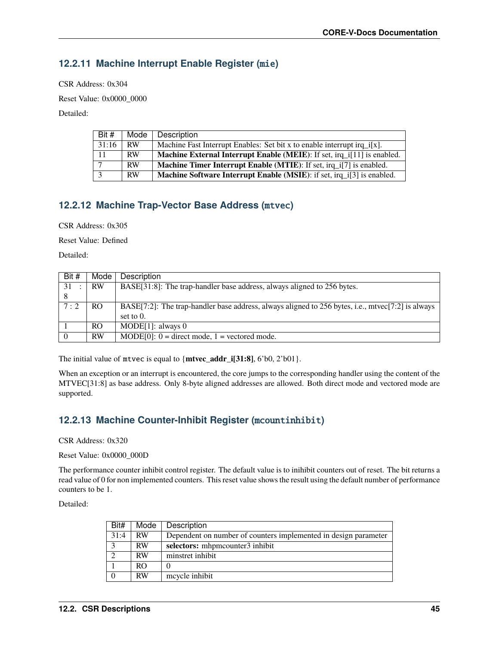### **12.2.11 Machine Interrupt Enable Register (**mie**)**

CSR Address: 0x304

Reset Value: 0x0000\_0000

Detailed:

| Bit # | Mode      | Description                                                                   |
|-------|-----------|-------------------------------------------------------------------------------|
| 31:16 | <b>RW</b> | Machine Fast Interrupt Enables: Set bit x to enable interrupt irq_i[x].       |
| 11    | RW        | Machine External Interrupt Enable (MEIE): If set, irq_i[11] is enabled.       |
|       | <b>RW</b> | <b>Machine Timer Interrupt Enable (MTIE):</b> If set, irq_i[7] is enabled.    |
|       | RW        | <b>Machine Software Interrupt Enable (MSIE):</b> if set, irq i[3] is enabled. |

### **12.2.12 Machine Trap-Vector Base Address (**mtvec**)**

CSR Address: 0x305

Reset Value: Defined

Detailed:

| Bit #          | Mode      | Description                                                                                       |
|----------------|-----------|---------------------------------------------------------------------------------------------------|
| 31             | <b>RW</b> | BASE[31:8]: The trap-handler base address, always aligned to 256 bytes.                           |
| -8             |           |                                                                                                   |
| 7:2            | RO.       | BASE[7:2]: The trap-handler base address, always aligned to 256 bytes, i.e., mtvec[7:2] is always |
|                |           | set to $0$ .                                                                                      |
|                | RO.       | MODE[1]: always $0$                                                                               |
| $\overline{0}$ | <b>RW</b> | $MODE[0]$ : 0 = direct mode, 1 = vectored mode.                                                   |

The initial value of mtvec is equal to {**mtvec\_addr\_i[31:8]**, 6'b0, 2'b01}.

When an exception or an interrupt is encountered, the core jumps to the corresponding handler using the content of the MTVEC[31:8] as base address. Only 8-byte aligned addresses are allowed. Both direct mode and vectored mode are supported.

### **12.2.13 Machine Counter-Inhibit Register (**mcountinhibit**)**

CSR Address: 0x320

Reset Value: 0x0000\_000D

The performance counter inhibit control register. The default value is to inihibit counters out of reset. The bit returns a read value of 0 for non implemented counters. This reset value shows the result using the default number of performance counters to be 1.

Detailed:

| Bit#      | Mode      | Description                                                     |  |
|-----------|-----------|-----------------------------------------------------------------|--|
| 31:4      | <b>RW</b> | Dependent on number of counters implemented in design parameter |  |
| $\bigcap$ | <b>RW</b> | selectors: mhpmcounter3 inhibit                                 |  |
| $\bigcap$ | <b>RW</b> | minstret inhibit                                                |  |
|           | RO.       | 0                                                               |  |
| $\theta$  | RW        | mcycle inhibit                                                  |  |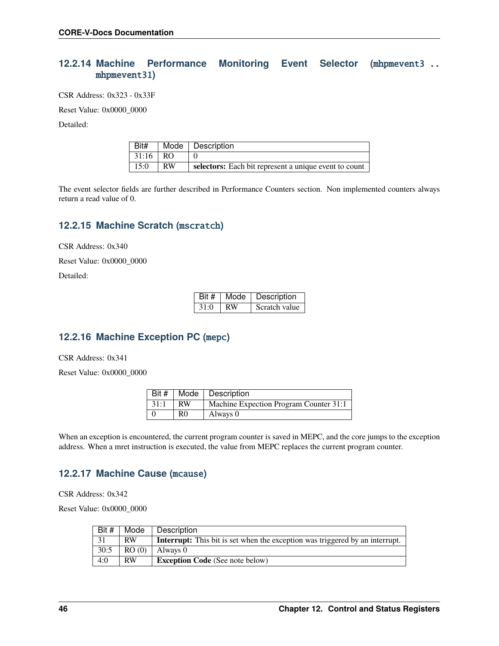#### **12.2.14 Machine Performance Monitoring Event Selector (**mhpmevent3 .. mhpmevent31**)**

CSR Address: 0x323 - 0x33F

Reset Value: 0x0000\_0000

Detailed:

| $ $ Bit#   |           | Mode   Description                                    |
|------------|-----------|-------------------------------------------------------|
| $31:16$ RO |           |                                                       |
| 15:0       | <b>RW</b> | selectors: Each bit represent a unique event to count |

The event selector fields are further described in Performance Counters section. Non implemented counters always return a read value of 0.

#### **12.2.15 Machine Scratch (**mscratch**)**

CSR Address: 0x340

Reset Value: 0x0000\_0000

Detailed:

| Bit # | Mode | Description   |
|-------|------|---------------|
| 31:0  | RW   | Scratch value |

### **12.2.16 Machine Exception PC (**mepc**)**

CSR Address: 0x341

Reset Value: 0x0000\_0000

|      |           | Bit #   Mode   Description             |
|------|-----------|----------------------------------------|
| 31:1 | <b>RW</b> | Machine Expection Program Counter 31:1 |
|      | R0        | Always 0                               |

When an exception is encountered, the current program counter is saved in MEPC, and the core jumps to the exception address. When a mret instruction is executed, the value from MEPC replaces the current program counter.

#### **12.2.17 Machine Cause (**mcause**)**

CSR Address: 0x342

Reset Value: 0x0000\_0000

| Bit # | Mode      | Description                                                                         |
|-------|-----------|-------------------------------------------------------------------------------------|
| 31    | <b>RW</b> | <b>Interrupt:</b> This bit is set when the exception was triggered by an interrupt. |
| 30:5  | RO(0)     | Always 0                                                                            |
| 4:0   | <b>RW</b> | <b>Exception Code</b> (See note below)                                              |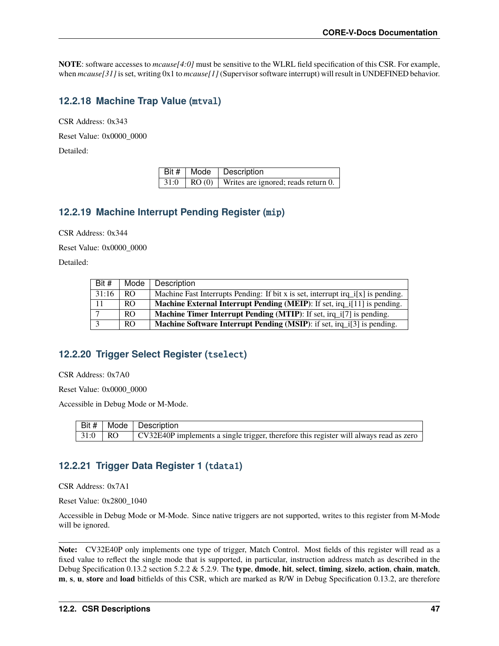**NOTE**: software accesses to *mcause[4:0]* must be sensitive to the WLRL field specification of this CSR. For example, when  $meause[31]$  is set, writing 0x1 to  $meause[1]$  (Supervisor software interrupt) will result in UNDEFINED behavior.

### **12.2.18 Machine Trap Value (**mtval**)**

CSR Address: 0x343

Reset Value: 0x0000\_0000

Detailed:

|  | Bit #   Mode   Description                                              |
|--|-------------------------------------------------------------------------|
|  | $\vert$ 31:0 $\vert$ RO (0) $\vert$ Writes are ignored; reads return 0. |

#### **12.2.19 Machine Interrupt Pending Register (**mip**)**

CSR Address: 0x344

Reset Value: 0x0000\_0000

Detailed:

| Bit # | Mode | Description                                                                      |
|-------|------|----------------------------------------------------------------------------------|
| 31:16 | RO.  | Machine Fast Interrupts Pending: If bit x is set, interrupt irq_i[x] is pending. |
| 11    | RO.  | Machine External Interrupt Pending (MEIP): If set, irq_i[11] is pending.         |
|       | RO.  | <b>Machine Timer Interrupt Pending (MTIP):</b> If set, irq_i[7] is pending.      |
|       | RO.  | Machine Software Interrupt Pending (MSIP): if set, irq_i[3] is pending.          |

### <span id="page-52-0"></span>**12.2.20 Trigger Select Register (**tselect**)**

CSR Address: 0x7A0

Reset Value: 0x0000\_0000

Accessible in Debug Mode or M-Mode.

|           | Bit #   Mode   Description                                                             |
|-----------|----------------------------------------------------------------------------------------|
| $31:0$ RO | CV32E40P implements a single trigger, therefore this register will always read as zero |

### <span id="page-52-1"></span>**12.2.21 Trigger Data Register 1 (**tdata1**)**

CSR Address: 0x7A1

Reset Value: 0x2800\_1040

Accessible in Debug Mode or M-Mode. Since native triggers are not supported, writes to this register from M-Mode will be ignored.

**Note:** CV32E40P only implements one type of trigger, Match Control. Most fields of this register will read as a fixed value to reflect the single mode that is supported, in particular, instruction address match as described in the Debug Specification 0.13.2 section 5.2.2 & 5.2.9. The **type**, **dmode**, **hit**, **select**, **timing**, **sizelo**, **action**, **chain**, **match**, **m**, **s**, **u**, **store** and **load** bitfields of this CSR, which are marked as R/W in Debug Specification 0.13.2, are therefore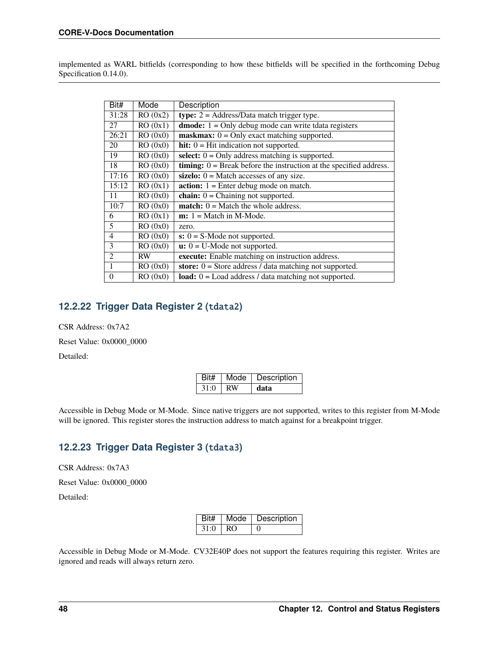implemented as WARL bitfields (corresponding to how these bitfields will be specified in the forthcoming Debug Specification 0.14.0).

| Bit#           | Mode      | Description                                                                            |
|----------------|-----------|----------------------------------------------------------------------------------------|
| 31:28          | RO(0x2)   | type: $2 =$ Address/Data match trigger type.                                           |
| 27             | RO(0x1)   | <b>dmode:</b> $1 =$ Only debug mode can write tdata registers                          |
| 26:21          | RO(0x0)   | $maskmax: 0 = Only exact matching supported.$                                          |
| 20             | RO(0x0)   | hit: $0 = Hit$ indication not supported.                                               |
| 19             | RO(0x0)   | select: $0 =$ Only address matching is supported.                                      |
| 18             | RO(0x0)   | <b>timing:</b> $\overline{0}$ = Break before the instruction at the specified address. |
| 17:16          | RO(0x0)   | sizelo: $0 =$ Match accesses of any size.                                              |
| 15:12          | RO(0x1)   | $action: 1 = Enter debug mode on match.$                                               |
| 11             | RO(0x0)   | chain: $0 =$ Chaining not supported.                                                   |
| 10:7           | RO(0x0)   | <b>match:</b> $0 =$ Match the whole address.                                           |
| 6              | RO(0x1)   | $m: 1 = Match in M-Mode.$                                                              |
| 5              | RO(0x0)   | zero.                                                                                  |
| 4              | RO(0x0)   | $s: 0 = S$ -Mode not supported.                                                        |
| 3              | RO(0x0)   | $\overline{\mathbf{u}}$ : $\overline{0}$ = U-Mode not supported.                       |
| $\overline{2}$ | <b>RW</b> | execute: Enable matching on instruction address.                                       |
| 1              | RO(0x0)   | store: $0 =$ Store address / data matching not supported.                              |
| $\Omega$       | RO(0x0)   | load: $0 =$ Load address / data matching not supported.                                |

### <span id="page-53-0"></span>**12.2.22 Trigger Data Register 2 (**tdata2**)**

CSR Address: 0x7A2

Reset Value: 0x0000\_0000

Detailed:

| Rit# | Mode | Description |
|------|------|-------------|
| 31.0 | RW   | data        |

Accessible in Debug Mode or M-Mode. Since native triggers are not supported, writes to this register from M-Mode will be ignored. This register stores the instruction address to match against for a breakpoint trigger.

### **12.2.23 Trigger Data Register 3 (**tdata3**)**

CSR Address: 0x7A3

Reset Value: 0x0000\_0000

Detailed:

|      | Bit#   Mode | Description |
|------|-------------|-------------|
| 31:0 | RO.         |             |

Accessible in Debug Mode or M-Mode. CV32E40P does not support the features requiring this register. Writes are ignored and reads will always return zero.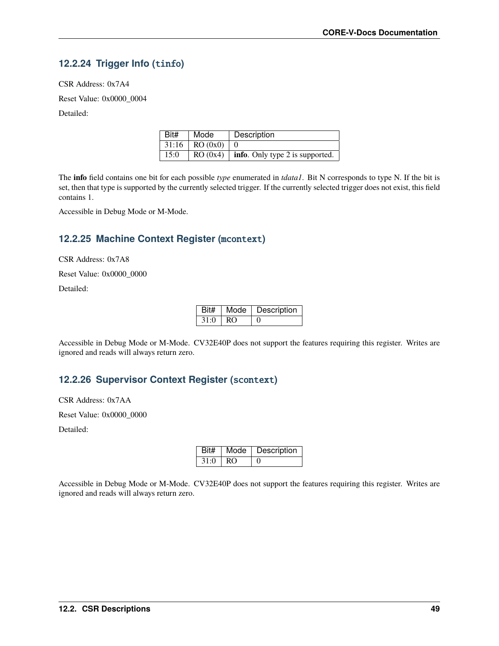## <span id="page-54-0"></span>**12.2.24 Trigger Info (**tinfo**)**

CSR Address: 0x7A4

Reset Value: 0x0000\_0004

Detailed:

| Bit# | Mode             | Description                                  |
|------|------------------|----------------------------------------------|
|      | $31:16$ RO (0x0) |                                              |
| 15:0 |                  | RO $(0x4)$   info. Only type 2 is supported. |

The **info** field contains one bit for each possible *type* enumerated in *tdata1*. Bit N corresponds to type N. If the bit is set, then that type is supported by the currently selected trigger. If the currently selected trigger does not exist, this field contains 1.

Accessible in Debug Mode or M-Mode.

### **12.2.25 Machine Context Register (**mcontext**)**

CSR Address: 0x7A8

Reset Value: 0x0000\_0000

Detailed:

| Rit# | Mode | Description |
|------|------|-------------|
| 31.0 | RΩ   |             |

Accessible in Debug Mode or M-Mode. CV32E40P does not support the features requiring this register. Writes are ignored and reads will always return zero.

#### **12.2.26 Supervisor Context Register (**scontext**)**

CSR Address: 0x7AA

Reset Value: 0x0000\_0000

Detailed:

| Bit# | Mode | Description |
|------|------|-------------|
| 31:0 | RO   |             |

Accessible in Debug Mode or M-Mode. CV32E40P does not support the features requiring this register. Writes are ignored and reads will always return zero.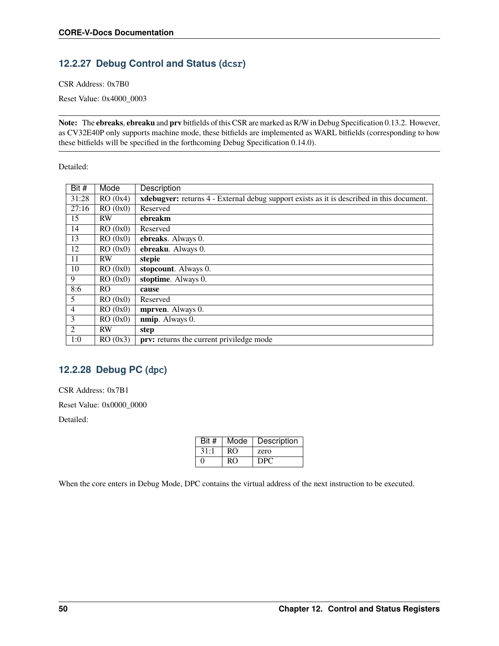## <span id="page-55-0"></span>**12.2.27 Debug Control and Status (**dcsr**)**

CSR Address: 0x7B0

Reset Value: 0x4000\_0003

**Note:** The **ebreaks**, **ebreaku** and **prv** bitfields of this CSR are marked as R/W in Debug Specification 0.13.2. However, as CV32E40P only supports machine mode, these bitfields are implemented as WARL bitfields (corresponding to how these bitfields will be specified in the forthcoming Debug Specification 0.14.0).

Detailed:

| Bit #          | Mode           | Description                                                                                      |
|----------------|----------------|--------------------------------------------------------------------------------------------------|
| 31:28          | RO(0x4)        | <b>xdebugver:</b> returns 4 - External debug support exists as it is described in this document. |
| 27:16          | RO(0x0)        | Reserved                                                                                         |
| 15             | <b>RW</b>      | ebreakm                                                                                          |
| 14             | RO(0x0)        | Reserved                                                                                         |
| 13             | RO(0x0)        | ebreaks. Always 0.                                                                               |
| 12             | RO(0x0)        | ebreaku. Always 0.                                                                               |
| 11             | <b>RW</b>      | stepie                                                                                           |
| 10             | RO(0x0)        | stopcount. Always 0.                                                                             |
| 9              | RO(0x0)        | stoptime. Always 0.                                                                              |
| 8:6            | R <sub>O</sub> | cause                                                                                            |
| 5              | RO(0x0)        | Reserved                                                                                         |
| $\overline{4}$ | RO(0x0)        | mprven. Always 0.                                                                                |
| 3              | RO(0x0)        | nmip. Always 0.                                                                                  |
| $\overline{2}$ | <b>RW</b>      | step                                                                                             |
| 1:0            | RO(0x3)        | <b>prv:</b> returns the current priviledge mode                                                  |

#### <span id="page-55-1"></span>**12.2.28 Debug PC (**dpc**)**

CSR Address: 0x7B1

Reset Value: 0x0000\_0000

Detailed:

| Bit #             | Mode | Description     |
|-------------------|------|-----------------|
| 31:1              | RO.  | zero            |
| $\mathbf{\Omega}$ | RO   | D <sub>PC</sub> |

When the core enters in Debug Mode, DPC contains the virtual address of the next instruction to be executed.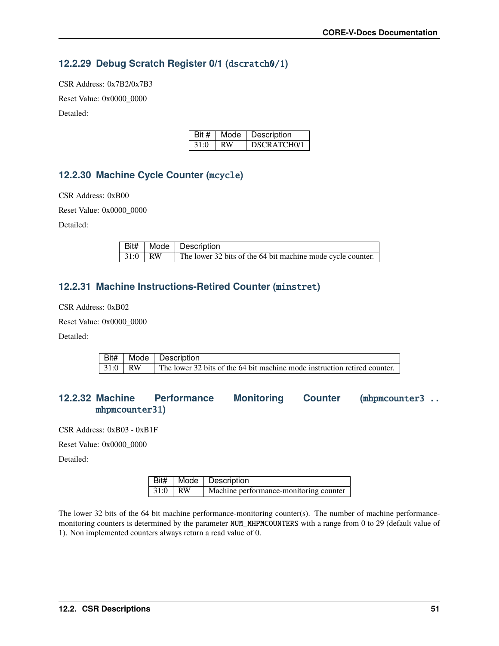### **12.2.29 Debug Scratch Register 0/1 (**dscratch0/1**)**

CSR Address: 0x7B2/0x7B3 Reset Value: 0x0000\_0000 Detailed:

| Bit # | Mode | Description              |
|-------|------|--------------------------|
| 31:0  | RW   | DSCRATCH <sub>0</sub> /1 |

### **12.2.30 Machine Cycle Counter (**mcycle**)**

CSR Address: 0xB00

Reset Value: 0x0000\_0000

Detailed:

|           | Bit#   Mode   Description                                   |
|-----------|-------------------------------------------------------------|
| $31:0$ RW | The lower 32 bits of the 64 bit machine mode cycle counter. |

#### **12.2.31 Machine Instructions-Retired Counter (**minstret**)**

CSR Address: 0xB02

Reset Value: 0x0000\_0000

Detailed:

|                       | Bit#   Mode   Description                                                 |  |
|-----------------------|---------------------------------------------------------------------------|--|
| $\vert 31:0 \vert RW$ | The lower 32 bits of the 64 bit machine mode instruction retired counter. |  |

#### **12.2.32 Machine Performance Monitoring Counter (**mhpmcounter3 .. mhpmcounter31**)**

CSR Address: 0xB03 - 0xB1F

Reset Value: 0x0000\_0000

Detailed:

|           | Bit#   Mode   Description              |  |
|-----------|----------------------------------------|--|
| $31:0$ RW | Machine performance-monitoring counter |  |

The lower 32 bits of the 64 bit machine performance-monitoring counter(s). The number of machine performancemonitoring counters is determined by the parameter NUM\_MHPMCOUNTERS with a range from 0 to 29 (default value of 1). Non implemented counters always return a read value of 0.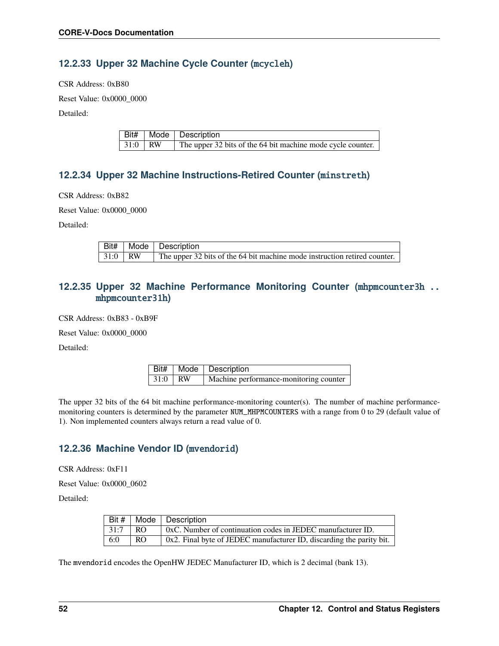### **12.2.33 Upper 32 Machine Cycle Counter (**mcycleh**)**

CSR Address: 0xB80

Reset Value: 0x0000\_0000

Detailed:

|           | Bit#   Mode   Description                                   |
|-----------|-------------------------------------------------------------|
| $31:0$ RW | The upper 32 bits of the 64 bit machine mode cycle counter. |

### **12.2.34 Upper 32 Machine Instructions-Retired Counter (**minstreth**)**

CSR Address: 0xB82

Reset Value: 0x0000\_0000

Detailed:

|           | <b>Bit#</b> Mode Description                                              |
|-----------|---------------------------------------------------------------------------|
| $31:0$ RW | The upper 32 bits of the 64 bit machine mode instruction retired counter. |

#### **12.2.35 Upper 32 Machine Performance Monitoring Counter (**mhpmcounter3h .. mhpmcounter31h**)**

CSR Address: 0xB83 - 0xB9F

Reset Value: 0x0000\_0000

Detailed:

|           | Bit#   Mode   Description              |  |
|-----------|----------------------------------------|--|
| $31:0$ RW | Machine performance-monitoring counter |  |

The upper 32 bits of the 64 bit machine performance-monitoring counter(s). The number of machine performancemonitoring counters is determined by the parameter NUM\_MHPMCOUNTERS with a range from 0 to 29 (default value of 1). Non implemented counters always return a read value of 0.

#### **12.2.36 Machine Vendor ID (**mvendorid**)**

CSR Address: 0xF11

Reset Value: 0x0000\_0602

Detailed:

|      |     | Bit #   Mode   Description                                              |  |
|------|-----|-------------------------------------------------------------------------|--|
| 31:7 | RO. | 0xC. Number of continuation codes in JEDEC manufacturer ID.             |  |
| 6:0  | RO. | $0x2$ . Final byte of JEDEC manufacturer ID, discarding the parity bit. |  |

The mvendorid encodes the OpenHW JEDEC Manufacturer ID, which is 2 decimal (bank 13).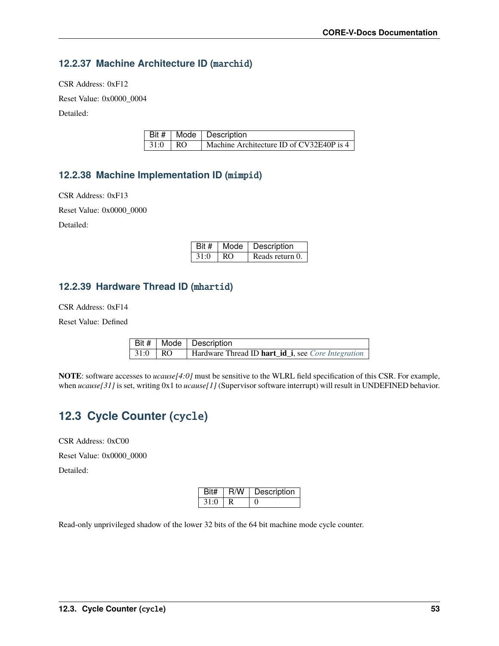### **12.2.37 Machine Architecture ID (**marchid**)**

CSR Address: 0xF12

Reset Value: 0x0000\_0004

Detailed:

|                 | <b>Bit #   Mode   Description</b>        |  |
|-----------------|------------------------------------------|--|
| $\vert$ 31:0 RO | Machine Architecture ID of CV32E40P is 4 |  |

### **12.2.38 Machine Implementation ID (**mimpid**)**

CSR Address: 0xF13

Reset Value: 0x0000\_0000

Detailed:

| Bit # |     | Mode   Description |
|-------|-----|--------------------|
| 31:0  | RO. | Reads return 0.    |

#### **12.2.39 Hardware Thread ID (**mhartid**)**

CSR Address: 0xF14

Reset Value: Defined

|           | <b>Bit #</b>   Mode   Description                                 |  |
|-----------|-------------------------------------------------------------------|--|
| $31:0$ RO | Hardware Thread ID <b>hart_id_i</b> , see <i>Core Integration</i> |  |

**NOTE**: software accesses to *ucause[4:0]* must be sensitive to the WLRL field specification of this CSR. For example, when *ucause*[31] is set, writing 0x1 to *ucause*[1] (Supervisor software interrupt) will result in UNDEFINED behavior.

## **12.3 Cycle Counter (**cycle**)**

CSR Address: 0xC00

Reset Value: 0x0000\_0000

Detailed:

| Bit# | R/W | Description |
|------|-----|-------------|
| 31:0 |     |             |

Read-only unprivileged shadow of the lower 32 bits of the 64 bit machine mode cycle counter.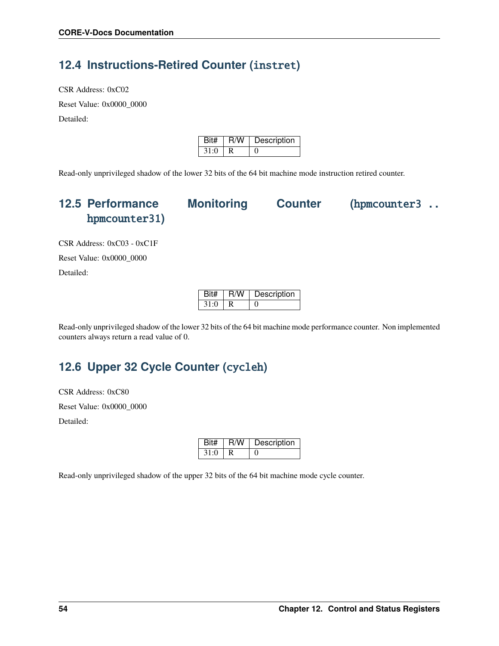## **12.4 Instructions-Retired Counter (**instret**)**

CSR Address: 0xC02 Reset Value: 0x0000\_0000 Detailed:

| Bit# | R/W | Description |
|------|-----|-------------|
| 31.0 |     |             |

Read-only unprivileged shadow of the lower 32 bits of the 64 bit machine mode instruction retired counter.

## **12.5 Performance Monitoring Counter (**hpmcounter3 .. hpmcounter31**)**



CSR Address: 0xC03 - 0xC1F Reset Value: 0x0000\_0000 Detailed:

| Bit# | R/W | Description |
|------|-----|-------------|
| 31:0 |     |             |

Read-only unprivileged shadow of the lower 32 bits of the 64 bit machine mode performance counter. Non implemented counters always return a read value of 0.

## **12.6 Upper 32 Cycle Counter (**cycleh**)**

CSR Address: 0xC80 Reset Value: 0x0000\_0000

Detailed:

| Bit# | R/W | Description |
|------|-----|-------------|
| 31:0 |     |             |

Read-only unprivileged shadow of the upper 32 bits of the 64 bit machine mode cycle counter.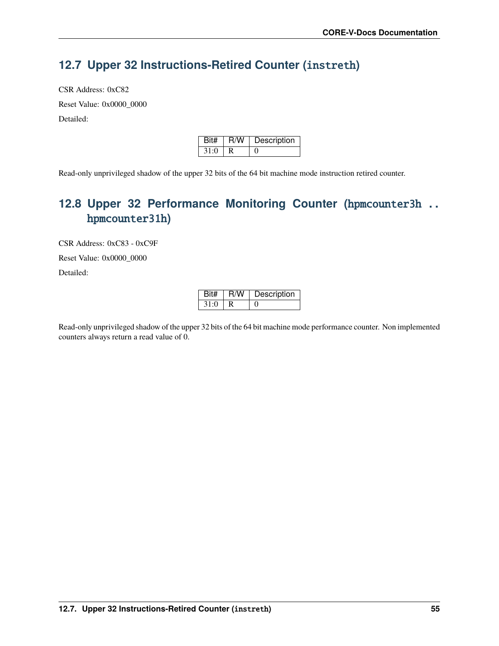## **12.7 Upper 32 Instructions-Retired Counter (**instreth**)**

CSR Address: 0xC82 Reset Value: 0x0000\_0000 Detailed:

| Bit# | ∣ R/W | Description |
|------|-------|-------------|
| 31.0 |       |             |

Read-only unprivileged shadow of the upper 32 bits of the 64 bit machine mode instruction retired counter.

## **12.8 Upper 32 Performance Monitoring Counter (**hpmcounter3h .. hpmcounter31h**)**

CSR Address: 0xC83 - 0xC9F Reset Value: 0x0000\_0000 Detailed:

| Bit# | R/W | Description |
|------|-----|-------------|
| 31:0 |     |             |

Read-only unprivileged shadow of the upper 32 bits of the 64 bit machine mode performance counter. Non implemented counters always return a read value of 0.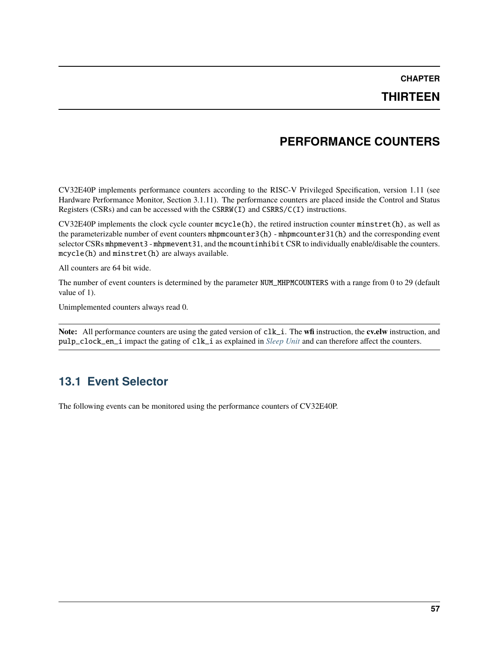### **THIRTEEN**

## **PERFORMANCE COUNTERS**

CV32E40P implements performance counters according to the RISC-V Privileged Specification, version 1.11 (see Hardware Performance Monitor, Section 3.1.11). The performance counters are placed inside the Control and Status Registers (CSRs) and can be accessed with the CSRRW(I) and CSRRS/C(I) instructions.

CV32E40P implements the clock cycle counter mcycle(h), the retired instruction counter minstret(h), as well as the parameterizable number of event counters mhpmcounter3(h) - mhpmcounter31(h) and the corresponding event selector CSRs mhpmevent3 - mhpmevent31, and the mcountinhibit CSR to individually enable/disable the counters. mcycle(h) and minstret(h) are always available.

All counters are 64 bit wide.

The number of event counters is determined by the parameter NUM\_MHPMCOUNTERS with a range from 0 to 29 (default value of 1).

Unimplemented counters always read 0.

**Note:** All performance counters are using the gated version of clk\_i. The **wfi** instruction, the **cv.elw** instruction, and pulp\_clock\_en\_i impact the gating of clk\_i as explained in *[Sleep Unit](#page-38-1)* and can therefore affect the counters.

## **13.1 Event Selector**

The following events can be monitored using the performance counters of CV32E40P.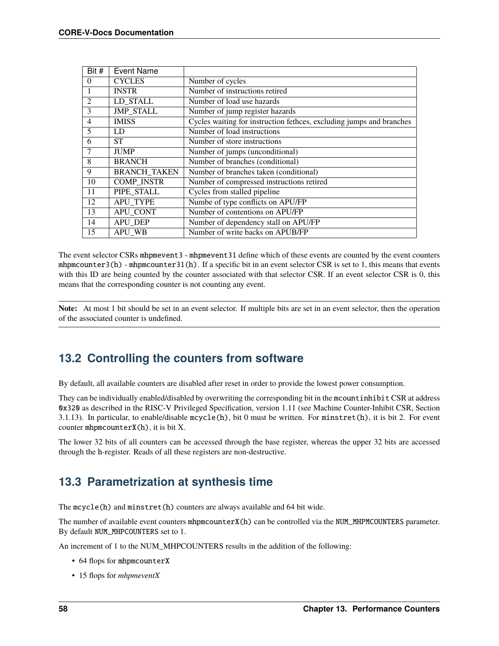| Bit $#$        | <b>Event Name</b>   |                                                                      |
|----------------|---------------------|----------------------------------------------------------------------|
| $\Omega$       | <b>CYCLES</b>       | Number of cycles                                                     |
|                | <b>INSTR</b>        | Number of instructions retired                                       |
| $\mathfrak{D}$ | LD STALL            | Number of load use hazards                                           |
| 3              | <b>JMP STALL</b>    | Number of jump register hazards                                      |
| $\overline{4}$ | <b>IMISS</b>        | Cycles waiting for instruction fethces, excluding jumps and branches |
| 5              | LD                  | Number of load instructions                                          |
| 6              | <b>ST</b>           | Number of store instructions                                         |
|                | <b>JUMP</b>         | Number of jumps (unconditional)                                      |
| 8              | <b>BRANCH</b>       | Number of branches (conditional)                                     |
| 9              | <b>BRANCH TAKEN</b> | Number of branches taken (conditional)                               |
| 10             | <b>COMP_INSTR</b>   | Number of compressed instructions retired                            |
| 11             | PIPE STALL          | Cycles from stalled pipeline                                         |
| 12             | APU TYPE            | Numbe of type conflicts on APU/FP                                    |
| 13             | APU CONT            | Number of contentions on APU/FP                                      |
| 14             | <b>APU DEP</b>      | Number of dependency stall on APU/FP                                 |
| 15             | APU WB              | Number of write backs on APUB/FP                                     |

The event selector CSRs mhpmevent3 - mhpmevent31 define which of these events are counted by the event counters mhpmcounter3(h) - mhpmcounter31(h). If a specific bit in an event selector CSR is set to 1, this means that events with this ID are being counted by the counter associated with that selector CSR. If an event selector CSR is 0, this means that the corresponding counter is not counting any event.

**Note:** At most 1 bit should be set in an event selector. If multiple bits are set in an event selector, then the operation of the associated counter is undefined.

## **13.2 Controlling the counters from software**

By default, all available counters are disabled after reset in order to provide the lowest power consumption.

They can be individually enabled/disabled by overwriting the corresponding bit in the mcountinhibit CSR at address 0x320 as described in the RISC-V Privileged Specification, version 1.11 (see Machine Counter-Inhibit CSR, Section 3.1.13). In particular, to enable/disable mcycle(h), bit 0 must be written. For minstret(h), it is bit 2. For event counter mhpmcounterX(h), it is bit X.

The lower 32 bits of all counters can be accessed through the base register, whereas the upper 32 bits are accessed through the h-register. Reads of all these registers are non-destructive.

## **13.3 Parametrization at synthesis time**

The mcycle(h) and minstret(h) counters are always available and 64 bit wide.

The number of available event counters mhpmcounterX(h) can be controlled via the NUM\_MHPMCOUNTERS parameter. By default NUM\_MHPCOUNTERS set to 1.

An increment of 1 to the NUM\_MHPCOUNTERS results in the addition of the following:

- 64 flops for mhpmcounterX
- 15 flops for *mhpmeventX*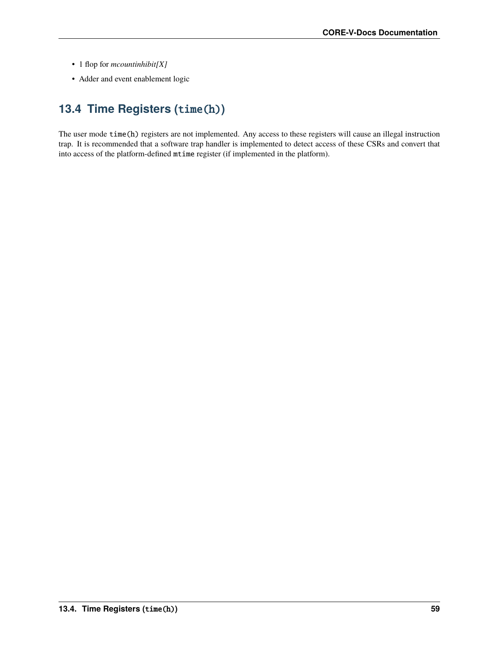- 1 flop for *mcountinhibit[X]*
- Adder and event enablement logic

# **13.4 Time Registers (**time(h)**)**

The user mode time(h) registers are not implemented. Any access to these registers will cause an illegal instruction trap. It is recommended that a software trap handler is implemented to detect access of these CSRs and convert that into access of the platform-defined mtime register (if implemented in the platform).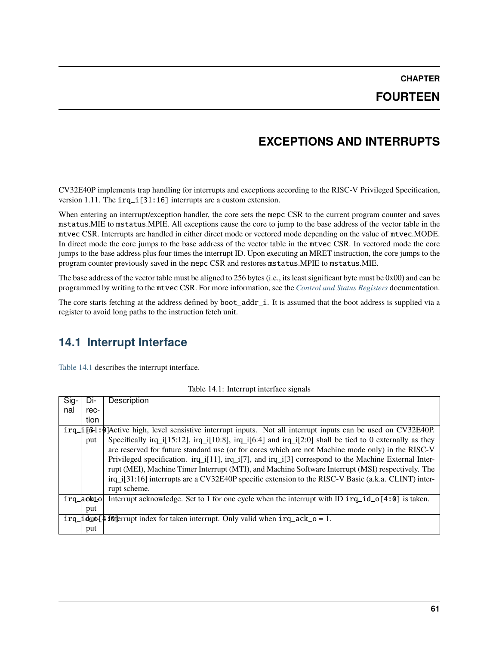## **FOURTEEN**

## **EXCEPTIONS AND INTERRUPTS**

CV32E40P implements trap handling for interrupts and exceptions according to the RISC-V Privileged Specification, version 1.11. The irq\_i[31:16] interrupts are a custom extension.

When entering an interrupt/exception handler, the core sets the mepc CSR to the current program counter and saves mstatus.MIE to mstatus.MPIE. All exceptions cause the core to jump to the base address of the vector table in the mtvec CSR. Interrupts are handled in either direct mode or vectored mode depending on the value of mtvec.MODE. In direct mode the core jumps to the base address of the vector table in the mtvec CSR. In vectored mode the core jumps to the base address plus four times the interrupt ID. Upon executing an MRET instruction, the core jumps to the program counter previously saved in the mepc CSR and restores mstatus.MPIE to mstatus.MIE.

The base address of the vector table must be aligned to 256 bytes (i.e., its least significant byte must be 0x00) and can be programmed by writing to the mtvec CSR. For more information, see the *[Control and Status Registers](#page-44-0)* documentation.

The core starts fetching at the address defined by boot\_addr\_i. It is assumed that the boot address is supplied via a register to avoid long paths to the instruction fetch unit.

## **14.1 Interrupt Interface**

[Table](#page-66-0) [14.1](#page-66-0) describes the interrupt interface.

| Table 14.1: Interrupt interface signals |  |  |  |
|-----------------------------------------|--|--|--|
|-----------------------------------------|--|--|--|

<span id="page-66-0"></span>

| Sig- | Di-       | Description                                                                                                                                                                                                                                                                                        |
|------|-----------|----------------------------------------------------------------------------------------------------------------------------------------------------------------------------------------------------------------------------------------------------------------------------------------------------|
| nal  | rec-      |                                                                                                                                                                                                                                                                                                    |
|      | tion      |                                                                                                                                                                                                                                                                                                    |
|      |           | $irq_i$ in $\beta$ and $\beta$ in $\beta$ . The set of set of set of set of set of set of set of set of the set of $\alpha$ CV32E40P.                                                                                                                                                              |
|      | put       | Specifically irq_i[15:12], irq_i[10:8], irq_i[6:4] and irq_i[2:0] shall be tied to 0 externally as they                                                                                                                                                                                            |
|      |           | are reserved for future standard use (or for cores which are not Machine mode only) in the RISC-V                                                                                                                                                                                                  |
|      |           | Privileged specification. $irq_i[11]$ , $irq_i[7]$ , and $irq_i[3]$ correspond to the Machine External Inter-                                                                                                                                                                                      |
|      |           | rupt (MEI), Machine Timer Interrupt (MTI), and Machine Software Interrupt (MSI) respectively. The                                                                                                                                                                                                  |
|      |           | irq_i[31:16] interrupts are a CV32E40P specific extension to the RISC-V Basic (a.k.a. CLINT) inter-                                                                                                                                                                                                |
|      |           | rupt scheme.                                                                                                                                                                                                                                                                                       |
|      | irg_aohto | Interrupt acknowledge. Set to 1 for one cycle when the interrupt with ID $irq_id_o[4:0]$ is taken.                                                                                                                                                                                                 |
|      | put       |                                                                                                                                                                                                                                                                                                    |
|      |           | $\text{irq}_i$ $\text{d}$ $\text{d}$ $\text{d}$ $\text{d}$ $\text{d}$ $\text{d}$ $\text{d}$ $\text{d}$ $\text{d}$ $\text{d}$ for taken interrupt. Only valid when $\text{irq}_i$ ack $\text{d}$ $\text{d}$ $\text{d}$ $\text{d}$ $\text{d}$ $\text{d}$ $\text{d}$ $\text{d}$ $\text{d}$ $\text{d}$ |
|      | put       |                                                                                                                                                                                                                                                                                                    |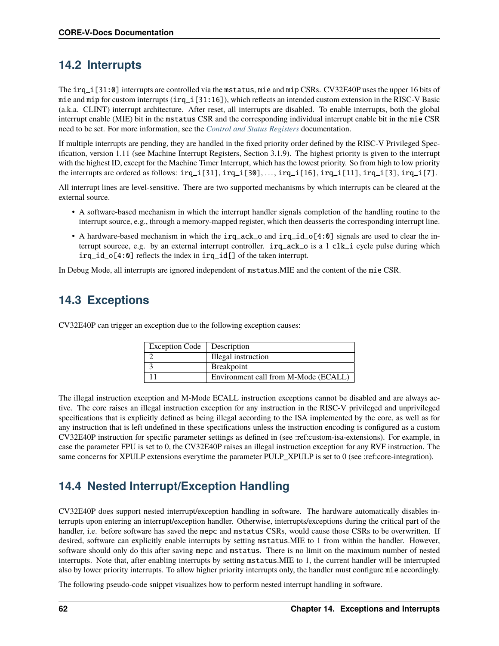## **14.2 Interrupts**

The irq\_i[31:0] interrupts are controlled via the mstatus, mie and mip CSRs. CV32E40P uses the upper 16 bits of mie and mip for custom interrupts (irq\_i[31:16]), which reflects an intended custom extension in the RISC-V Basic (a.k.a. CLINT) interrupt architecture. After reset, all interrupts are disabled. To enable interrupts, both the global interrupt enable (MIE) bit in the mstatus CSR and the corresponding individual interrupt enable bit in the mie CSR need to be set. For more information, see the *[Control and Status Registers](#page-44-0)* documentation.

If multiple interrupts are pending, they are handled in the fixed priority order defined by the RISC-V Privileged Specification, version 1.11 (see Machine Interrupt Registers, Section 3.1.9). The highest priority is given to the interrupt with the highest ID, except for the Machine Timer Interrupt, which has the lowest priority. So from high to low priority the interrupts are ordered as follows:  $irq_i[31], irq_i[30], \ldots, irq_i[16], irq_i[11], irq_i[3], irq_i[7].$ 

All interrupt lines are level-sensitive. There are two supported mechanisms by which interrupts can be cleared at the external source.

- A software-based mechanism in which the interrupt handler signals completion of the handling routine to the interrupt source, e.g., through a memory-mapped register, which then deasserts the corresponding interrupt line.
- A hardware-based mechanism in which the irq\_ack\_o and irq\_id\_o[4:0] signals are used to clear the interrupt sourcee, e.g. by an external interrupt controller. irq\_ack\_o is a 1 clk\_i cycle pulse during which irq\_id\_o[4:0] reflects the index in irq\_id[] of the taken interrupt.

In Debug Mode, all interrupts are ignored independent of mstatus.MIE and the content of the mie CSR.

## **14.3 Exceptions**

| <b>Exception Code</b> | Description                          |
|-----------------------|--------------------------------------|
|                       | Illegal instruction                  |
|                       | <b>Breakpoint</b>                    |
|                       | Environment call from M-Mode (ECALL) |

CV32E40P can trigger an exception due to the following exception causes:

The illegal instruction exception and M-Mode ECALL instruction exceptions cannot be disabled and are always active. The core raises an illegal instruction exception for any instruction in the RISC-V privileged and unprivileged specifications that is explicitly defined as being illegal according to the ISA implemented by the core, as well as for any instruction that is left undefined in these specifications unless the instruction encoding is configured as a custom CV32E40P instruction for specific parameter settings as defined in (see :ref:custom-isa-extensions). For example, in case the parameter FPU is set to 0, the CV32E40P raises an illegal instruction exception for any RVF instruction. The same concerns for XPULP extensions everytime the parameter PULP\_XPULP is set to 0 (see :ref:core-integration).

## **14.4 Nested Interrupt/Exception Handling**

CV32E40P does support nested interrupt/exception handling in software. The hardware automatically disables interrupts upon entering an interrupt/exception handler. Otherwise, interrupts/exceptions during the critical part of the handler, i.e. before software has saved the mepc and mstatus CSRs, would cause those CSRs to be overwritten. If desired, software can explicitly enable interrupts by setting mstatus.MIE to 1 from within the handler. However, software should only do this after saving mepc and mstatus. There is no limit on the maximum number of nested interrupts. Note that, after enabling interrupts by setting mstatus.MIE to 1, the current handler will be interrupted also by lower priority interrupts. To allow higher priority interrupts only, the handler must configure mie accordingly.

The following pseudo-code snippet visualizes how to perform nested interrupt handling in software.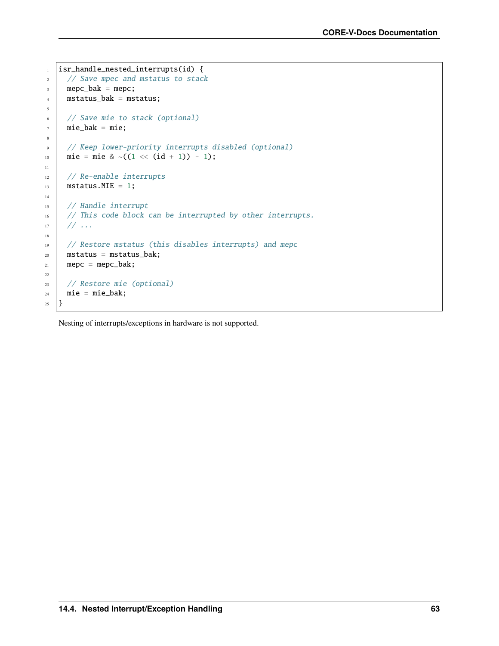```
1 | isr_handle_nested_interrupts(id) {
2 // Save mpec and mstatus to stack
\beta mepc_bak = mepc;
4 mstatus_bak = mstatus;
5
6 // Save mie to stack (optional)
7 mie_bak = mie;
8
9 // Keep lower-priority interrupts disabled (optional)
10 mie = mie & ~((1 \ll (id + 1)) - 1);
11
12 // Re-enable interrupts
13 mstatus. MIE = 1;
14
15 // Handle interrupt
16 // This code block can be interrupted by other interrupts.
17 // ...
18
19 // Restore mstatus (this disables interrupts) and mepc
_{20} mstatus = mstatus_bak;
21 mepc = mepc_bak;
22
23 // Restore mie (optional)
24 mie = mie_bak;
25 \mid \}
```
Nesting of interrupts/exceptions in hardware is not supported.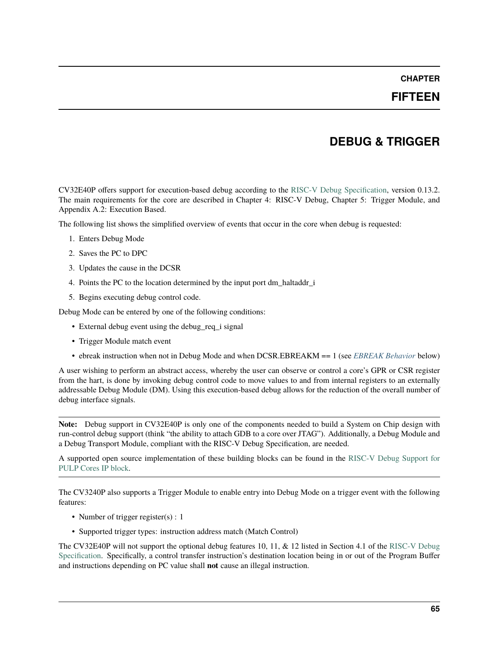#### **FIFTEEN**

## **DEBUG & TRIGGER**

CV32E40P offers support for execution-based debug according to the [RISC-V Debug Specification,](https://github.com/riscv/riscv-debug-spec/blob/release/riscv-debug-release.pdf) version 0.13.2. The main requirements for the core are described in Chapter 4: RISC-V Debug, Chapter 5: Trigger Module, and Appendix A.2: Execution Based.

The following list shows the simplified overview of events that occur in the core when debug is requested:

- 1. Enters Debug Mode
- 2. Saves the PC to DPC
- 3. Updates the cause in the DCSR
- 4. Points the PC to the location determined by the input port dm\_haltaddr\_i
- 5. Begins executing debug control code.

Debug Mode can be entered by one of the following conditions:

- External debug event using the debug\_req\_i signal
- Trigger Module match event
- ebreak instruction when not in Debug Mode and when DCSR.EBREAKM == 1 (see *[EBREAK Behavior](#page-72-0)* below)

A user wishing to perform an abstract access, whereby the user can observe or control a core's GPR or CSR register from the hart, is done by invoking debug control code to move values to and from internal registers to an externally addressable Debug Module (DM). Using this execution-based debug allows for the reduction of the overall number of debug interface signals.

**Note:** Debug support in CV32E40P is only one of the components needed to build a System on Chip design with run-control debug support (think "the ability to attach GDB to a core over JTAG"). Additionally, a Debug Module and a Debug Transport Module, compliant with the RISC-V Debug Specification, are needed.

A supported open source implementation of these building blocks can be found in the [RISC-V Debug Support for](https://github.com/pulp-platform/riscv-dbg/) [PULP Cores IP block.](https://github.com/pulp-platform/riscv-dbg/)

The CV3240P also supports a Trigger Module to enable entry into Debug Mode on a trigger event with the following features:

- Number of trigger register(s) : 1
- Supported trigger types: instruction address match (Match Control)

The CV32E40P will not support the optional debug features 10, 11, & 12 listed in Section 4.1 of the [RISC-V Debug](https://github.com/riscv/riscv-debug-spec/blob/release/riscv-debug-release.pdf) [Specification.](https://github.com/riscv/riscv-debug-spec/blob/release/riscv-debug-release.pdf) Specifically, a control transfer instruction's destination location being in or out of the Program Buffer and instructions depending on PC value shall **not** cause an illegal instruction.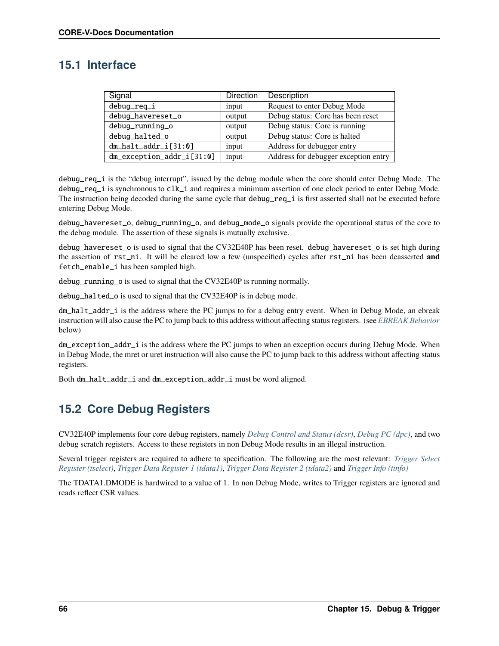## **15.1 Interface**

| Signal                    | <b>Direction</b> | Description                          |
|---------------------------|------------------|--------------------------------------|
| debug_req_i               | input            | Request to enter Debug Mode          |
| debug_havereset_o         | output           | Debug status: Core has been reset    |
| debug_running_o           | output           | Debug status: Core is running        |
| debug_halted_o            | output           | Debug status: Core is halted         |
| $dm\_halt\_addr\_i[31:0]$ | input            | Address for debugger entry           |
| dm_exception_addr_i[31:0] | input            | Address for debugger exception entry |

debug\_req\_i is the "debug interrupt", issued by the debug module when the core should enter Debug Mode. The debug\_req\_i is synchronous to clk\_i and requires a minimum assertion of one clock period to enter Debug Mode. The instruction being decoded during the same cycle that debug\_req\_i is first asserted shall not be executed before entering Debug Mode.

debug\_havereset\_o, debug\_running\_o, and debug\_mode\_o signals provide the operational status of the core to the debug module. The assertion of these signals is mutually exclusive.

debug\_havereset\_o is used to signal that the CV32E40P has been reset. debug\_havereset\_o is set high during the assertion of rst\_ni. It will be cleared low a few (unspecified) cycles after rst\_ni has been deasserted **and** fetch\_enable\_i has been sampled high.

debug\_running\_o is used to signal that the CV32E40P is running normally.

debug\_halted\_o is used to signal that the CV32E40P is in debug mode.

dm\_halt\_addr\_i is the address where the PC jumps to for a debug entry event. When in Debug Mode, an ebreak instruction will also cause the PC to jump back to this address without affecting status registers. (see *[EBREAK Behavior](#page-72-0)* below)

dm\_exception\_addr\_i is the address where the PC jumps to when an exception occurs during Debug Mode. When in Debug Mode, the mret or uret instruction will also cause the PC to jump back to this address without affecting status registers.

Both dm\_halt\_addr\_i and dm\_exception\_addr\_i must be word aligned.

## **15.2 Core Debug Registers**

CV32E40P implements four core debug registers, namely *[Debug Control and Status \(dcsr\)](#page-55-0)*, *[Debug PC \(dpc\)](#page-55-1)*, and two debug scratch registers. Access to these registers in non Debug Mode results in an illegal instruction.

Several trigger registers are required to adhere to specification. The following are the most relevant: *[Trigger Select](#page-52-0) [Register \(tselect\)](#page-52-0)*, *[Trigger Data Register 1 \(tdata1\)](#page-52-1)*, *[Trigger Data Register 2 \(tdata2\)](#page-53-0)* and *[Trigger Info \(tinfo\)](#page-54-0)*

The TDATA1.DMODE is hardwired to a value of 1. In non Debug Mode, writes to Trigger registers are ignored and reads reflect CSR values.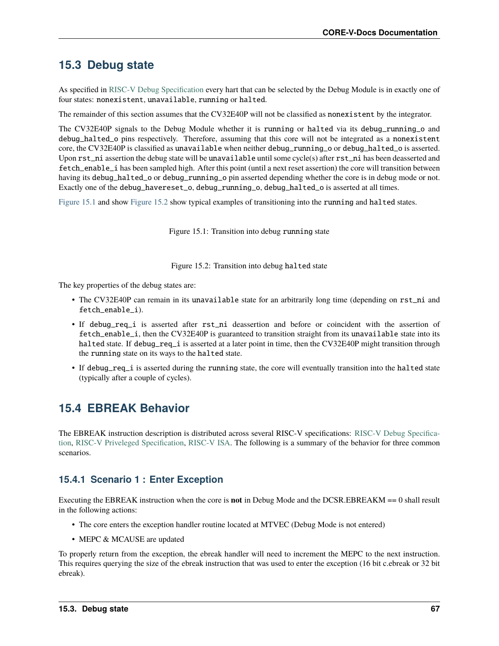## **15.3 Debug state**

As specified in [RISC-V Debug Specification](https://github.com/riscv/riscv-debug-spec/blob/release/riscv-debug-release.pdf) every hart that can be selected by the Debug Module is in exactly one of four states: nonexistent, unavailable, running or halted.

The remainder of this section assumes that the CV32E40P will not be classified as nonexistent by the integrator.

The CV32E40P signals to the Debug Module whether it is running or halted via its debug\_running\_o and debug\_halted\_o pins respectively. Therefore, assuming that this core will not be integrated as a nonexistent core, the CV32E40P is classified as unavailable when neither debug\_running\_o or debug\_halted\_o is asserted. Upon rst\_ni assertion the debug state will be unavailable until some cycle(s) after rst\_ni has been deasserted and fetch\_enable\_i has been sampled high. After this point (until a next reset assertion) the core will transition between having its debug\_halted\_o or debug\_running\_o pin asserted depending whether the core is in debug mode or not. Exactly one of the debug\_havereset\_o, debug\_running\_o, debug\_halted\_o is asserted at all times.

<span id="page-72-0"></span>[Figure](#page-72-0) [15.1](#page-72-0) and show [Figure](#page-72-1) [15.2](#page-72-1) show typical examples of transitioning into the running and halted states.

Figure 15.1: Transition into debug running state

Figure 15.2: Transition into debug halted state

<span id="page-72-1"></span>The key properties of the debug states are:

- The CV32E40P can remain in its unavailable state for an arbitrarily long time (depending on rst\_ni and fetch\_enable\_i).
- If debug\_req\_i is asserted after rst\_ni deassertion and before or coincident with the assertion of fetch\_enable\_i, then the CV32E40P is guaranteed to transition straight from its unavailable state into its halted state. If debug\_req\_i is asserted at a later point in time, then the CV32E40P might transition through the running state on its ways to the halted state.
- If debug\_req\_i is asserted during the running state, the core will eventually transition into the halted state (typically after a couple of cycles).

# **15.4 EBREAK Behavior**

The EBREAK instruction description is distributed across several RISC-V specifications: [RISC-V Debug Specifica](https://github.com/riscv/riscv-debug-spec/blob/release/riscv-debug-release.pdf)[tion,](https://github.com/riscv/riscv-debug-spec/blob/release/riscv-debug-release.pdf) [RISC-V Priveleged Specification,](https://github.com/riscv/riscv-isa-manual/releases/tag/Ratified-IMFDQC-and-Priv-v1.11) [RISC-V ISA.](https://github.com/riscv/riscv-isa-manual/releases/tag/Ratified-IMAFDQC) The following is a summary of the behavior for three common scenarios.

### **15.4.1 Scenario 1 : Enter Exception**

Executing the EBREAK instruction when the core is **not** in Debug Mode and the DCSR.EBREAKM == 0 shall result in the following actions:

- The core enters the exception handler routine located at MTVEC (Debug Mode is not entered)
- MEPC & MCAUSE are updated

To properly return from the exception, the ebreak handler will need to increment the MEPC to the next instruction. This requires querying the size of the ebreak instruction that was used to enter the exception (16 bit c.ebreak or 32 bit ebreak).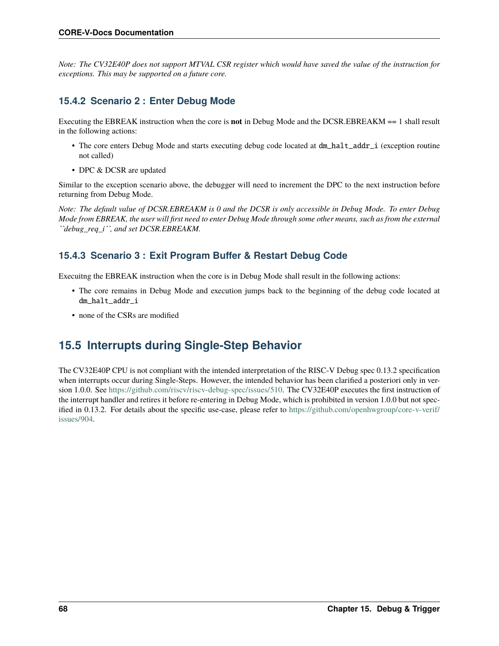*Note: The CV32E40P does not support MTVAL CSR register which would have saved the value of the instruction for exceptions. This may be supported on a future core.*

### **15.4.2 Scenario 2 : Enter Debug Mode**

Executing the EBREAK instruction when the core is **not** in Debug Mode and the DCSR.EBREAKM == 1 shall result in the following actions:

- The core enters Debug Mode and starts executing debug code located at  $dm\_half\_addr\_i$  (exception routine not called)
- DPC & DCSR are updated

Similar to the exception scenario above, the debugger will need to increment the DPC to the next instruction before returning from Debug Mode.

*Note: The default value of DCSR.EBREAKM is 0 and the DCSR is only accessible in Debug Mode. To enter Debug Mode from EBREAK, the user will first need to enter Debug Mode through some other means, such as from the external ``debug\_req\_i``, and set DCSR.EBREAKM.*

### **15.4.3 Scenario 3 : Exit Program Buffer & Restart Debug Code**

Execuitng the EBREAK instruction when the core is in Debug Mode shall result in the following actions:

- The core remains in Debug Mode and execution jumps back to the beginning of the debug code located at dm\_halt\_addr\_i
- none of the CSRs are modified

## **15.5 Interrupts during Single-Step Behavior**

The CV32E40P CPU is not compliant with the intended interpretation of the RISC-V Debug spec 0.13.2 specification when interrupts occur during Single-Steps. However, the intended behavior has been clarified a posteriori only in version 1.0.0. See [https://github.com/riscv/riscv-debug-spec/issues/510.](https://github.com/riscv/riscv-debug-spec/issues/510) The CV32E40P executes the first instruction of the interrupt handler and retires it before re-entering in Debug Mode, which is prohibited in version 1.0.0 but not specified in 0.13.2. For details about the specific use-case, please refer to [https://github.com/openhwgroup/core-v-verif/](https://github.com/openhwgroup/core-v-verif/issues/904) [issues/904.](https://github.com/openhwgroup/core-v-verif/issues/904)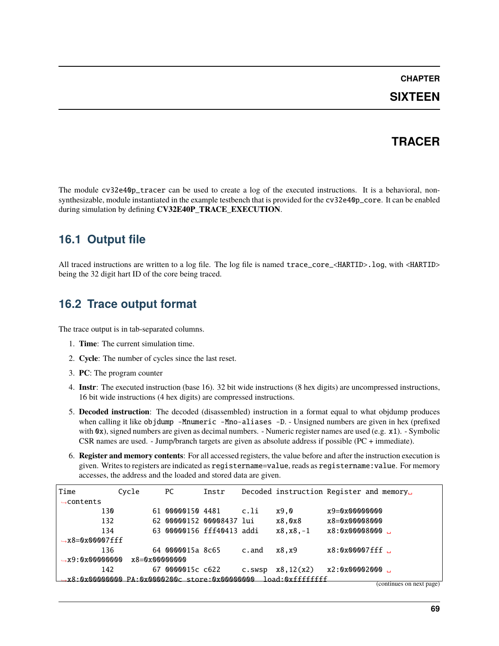#### **CHAPTER**

### **SIXTEEN**

### **TRACER**

The module cv32e40p\_tracer can be used to create a log of the executed instructions. It is a behavioral, nonsynthesizable, module instantiated in the example testbench that is provided for the cv32e40p\_core. It can be enabled during simulation by defining **CV32E40P\_TRACE\_EXECUTION**.

## **16.1 Output file**

All traced instructions are written to a log file. The log file is named trace\_core\_<HARTID>.log, with <HARTID> being the 32 digit hart ID of the core being traced.

### **16.2 Trace output format**

The trace output is in tab-separated columns.

- 1. **Time**: The current simulation time.
- 2. **Cycle**: The number of cycles since the last reset.
- 3. **PC**: The program counter
- 4. **Instr**: The executed instruction (base 16). 32 bit wide instructions (8 hex digits) are uncompressed instructions, 16 bit wide instructions (4 hex digits) are compressed instructions.
- 5. **Decoded instruction**: The decoded (disassembled) instruction in a format equal to what objdump produces when calling it like objdump -Mnumeric -Mno-aliases -D. - Unsigned numbers are given in hex (prefixed with 0x), signed numbers are given as decimal numbers. - Numeric register names are used (e.g. x1). - Symbolic CSR names are used. - Jump/branch targets are given as absolute address if possible (PC + immediate).
- 6. **Register and memory contents**: For all accessed registers, the value before and after the instruction execution is given. Writes to registers are indicated as registername=value, reads as registername:value. For memory accesses, the address and the loaded and stored data are given.

| Time                        | Cycle |    | РC                               | Instr |        | Decoded instruction Register and memory |                |                          |
|-----------------------------|-------|----|----------------------------------|-------|--------|-----------------------------------------|----------------|--------------------------|
| $\rightarrow$ contents      |       |    |                                  |       |        |                                         |                |                          |
|                             | 130   |    | 61 00000150 4481                 |       | c.li   | x9.0                                    | x9=0x00000000  |                          |
|                             | 132   |    | 62 00000152 00008437 lui         |       |        | x8,0x8                                  | x8=0x00008000  |                          |
|                             | 134   |    | 63 00000156 fff40413 addi        |       |        | $x8, x8, -1$                            | x8:0x00008000. |                          |
| $\rightarrow$ x8=0x00007fff |       |    |                                  |       |        |                                         |                |                          |
|                             | 136   |    | 64 0000015a 8c65                 |       | c.and  | x8,x9                                   | x8:0x00007fff  |                          |
| $\rightarrow$ x9:0x00000000 |       |    | $x8 = 0x00000000$                |       |        |                                         |                |                          |
|                             | 142   | 67 | 0000015c c622                    |       | C.SWSD | x8, 12(x2)                              | x2:0x00002000  |                          |
| .x8:Nx00000000              |       |    | PA: 0x0000200c store: 0x00000000 |       |        | load:Nxfffffffff                        |                |                          |
|                             |       |    |                                  |       |        |                                         |                | (continues on next page) |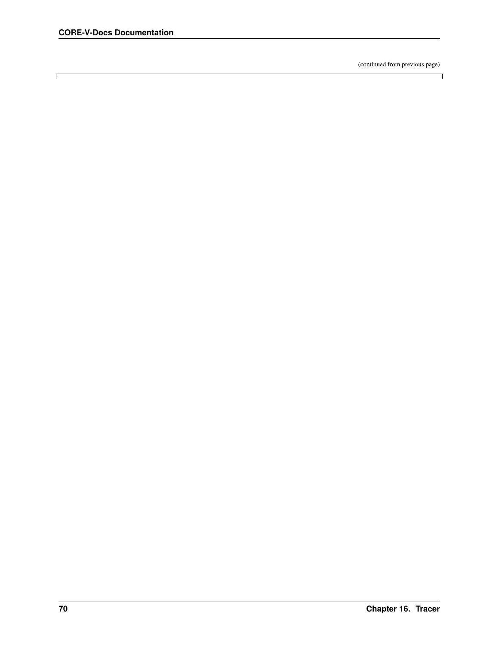$\Box$ 

(continued from previous page)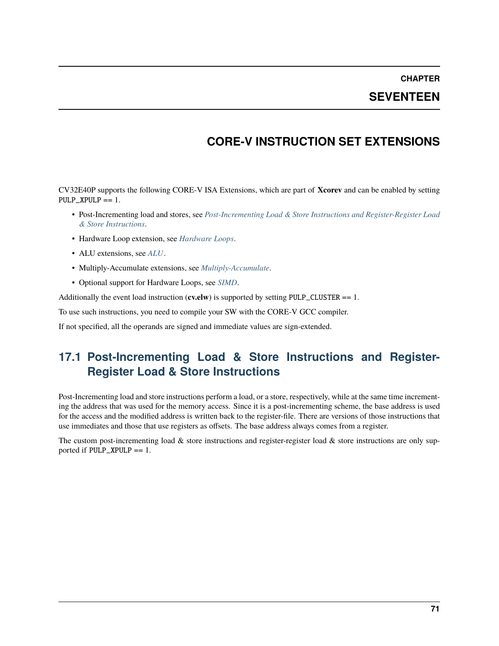**CHAPTER**

### **SEVENTEEN**

## **CORE-V INSTRUCTION SET EXTENSIONS**

CV32E40P supports the following CORE-V ISA Extensions, which are part of **Xcorev** and can be enabled by setting  $PULP_XPULP == 1.$ 

- Post-Incrementing load and stores, see *[Post-Incrementing Load & Store Instructions and Register-Register Load](#page-76-0) [& Store Instructions](#page-76-0)*.
- Hardware Loop extension, see *[Hardware Loops](#page-80-0)*.
- ALU extensions, see *[ALU](#page-81-0)*.
- Multiply-Accumulate extensions, see *[Multiply-Accumulate](#page-87-0)*.
- Optional support for Hardware Loops, see *[SIMD](#page-89-0)*.

Additionally the event load instruction (**cv.elw**) is supported by setting PULP\_CLUSTER == 1.

To use such instructions, you need to compile your SW with the CORE-V GCC compiler.

If not specified, all the operands are signed and immediate values are sign-extended.

## <span id="page-76-0"></span>**17.1 Post-Incrementing Load & Store Instructions and Register-Register Load & Store Instructions**

Post-Incrementing load and store instructions perform a load, or a store, respectively, while at the same time incrementing the address that was used for the memory access. Since it is a post-incrementing scheme, the base address is used for the access and the modified address is written back to the register-file. There are versions of those instructions that use immediates and those that use registers as offsets. The base address always comes from a register.

The custom post-incrementing load  $\&$  store instructions and register-register load  $\&$  store instructions are only supported if  $PULP$ \_XPULP == 1.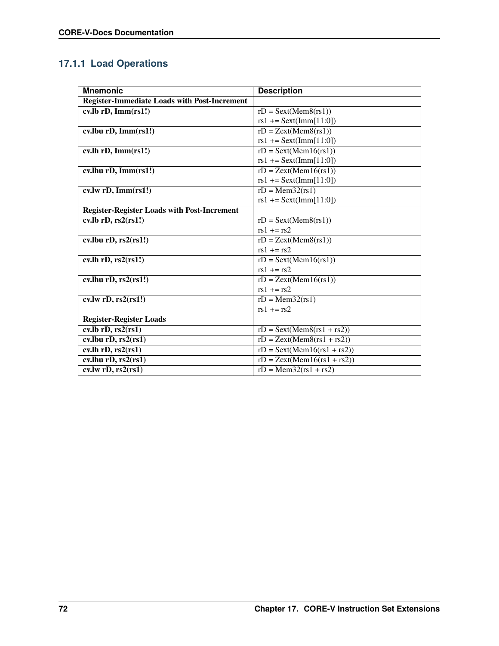## **17.1.1 Load Operations**

| <b>Mnemonic</b>                                     | <b>Description</b>                                       |
|-----------------------------------------------------|----------------------------------------------------------|
| <b>Register-Immediate Loads with Post-Increment</b> |                                                          |
| $cv$ .lb rD, Imm $(rs1!)$                           | $rD =$ Sext(Mem8(rs1))                                   |
|                                                     | $rs1 +=$ Sext(Imm[11:0])                                 |
| cv.lbu rD, Imm(rs1!)                                | $rD = Zext(Mem8(rs1))$                                   |
|                                                     | $rs1 +=$ Sext(Imm[11:0])                                 |
| cv.lh rD, Imm(rs1!)                                 | $rD =$ Sext(Mem16(rs1))                                  |
|                                                     | $rs1 +=$ Sext(Imm[11:0])                                 |
| cv.lhu rD, Imm(rs1!)                                | $rD = Zext(Mem16(rs1))$                                  |
|                                                     | $rs1 +=$ Sext(Imm[11:0])                                 |
| cv.lw rD, Imm(rs1!)                                 | $rD = Mem32(rs1)$                                        |
|                                                     | $rs1 +=$ Sext(Imm[11:0])                                 |
| <b>Register-Register Loads with Post-Increment</b>  |                                                          |
| $cv$ .lb $rD$ , $rs2(rs1!)$                         | $rD = Sext(Mem8(rs1))$                                   |
|                                                     | $rs1 + rs2$                                              |
| $cv$ .lbu rD, $rs2(rs1!)$                           | $rD = Zext(Mem8(rs1))$                                   |
|                                                     | $rs1 += rs2$                                             |
| cv.lh rD, rs2(rs1!)                                 | $rD =$ Sext(Mem16(rs1))                                  |
|                                                     | $rs1 + rs2$                                              |
| cv.lhu $rD$ , $rs2(rs1!)$                           | $rD = Zext(Mem16(rs1))$                                  |
|                                                     | $rs1 += rs2$                                             |
| cv.lw rD, rs2(rs1!)                                 | $rD = Mem32(rs1)$                                        |
|                                                     | $rs1 += rs2$                                             |
| <b>Register-Register Loads</b>                      |                                                          |
| $cv$ .lb $rD$ , $rs2(rs1)$                          | $rD = \text{Sext}(\text{Mem8}(\text{rs1} + \text{rs2}))$ |
| cv.lbu $rD$ , $rs2(rs1)$                            | $rD = Zext(Mem8(rs1 + rs2))$                             |
| cv.lh rD, rs2(rs1)                                  | $rD =$ Sext(Mem16(rs1 + rs2))                            |
| cv.lhu $rD$ , $rs2(rs1)$                            | $rD = Zext(Mem16(rs1 + rs2))$                            |
| cv.lw $rD, rs2(rs1)$                                | $rD = Mem32(rs1 + rs2)$                                  |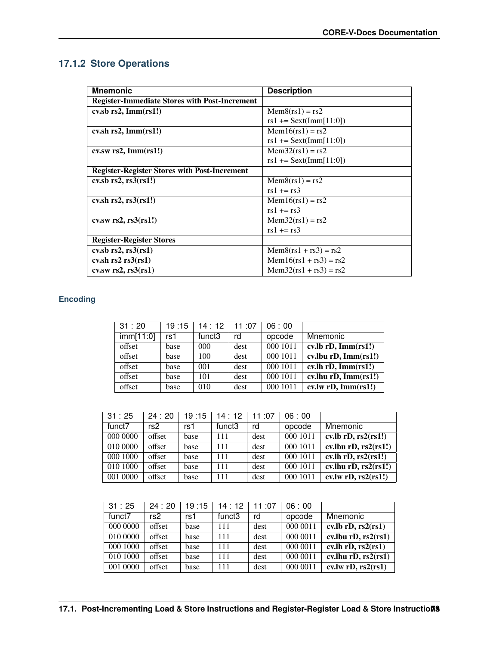## **17.1.2 Store Operations**

| <b>Mnemonic</b>                                      | <b>Description</b>       |
|------------------------------------------------------|--------------------------|
| <b>Register-Immediate Stores with Post-Increment</b> |                          |
| $cv$ sb rs2, Imm $(rs1!)$                            | $Mem8(rs1) = rs2$        |
|                                                      | $rs1 +=$ Sext(Imm[11:0]) |
| $cv.sh$ rs2, Imm $(rsl!)$                            | $Mem16(rs1) = rs2$       |
|                                                      | $rs1 +=$ Sext(Imm[11:0]) |
| $cv.sw$ rs2, Imm $(rs1!)$                            | $Mem32(rs1) = rs2$       |
|                                                      | $rs1 +=$ Sext(Imm[11:0]) |
| <b>Register-Register Stores with Post-Increment</b>  |                          |
| $\cosh$ rs2, rs3 $\cosh$ 1!)                         | $Mem8(rs1) = rs2$        |
|                                                      | $rs1 += rs3$             |
| $cv.sh$ rs2, rs3 $(rsl!)$                            | $Mem16(rs1) = rs2$       |
|                                                      | $rs1 += rs3$             |
| $cv.sw$ rs2, rs $3(rs1!)$                            | $Mem32(rs1) = rs2$       |
|                                                      | $rs1 += rs3$             |
| <b>Register-Register Stores</b>                      |                          |
| $cv$ sb rs2, rs $3$ (rs1)                            | $Mem8(rs1 + rs3) = rs2$  |
| cv.sh $rs2 rs3(rs1)$                                 | $Mem16(rs1 + rs3) = rs2$ |
| $cv$ .sw rs2, rs $3$ (rs1)                           | $Mem32(rs1 + rs3) = rs2$ |

#### **Encoding**

| 31:20     | 19:15 | 14:12              | 11:07 | 06:00    |                            |
|-----------|-------|--------------------|-------|----------|----------------------------|
| imm[11:0] | rs1   | funct <sub>3</sub> | rd    | opcode   | Mnemonic                   |
| offset    | base  | $000 \,$           | dest  | 000 1011 | $cv$ .lb rD, Imm $(rs1!)$  |
| offset    | base  | 100                | dest  | 000 1011 | $cv.$ lbu rD, Imm $(rs1!)$ |
| offset    | base  | 001                | dest  | 000 1011 | cv.lh rD, Imm(rs1!)        |
| offset    | base  | 101                | dest  | 000 1011 | $cv.$ lhu rD, Imm $(rs1!)$ |
| offset    | base  | 010                | dest  | 000 1011 | cv.lw rD, Imm(rs1!)        |

| 31:25    | 24:20  | 19:15 | 14:12              | 11:07 | 06:00    |                                                      |
|----------|--------|-------|--------------------|-------|----------|------------------------------------------------------|
| funct7   | rs2    | rs1   | funct <sub>3</sub> | rd    | opcode   | Mnemonic                                             |
| 000 0000 | offset | base  | 111                | dest  | 000 1011 | $cv$ .lb rD, $rs2(rs1!)$                             |
| 010 0000 | offset | base  | 111                | dest  | 000 1011 | cv.lbu $rD$ , $rs2(rs1!)$                            |
| 000 1000 | offset | base  | 111                | dest  | 000 1011 | $\overline{\text{cv.lh rD}, \text{rs2}(\text{rs1})}$ |
| 010 1000 | offset | base  | 111                | dest  | 000 1011 | cv.lhu $rD$ , $rs2(rs1!)$                            |
| 001 0000 | offset | base  | 111                | dest  | 000 1011 | cv.lw rD, rs2(rs1!)                                  |

| 31:25    | 24:20  | 19:15 | 14:12              | 11:07 | 06:00    |                                         |
|----------|--------|-------|--------------------|-------|----------|-----------------------------------------|
| funct7   | rs2    | rs1   | funct <sub>3</sub> | rd    | opcode   | Mnemonic                                |
| 000 0000 | offset | base  | 111                | dest  | 000 0011 | $cv$ .lb rD, $rs2(rs1)$                 |
| 010 0000 | offset | base  | 111                | dest  | 000 0011 | cv.lbu $rD$ , $rs2(rs1)$                |
| 000 1000 | offset | base  | 111                | dest  | 000 0011 | $\overline{\text{cv}}$ .lh rD, rs2(rs1) |
| 010 1000 | offset | base  | 111                | dest  | 000 0011 | cv.lhu $rD$ , $rs2(rs1)$                |
| 001 0000 | offset | base  | 111                | dest  | 000 0011 | cv.lw rD, rs2(rs1)                      |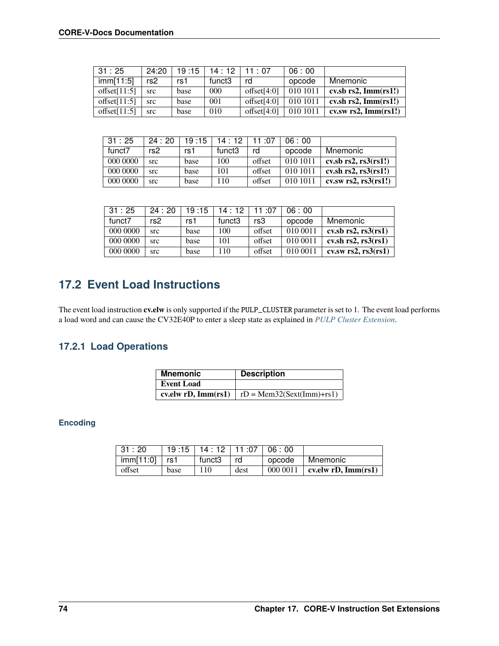| 31:25           | 24:20 | 19:15 | 14:12              | $11 \cdot 07$   | 06:00    |                            |
|-----------------|-------|-------|--------------------|-----------------|----------|----------------------------|
| imm[11:5]       | rs2   | rs1   | funct <sub>3</sub> | rd              | opcode   | Mnemonic                   |
| offset $[11:5]$ | src   | base  | 000                | offset[ $4:0$ ] | 010 1011 | $cv$ sb rs2, Imm $(rs1!)$  |
| offset $[11:5]$ | src   | base  | 001                | offset $[4:0]$  | 010 1011 | cv.sh $rs2$ , Imm $(rs1!)$ |
| offset $[11:5]$ | src   | base  | 010                | offset[ $4:0$ ] | 010 1011 | $cv$ .sw rs2, Imm $(rs1!)$ |

| 31:25    | 24:20      | 19:15 | 14:12  | $11 \cdot 07$ | 06:00    |                              |
|----------|------------|-------|--------|---------------|----------|------------------------------|
| funct7   | rs2        | rs1   | funct3 | rd            | opcode   | Mnemonic                     |
| 000 0000 | <b>STC</b> | base  | 100    | offset        | 010 1011 | $\cosh$ rs2, rs3 $\cosh$ 1!) |
| 000 0000 | <b>STC</b> | base  | 101    | offset        | 010 1011 | cv.sh $rs2$ , $rs3(rs1!)$    |
| 000 0000 | src        | base  | 110    | offset        | 010 1011 | cv.sw $rs2$ , $rs3(rs1!)$    |

| 31:25    | 24:20      | 19:15 | 14:12              | 11:07  | 06:00    |                           |
|----------|------------|-------|--------------------|--------|----------|---------------------------|
| funct7   | rs2        | rs1   | funct <sub>3</sub> | rs3    | opcode   | Mnemonic                  |
| 000 0000 | src        | base  | 100                | offset | 010 0011 | $\cosh$ rs2, rs3 $\cosh$  |
| 000 0000 | src        | base  | 101                | offset | 010 0011 | cv.sh $rs2$ , $rs3(rs1)$  |
| 000 0000 | <b>STC</b> | base  | 110                | offset | 010 0011 | $cv$ . $rs2$ , $rs3(rs1)$ |

# **17.2 Event Load Instructions**

The event load instruction **cv.elw** is only supported if the PULP\_CLUSTER parameter is set to 1. The event load performs a load word and can cause the CV32E40P to enter a sleep state as explained in *[PULP Cluster Extension](#page-39-0)*.

### **17.2.1 Load Operations**

| <b>Mnemonic</b>           | <b>Description</b>            |
|---------------------------|-------------------------------|
| <b>Event Load</b>         |                               |
| cv.elw $rD$ , Imm $(rs1)$ | $rD = Mem32(Sext(Imm) + rs1)$ |

#### **Encoding**

| 31:20             |      | $19:15$   $14:12$   $11:07$   06:00 |      |          |                           |
|-------------------|------|-------------------------------------|------|----------|---------------------------|
| $imm[11:0]$   rs1 |      | funct <sub>3</sub>                  | rd   | opcode   | Mnemonic                  |
| offset            | base | 110                                 | dest | 000 0011 | cv.elw $rD$ , Imm $(rs1)$ |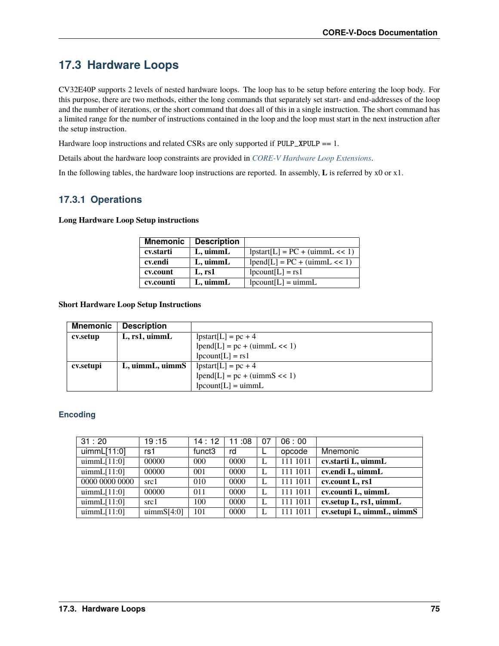## <span id="page-80-0"></span>**17.3 Hardware Loops**

CV32E40P supports 2 levels of nested hardware loops. The loop has to be setup before entering the loop body. For this purpose, there are two methods, either the long commands that separately set start- and end-addresses of the loop and the number of iterations, or the short command that does all of this in a single instruction. The short command has a limited range for the number of instructions contained in the loop and the loop must start in the next instruction after the setup instruction.

Hardware loop instructions and related CSRs are only supported if PULP\_XPULP == 1.

Details about the hardware loop constraints are provided in *[CORE-V Hardware Loop Extensions](#page-42-0)*.

In the following tables, the hardware loop instructions are reported. In assembly, **L** is referred by x0 or x1.

#### **17.3.1 Operations**

**Long Hardware Loop Setup instructions**

| <b>Mnemonic</b> | <b>Description</b> |                                                 |
|-----------------|--------------------|-------------------------------------------------|
| cv.starti       | $L$ , uimm $L$     | $\text{lpstart}[L] = PC + (\text{uimm}L \ll 1)$ |
| cv.endi         | $L$ , uimm $L$     | $ pend[L] = PC + (uimmL << 1)$                  |
| cv.count        | L, rs1             | $ $ pcount $[L]$ = rs1                          |
| cv.counti       | $L$ , uimm $L$     | $ $ pcount $[L]$ = uimmL                        |

**Short Hardware Loop Setup Instructions**

| Mnemonic  | <b>Description</b> |                                                      |
|-----------|--------------------|------------------------------------------------------|
| cv.setup  | L, rs1, uimmL      | $ {\rm pstart}[L] = pc + 4$                          |
|           |                    | $\text{lpend}[L] = \text{pc} + (\text{uimm}L \ll 1)$ |
|           |                    | $ $ pcount $[L]$ = rs1                               |
| cv.setupi | L, uimmL, uimmS    | $ {\rm pstart}[L] = pc + 4$                          |
|           |                    | $\text{lpend}[L] = \text{pc} + (\text{uimmS} << 1)$  |
|           |                    | $\text{lpcount}[L] = \text{uimm}L$                   |

#### **Encoding**

| 31:20          | 19:15           | 14:12              | 11:08 | 07 | 06:00    |                               |
|----------------|-----------------|--------------------|-------|----|----------|-------------------------------|
| uimmL[11:0]    | rs1             | funct <sub>3</sub> | rd    |    | opcode   | Mnemonic                      |
| uimmL[11:0]    | 00000           | 000                | 0000  |    | 111 1011 | cv.starti L, uimmL            |
| uimmL[11:0]    | 00000           | 001                | 0000  |    | 111 1011 | cv.endi L, uimmL              |
| 0000 0000 0000 | src1            | 010                | 0000  |    | 111 1011 | cv.count L, rs1               |
| uimmL[11:0]    | 00000           | 011                | 0000  |    | 111 1011 | cv.counti L, uimmL            |
| uimmL[11:0]    | src1            | 100                | 0000  |    | 111 1011 | cv. setup $L$ , rs1, uimm $L$ |
| uimmL[11:0]    | $\mu$ immS[4:0] | 101                | 0000  |    | 111 1011 | cv.setupi L, uimmL, uimmS     |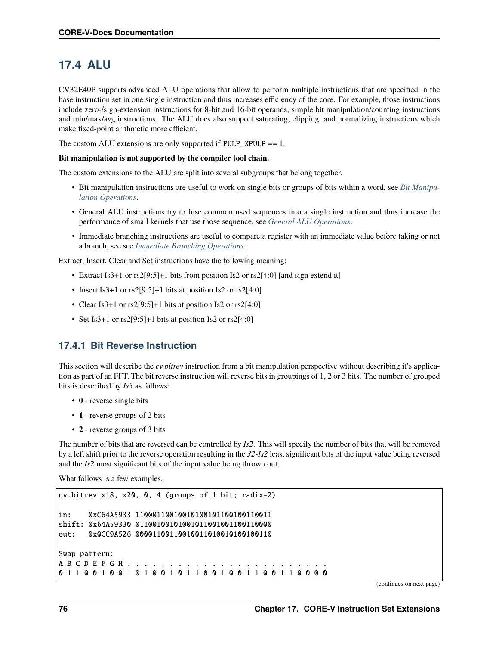### <span id="page-81-0"></span>**17.4 ALU**

CV32E40P supports advanced ALU operations that allow to perform multiple instructions that are specified in the base instruction set in one single instruction and thus increases efficiency of the core. For example, those instructions include zero-/sign-extension instructions for 8-bit and 16-bit operands, simple bit manipulation/counting instructions and min/max/avg instructions. The ALU does also support saturating, clipping, and normalizing instructions which make fixed-point arithmetic more efficient.

The custom ALU extensions are only supported if PULP\_XPULP == 1.

#### **Bit manipulation is not supported by the compiler tool chain.**

The custom extensions to the ALU are split into several subgroups that belong together.

- Bit manipulation instructions are useful to work on single bits or groups of bits within a word, see *[Bit Manipu](#page-83-0)[lation Operations](#page-83-0)*.
- General ALU instructions try to fuse common used sequences into a single instruction and thus increase the performance of small kernels that use those sequence, see *[General ALU Operations](#page-84-0)*.
- Immediate branching instructions are useful to compare a register with an immediate value before taking or not a branch, see see *[Immediate Branching Operations](#page-87-1)*.

Extract, Insert, Clear and Set instructions have the following meaning:

- Extract Is3+1 or rs2[9:5]+1 bits from position Is2 or rs2[4:0] [and sign extend it]
- Insert Is3+1 or rs2[9:5]+1 bits at position Is2 or rs2[4:0]
- Clear Is3+1 or rs2[9:5]+1 bits at position Is2 or rs2[4:0]
- Set Is3+1 or rs2[9:5]+1 bits at position Is2 or rs2[4:0]

#### **17.4.1 Bit Reverse Instruction**

This section will describe the *cv.bitrev* instruction from a bit manipulation perspective without describing it's application as part of an FFT. The bit reverse instruction will reverse bits in groupings of 1, 2 or 3 bits. The number of grouped bits is described by *Is3* as follows:

- **0** reverse single bits
- **1** reverse groups of 2 bits
- **2** reverse groups of 3 bits

The number of bits that are reversed can be controlled by *Is2*. This will specify the number of bits that will be removed by a left shift prior to the reverse operation resulting in the *32-Is2* least significant bits of the input value being reversed and the *Is2* most significant bits of the input value being thrown out.

What follows is a few examples.

```
cv.bitrev x18, x20, 0, 4 (groups of 1 bit; radix-2)
in: 0xC64A5933 11000110010010100101100100110011
shift: 0x64A59330 01100100101001011001001100110000
out: 0x0CC9A526 00001100110010011010010100100110
Swap pattern:
A B C D E F G H . . . . . . . . . . . . . . . . . . . . . . . .
0 1 1 0 0 1 0 0 1 0 1 0 0 1 0 1 1 0 0 1 0 0 1 1 0 0 1 1 0 0 0 0
```
(continues on next page)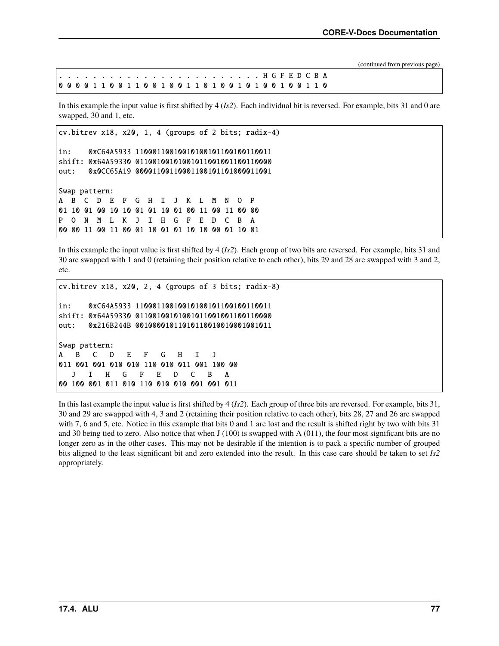(continued from previous page)

In this example the input value is first shifted by 4 (*Is2*). Each individual bit is reversed. For example, bits 31 and 0 are swapped, 30 and 1, etc.

```
cv.bitrev x18, x20, 1, 4 (groups of 2 bits; radix-4)
in: 0xC64A5933 11000110010010100101100100110011
shift: 0x64A59330 01100100101001011001001100110000
out: 0x0CC65A19 00001100110001100101101000011001
Swap pattern:
A B C D E F G H I J K L M N O P
01 10 01 00 10 10 01 01 10 01 00 11 00 11 00 00
P O N M L K J I H G F E D C B A
00 00 11 00 11 00 01 10 01 01 10 10 00 01 10 01
```
In this example the input value is first shifted by 4 (*Is2*). Each group of two bits are reversed. For example, bits 31 and 30 are swapped with 1 and 0 (retaining their position relative to each other), bits 29 and 28 are swapped with 3 and 2, etc.

```
cv.bitrev x18, x20, 2, 4 (groups of 3 bits; radix-8)
in: 0xC64A5933 11000110010010100101100100110011
shift: 0x64A59330 01100100101001011001001100110000
out: 0x216B244B 00100001011010110010010001001011
Swap pattern:
A B C D E F G H I J
011 001 001 010 010 110 010 011 001 100 00
  J I H G F E D C B A
00 100 001 011 010 110 010 010 001 001 011
```
In this last example the input value is first shifted by 4 (*Is2*). Each group of three bits are reversed. For example, bits 31, 30 and 29 are swapped with 4, 3 and 2 (retaining their position relative to each other), bits 28, 27 and 26 are swapped with 7, 6 and 5, etc. Notice in this example that bits 0 and 1 are lost and the result is shifted right by two with bits 31 and 30 being tied to zero. Also notice that when  $J(100)$  is swapped with A  $(011)$ , the four most significant bits are no longer zero as in the other cases. This may not be desirable if the intention is to pack a specific number of grouped bits aligned to the least significant bit and zero extended into the result. In this case care should be taken to set *Is2* appropriately.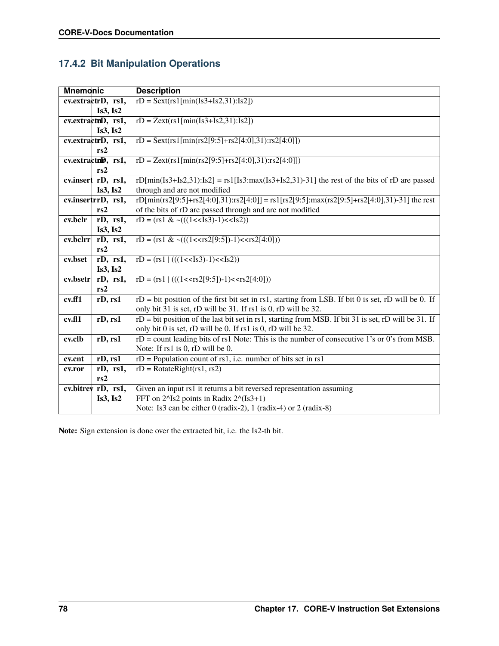### <span id="page-83-0"></span>**17.4.2 Bit Manipulation Operations**

| <b>Mnemonic</b>    |                       | <b>Description</b>                                                                                    |
|--------------------|-----------------------|-------------------------------------------------------------------------------------------------------|
|                    | cv.extractrD, rs1,    | $rD =$ Sext(rs1[min(Is3+Is2,31):Is2])                                                                 |
|                    | Is3, Is2              |                                                                                                       |
|                    | cv.extractnD, rs1,    | $rD = Zext(rsl/min(Is3+Is2,31):Is2])$                                                                 |
|                    | Is3, Is2              |                                                                                                       |
|                    | cv.extractrD, rs1,    | $rD =$ Sext(rs1[min(rs2[9:5]+rs2[4:0],31):rs2[4:0]])                                                  |
|                    | rs2                   |                                                                                                       |
|                    | cv.extractnD, rs1,    | $rD = Zext(rs1/min(rs2[9:5]+rs2[4:0],31)$ :rs2[4:0]])                                                 |
|                    | rs2                   |                                                                                                       |
|                    | cv.insert rD, rs1,    | rD[min(Is3+Is2,31):Is2] = rs1[Is3:max(Is3+Is2,31)-31] the rest of the bits of rD are passed           |
|                    | Is3, Is2              | through and are not modified                                                                          |
|                    | cv.insertrrD, rs1,    | rD[min(rs2[9:5]+rs2[4:0],31):rs2[4:0]] = rs1[rs2[9:5]:max(rs2[9:5]+rs2[4:0],31)-31] the rest          |
|                    | rs2                   | of the bits of rD are passed through and are not modified                                             |
| cv.bclr            | $rD, \overline{rs1,}$ | $rD = (rs1 < ((1 < s3)-1) < (s2))$                                                                    |
|                    | Is3, Is2              |                                                                                                       |
| cv.bclrr           | rD, rs1,              | rD = $(rs1 \& \sim (((1$                                                                              |
|                    | rs2                   |                                                                                                       |
| cv.bset            | rD, rs1,              | $rD = (rs1)((((1<<1s3)-1)<(1s2)))$                                                                    |
|                    | Is3, Is2              |                                                                                                       |
| cv.bsetr           | rD, rs1,              | $rD = (rs1)((((1 < rs2[9:5])-1) < rs2[4:0]))$                                                         |
|                    | rs2                   |                                                                                                       |
| cv.ff1             | rD, rs1               | $rD = bit$ position of the first bit set in rs1, starting from LSB. If bit 0 is set, rD will be 0. If |
|                    |                       | only bit 31 is set, rD will be 31. If rs1 is 0, rD will be 32.                                        |
| cv <sub>fl</sub> 1 | rD, rs1               | rD = bit position of the last bit set in rs1, starting from MSB. If bit 31 is set, rD will be 31. If  |
|                    |                       | only bit 0 is set, rD will be 0. If rs1 is 0, rD will be 32.                                          |
| cv.clb             | rD, rs1               | $rD$ = count leading bits of rs1 Note: This is the number of consecutive 1's or 0's from MSB.         |
|                    |                       | Note: If rs1 is 0, rD will be 0.                                                                      |
| cv.cnt             | rD, rs1               | $rD$ = Population count of rs1, i.e. number of bits set in rs1                                        |
| cv.ror             | rD, rs1,              | $rD = RotateRight(rs1, rs2)$                                                                          |
|                    | rs2                   |                                                                                                       |
|                    | cv.bitrey rD, rs1,    | Given an input rs1 it returns a bit reversed representation assuming                                  |
|                    | Is3, Is2              | FFT on 2^Is2 points in Radix 2^(Is3+1)                                                                |
|                    |                       | Note: Is3 can be either 0 (radix-2), 1 (radix-4) or 2 (radix-8)                                       |

**Note:** Sign extension is done over the extracted bit, i.e. the Is2-th bit.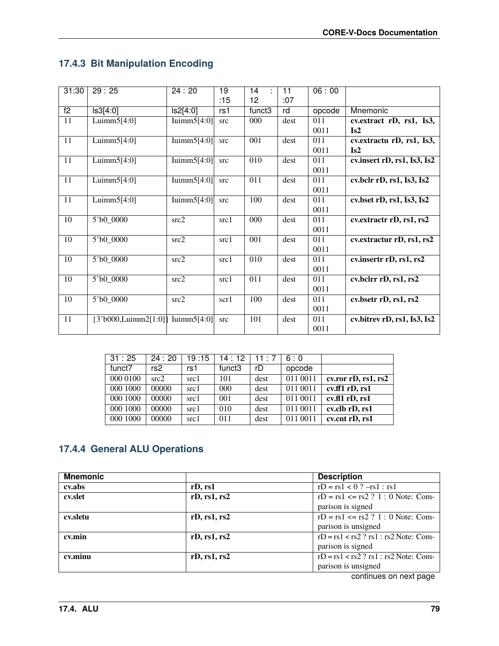## **17.4.3 Bit Manipulation Encoding**

| 31:30           | 29:25                               | 24:20          | 19   | 14               | 11   | 06:00  |                                                                    |
|-----------------|-------------------------------------|----------------|------|------------------|------|--------|--------------------------------------------------------------------|
|                 |                                     |                | :15  | 12               | :07  |        |                                                                    |
| $\overline{f2}$ | Is3[4:0]                            | ls2[4:0]       | rs1  | funct3           | rd   | opcode | Mnemonic                                                           |
| 11              | Luimm $5[4:0]$                      | Iuimm $5[4:0]$ | src  | 000              | dest | 011    | cv. extract rD, rs1, Is3,                                          |
|                 |                                     |                |      |                  |      | 0011   | Is2                                                                |
| 11              | Luimm $5[4:0]$                      | Iuimm $5[4:0]$ | src  | 001              | dest | 011    | cv.extractu rD, rs1, Is3,                                          |
|                 |                                     |                |      |                  |      | 0011   | Is2                                                                |
| 11              | Luimm $5[4:0]$                      | Iuimm $5[4:0]$ | src  | 010              | dest | 011    | cv.insert rD, rs1, Is3, Is2                                        |
|                 |                                     |                |      |                  |      | 0011   |                                                                    |
| 11              | Luimm $5[4:0]$                      | Iuimm $5[4:0]$ | src  | 011              | dest | 011    | $\overline{\text{cv.bclr rD}, \text{rs1}, \text{Is3}, \text{Is2}}$ |
|                 |                                     |                |      |                  |      | 0011   |                                                                    |
| $\overline{11}$ | Luimm $5[4:0]$                      | Iuimm $5[4:0]$ | src  | 100              | dest | 011    | cv.bset rD, rs1, Is3, Is2                                          |
|                 |                                     |                |      |                  |      | 0011   |                                                                    |
| 10              | 5'b0 0000                           | src2           | src1 | 000              | dest | 011    | cv.extractr rD, rs1, rs2                                           |
|                 |                                     |                |      |                  |      | 0011   |                                                                    |
| 10              | 5'b0 0000                           | src2           | src1 | 001              | dest | 011    | cv.extractur rD, rs1, rs2                                          |
|                 |                                     |                |      |                  |      | 0011   |                                                                    |
| $\overline{10}$ | $5^{\circ}b0_{0000}$                | src2           | src1 | $\overline{010}$ | dest | 011    | cv.insertr rD, rs1, rs2                                            |
|                 |                                     |                |      |                  |      | 0011   |                                                                    |
| $\overline{10}$ | 5'b0 0000                           | src2           | src1 | $\overline{011}$ | dest | 011    | cv.bclrr rD, rs1, rs2                                              |
|                 |                                     |                |      |                  |      | 0011   |                                                                    |
| $\overline{10}$ | 5'b0 0000                           | src2           | scr1 | 100              | dest | 011    | cv.bsetr rD, rs1, rs2                                              |
|                 |                                     |                |      |                  |      | 0011   |                                                                    |
| $\overline{11}$ | ${3'b000, Luimm2[1:0]}$ Iuimm5[4:0] |                | src  | 101              | dest | 011    | cv.bitrev rD, rs1, Is3, Is2                                        |
|                 |                                     |                |      |                  |      | 0011   |                                                                    |

| 31:25    | 24:20 | 19:15 | 14 : 12            | 11:7 | 6:0      |                     |
|----------|-------|-------|--------------------|------|----------|---------------------|
| funct7   | rs2   | rs1   | funct <sub>3</sub> | rD   | opcode   |                     |
| 000 0100 | src2  | src1  | 101                | dest | 011 0011 | cv.ror rD, rs1, rs2 |
| 000 1000 | 00000 | src1  | 000                | dest | 011 0011 | $cv$ .ff1 rD, rs1   |
| 000 1000 | 00000 | src1  | 001                | dest | 011 0011 | cv.fl1 rD, rs1      |
| 000 1000 | 00000 | src1  | 010                | dest | 011 0011 | cv.clb rD, rs1      |
| 000 1000 | 00000 | src1  | 011                | dest | 011 0011 | cv.cnt rD, rs1      |

### <span id="page-84-0"></span>**17.4.4 General ALU Operations**

| <b>Mnemonic</b> |              | <b>Description</b>                        |
|-----------------|--------------|-------------------------------------------|
| cv.abs          | rD, rs1      | $rD = rs1 < 0$ ? $-rs1 : rs1$             |
| cv.slet         | rD, rs1, rs2 | $rD = rs1 \le rs2$ ? 1 : 0 Note: Com-     |
|                 |              | parison is signed                         |
| cv.sletu        | rD, rs1, rs2 | $rD = rs1 \le rs2$ ? 1 : 0 Note: Com-     |
|                 |              | parison is unsigned                       |
| cv.min          | rD, rs1, rs2 | $rD = rs1 < rs2$ ? $rs1 : rs2$ Note: Com- |
|                 |              | parison is signed                         |
| cv.minu         | rD, rs1, rs2 | $rD = rs1 < rs2$ ? $rs1 : rs2$ Note: Com- |
|                 |              | parison is unsigned                       |
|                 |              | continuos on novt nogo                    |

continues on next page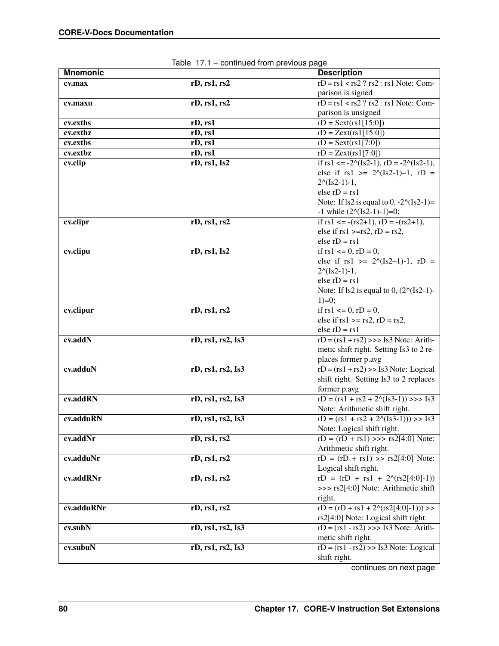| <b>Mnemonic</b> |                   | <b>Description</b>                                     |
|-----------------|-------------------|--------------------------------------------------------|
| cv.max          | rD, rs1, rs2      | $rD = rs1 < rs2 ? rs2 : rs1 Note: Com-$                |
|                 |                   | parison is signed                                      |
| cv.maxu         | rD, rs1, rs2      | $rD = rs1 < rs2 ? rs2 : rs1 Note: Com-$                |
|                 |                   | parison is unsigned                                    |
| cv.exths        | rD, rs1           | $rD =$ Sext(rs1[15:0])                                 |
| cv.exthz        | rD, rs1           | $rD = Zext(rsl[15:0])$                                 |
| cv.extbs        | rD, rs1           | $rD =$ Sext(rs1[7:0])                                  |
| cv.extbz        | rD, rs1           | $rD = Zext(rs1[7:0])$                                  |
| cv.clip         | rD, rs1, Is2      | if $rs1 \leq -2^{(s2-1)}$ , $rD = -2^{(s2-1)}$ ,       |
|                 |                   | else if $rs1$ >= $2^{(s-1)-1}$ , $rD =$                |
|                 |                   | $2^{(1s2-1)-1}$ ,                                      |
|                 |                   | else $rD = rs1$                                        |
|                 |                   | Note: If $ls2$ is equal to 0, $-2^{\wedge}$ (Is2-1)=   |
|                 |                   | $-1$ while $(2^{(1s2-1)-1)=0;$                         |
| cv.clipr        | rD, rs1, rs2      | if $rs1 \le -(rs2+1), rD = -(rs2+1),$                  |
|                 |                   | else if $rs1 > = rs2$ , $rD = rs2$ ,                   |
|                 |                   | else $rD = rs1$                                        |
| cv.clipu        | rD, rs1, Is2      | if $rs1 \le 0$ , $rD = 0$ ,                            |
|                 |                   | else if $rs1$ >= $2^{(s2-1)-1}$ , $rD =$               |
|                 |                   | $2^{(1s2-1)-1}$ ,                                      |
|                 |                   | else $rD = rs1$                                        |
|                 |                   | Note: If $ls2$ is equal to 0, $(2^{\wedge}$ (Is2-1)-   |
|                 |                   | $1)=0;$                                                |
| cv.clipur       | rD, rs1, rs2      | if $rs1 \le 0$ , $rD = 0$ ,                            |
|                 |                   | else if $rs1 \geq rs2$ , $rD = rs2$ ,                  |
|                 |                   | else $rD = rs1$                                        |
| cx.addN         | rD, rs1, rs2, Is3 | $rD = (rs1 + rs2) \rightarrow sS3$ Note: Arith-        |
|                 |                   | metic shift right. Setting Is3 to 2 re-                |
|                 |                   | places former p.avg                                    |
| cv.adduN        | rD, rs1, rs2, Is3 | $rD = (rs1 + rs2) \rightarrow 1s3$ Note: Logical       |
|                 |                   | shift right. Setting Is3 to 2 replaces<br>former p.avg |
| cv.addRN        | rD, rs1, rs2, Is3 | $rD = (rs1 + rs2 + 22(Is3-1)) >> Is3$                  |
|                 |                   | Note: Arithmetic shift right.                          |
| cv.adduRN       | rD, rs1, rs2, Is3 | $rD = (rs1 + rs2 + 2^{(1s3-1)} ) > 1s3$                |
|                 |                   | Note: Logical shift right.                             |
| cv.addNr        | rD, rs1, rs2      | $rD = (rD + rs1) \gg rs2[4:0]$ Note:                   |
|                 |                   | Arithmetic shift right.                                |
| cv.adduNr       | rD, rs1, rs2      | $rD = (rD + rs1) >> rs2[4:0]$ Note:                    |
|                 |                   | Logical shift right.                                   |
| cv.addRNr       | rD, rs1, rs2      | $rD = (rD + rs1 + 2^{(rs2[4:0]-1)})$                   |
|                 |                   | >>> rs2[4:0] Note: Arithmetic shift                    |
|                 |                   | right.                                                 |
| cv.adduRNr      | rD, rs1, rs2      | $rD = (rD + rs1 + 20(rs2[4:0]-1)))$ >>                 |
|                 |                   | rs2[4:0] Note: Logical shift right.                    |
| cv.subN         | rD, rs1, rs2, Is3 | $rD = (rs1 - rs2) \gg > 1s3$ Note: Arith-              |
|                 |                   | metic shift right.                                     |
| cv.subuN        | rD, rs1, rs2, Is3 | $rD = (rs1 - rs2) \gg 1s3$ Note: Logical               |
|                 |                   | shift right.                                           |
|                 |                   |                                                        |

Table 17.1 – continued from previous page

continues on next page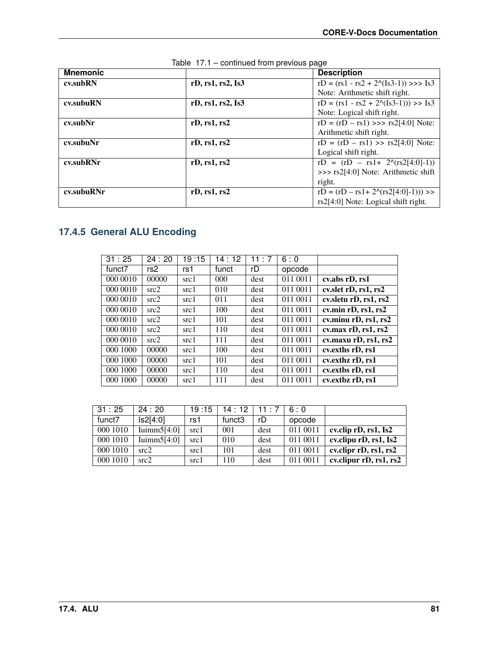| <b>Mnemonic</b> |                   | <b>Description</b>                              |
|-----------------|-------------------|-------------------------------------------------|
| cv.subRN        | rD, rs1, rs2, Is3 | $rD = (rs1 - rs2 + 2^{(s3-1)}) \gg > 1s3$       |
|                 |                   | Note: Arithmetic shift right.                   |
| cv.subuRN       | rD, rs1, rs2, Is3 | $rD = (rs1 - rs2 + 2^{(1s3-1)})) >> Is3$        |
|                 |                   | Note: Logical shift right.                      |
| cv.subNr        | rD, rs1, rs2      | $rD = (rD - rs1) \gg \frac{rs2[4:0]}{6}$ Note:  |
|                 |                   | Arithmetic shift right.                         |
| cv.subuNr       | rD, rs1, rs2      | $rD = (rD - rs1) >> rs2[4:0]$ Note:             |
|                 |                   | Logical shift right.                            |
| cv.subRNr       | rD, rs1, rs2      | $rD = (rD - rs1 + 2^{(rs2[4:0]-1)})$            |
|                 |                   | $\gg$ $\approx$ rs2[4:0] Note: Arithmetic shift |
|                 |                   | right.                                          |
| cv.subuRNr      | rD, rs1, rs2      | $rD = (rD - rs1 + 20(rs2[4:0]-1)))$ >>          |
|                 |                   | rs2[4:0] Note: Logical shift right.             |

|  |  |  |  | Table 17.1 - continued from previous page |  |
|--|--|--|--|-------------------------------------------|--|
|--|--|--|--|-------------------------------------------|--|

## **17.4.5 General ALU Encoding**

| 31:25    | 24:20           | 19:15 | 14:12    | 11:7 | 6:0      |                       |
|----------|-----------------|-------|----------|------|----------|-----------------------|
| funct7   | rs <sub>2</sub> | rs1   | funct    | rD   | opcode   |                       |
| 000 0010 | 00000           | src1  | $000 \,$ | dest | 011 0011 | cv.abs rD, rs1        |
| 000 0010 | src2            | src1  | 010      | dest | 011 0011 | cv.slet rD, rs1, rs2  |
| 000 0010 | src2            | src1  | 011      | dest | 011 0011 | cv.sletu rD, rs1, rs2 |
| 000 0010 | src2            | src1  | 100      | dest | 011 0011 | cv.min rD, rs1, rs2   |
| 000 0010 | src2            | src1  | 101      | dest | 011 0011 | cv.minu rD, rs1, rs2  |
| 000 0010 | src2            | src1  | 110      | dest | 011 0011 | cv.max rD, rs1, rs2   |
| 000 0010 | src2            | src1  | 111      | dest | 011 0011 | cv.maxu rD, rs1, rs2  |
| 000 1000 | 00000           | src1  | 100      | dest | 011 0011 | cv. exths rD, rs1     |
| 000 1000 | 00000           | src1  | 101      | dest | 011 0011 | cv.exthz rD, rs1      |
| 000 1000 | 00000           | src1  | 110      | dest | 011 0011 | cv. extbs rD, rs1     |
| 000 1000 | 00000           | src1  | 111      | dest | 011 0011 | cv.extbz rD, rs1      |

| 31:25    | 24:20          | 19:15 | 14:12              | 11:7 | 6:0      |                                |
|----------|----------------|-------|--------------------|------|----------|--------------------------------|
| funct7   | ls2[4:0]       | rs1   | funct <sub>3</sub> | rD   | opcode   |                                |
| 000 1010 | Iuimm $5[4:0]$ | src1  | 001                | dest | 011 0011 | cv.clip rD, rs1, Is2           |
| 000 1010 | Iuimm $5[4:0]$ | src1  | 010                | dest | 011 0011 | cv.clipu rD, rs1, Is2          |
| 000 1010 | src2           | src1  | 101                | dest | 011 0011 | cv.clipr $rD$ , $rs1$ , $rs2$  |
| 000 1010 | src2           | src1  | 110                | dest | 011 0011 | cv.clipur $rD$ , $rs1$ , $rs2$ |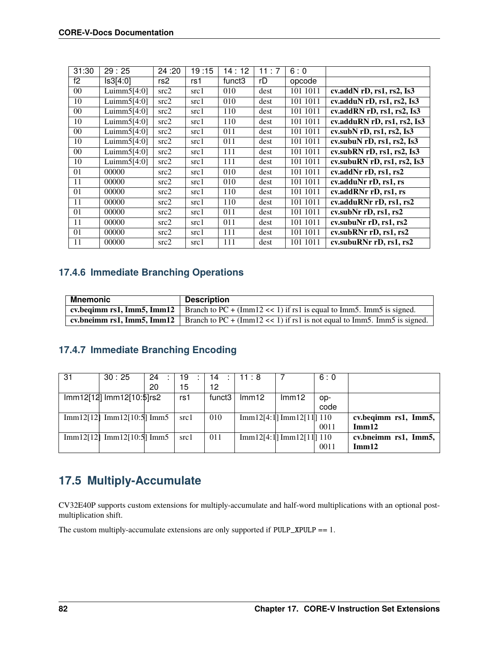| 31:30 | 29:25          | 24:20 | 19:15 | 14:12              | 11:7 | 6:0      |                                               |
|-------|----------------|-------|-------|--------------------|------|----------|-----------------------------------------------|
| f2    | Is3[4:0]       | rs2   | rs1   | funct <sub>3</sub> | rD   | opcode   |                                               |
| 00    | Luimm $5[4:0]$ | src2  | src1  | 010                | dest | 101 1011 | $\overline{\text{cv.addN}}$ rD, rs1, rs2, Is3 |
| 10    | Luimm $5[4:0]$ | src2  | src1  | 010                | dest | 101 1011 | cv.adduN $rD$ , $rs1$ , $rs2$ , $Is3$         |
| 00    | Luimm $5[4:0]$ | src2  | src1  | 110                | dest | 101 1011 | cv.addRN rD, rs1, rs2, Is3                    |
| 10    | Luimm $5[4:0]$ | src2  | src1  | 110                | dest | 101 1011 | cv.adduRN rD, rs1, rs2, Is3                   |
| 00    | Luimm $5[4:0]$ | src2  | src1  | 011                | dest | 101 1011 | cv.subN $rD$ , $rs1$ , $rs2$ , $Is3$          |
| 10    | Luimm $5[4:0]$ | src2  | src1  | 011                | dest | 101 1011 | cv.subu $N$ rD, rs1, rs2, Is3                 |
| 00    | Luimm $5[4:0]$ | src2  | src1  | 111                | dest | 101 1011 | cv.subRN $rD$ , $rs1$ , $rs2$ , $Is3$         |
| 10    | Luimm $5[4:0]$ | src2  | src1  | 111                | dest | 101 1011 | cv.subuRN $rD$ , $rs1$ , $rs2$ , $Is3$        |
| 01    | 00000          | src2  | src1  | 010                | dest | 101 1011 | cv.addNr rD, rs1, rs2                         |
| 11    | 00000          | src2  | src1  | 010                | dest | 101 1011 | cv.adduNr rD, rs1, rs                         |
| 01    | 00000          | src2  | src1  | 110                | dest | 101 1011 | cv.addRNr rD, rs1, rs                         |
| 11    | 00000          | src2  | src1  | 110                | dest | 101 1011 | cv.adduRNr rD, rs1, rs2                       |
| 01    | 00000          | src2  | src1  | 011                | dest | 101 1011 | cv.subNr rD, rs1, rs2                         |
| 11    | 00000          | src2  | src1  | 011                | dest | 101 1011 | cv.subuNr rD, rs1, rs2                        |
| 01    | 00000          | src2  | src1  | 111                | dest | 101 1011 | cv.subRNr rD, rs1, rs2                        |
| 11    | 00000          | src2  | src1  | 111                | dest | 101 1011 | cv.subuRNr rD, rs1, rs2                       |

### <span id="page-87-1"></span>**17.4.6 Immediate Branching Operations**

| Mnemonic | <b>Description</b>                                                                                       |
|----------|----------------------------------------------------------------------------------------------------------|
|          | cv.beginn rs1, Imm5, Imm12   Branch to $PC + (Imm12 \lt\lt 1)$ if rs1 is equal to Imm5. Imm5 is signed.  |
|          | cv.bneimm rs1, Imm5, Imm12   Branch to $PC + (Imm12 \lt 1)$ if rs1 is not equal to Imm5. Imm5 is signed. |

### **17.4.7 Immediate Branching Encoding**

| 31        | 30:25                     | 24 | 19   | 14     | 11:8              |                          | 6:0  |                      |
|-----------|---------------------------|----|------|--------|-------------------|--------------------------|------|----------------------|
|           |                           | 20 | 15   | 12     |                   |                          |      |                      |
|           | lmm12[12] lmm12[10:\$]rs2 |    | rs1  | funct3 | Im <sub>m12</sub> | lmm12                    | op-  |                      |
|           |                           |    |      |        |                   |                          | code |                      |
| Imm12[12] | Imm12[10:5] Imm5          |    | src1 | 010    |                   | Imm12[4:1] Imm12[11] 110 |      | cv.beqimm rs1, Imm5, |
|           |                           |    |      |        |                   |                          | 0011 | Im <sub>m12</sub>    |
| Imm12[12] | Imm12[10:5] Imm5          |    | src1 | 011    |                   | Imm12[4:1] Imm12[11] 110 |      | cv.bneimm rs1, Imm5, |
|           |                           |    |      |        |                   |                          | 0011 | Imm12                |
|           |                           |    |      |        |                   |                          |      |                      |

# <span id="page-87-0"></span>**17.5 Multiply-Accumulate**

CV32E40P supports custom extensions for multiply-accumulate and half-word multiplications with an optional postmultiplication shift.

The custom multiply-accumulate extensions are only supported if  $PULP_XPULP == 1$ .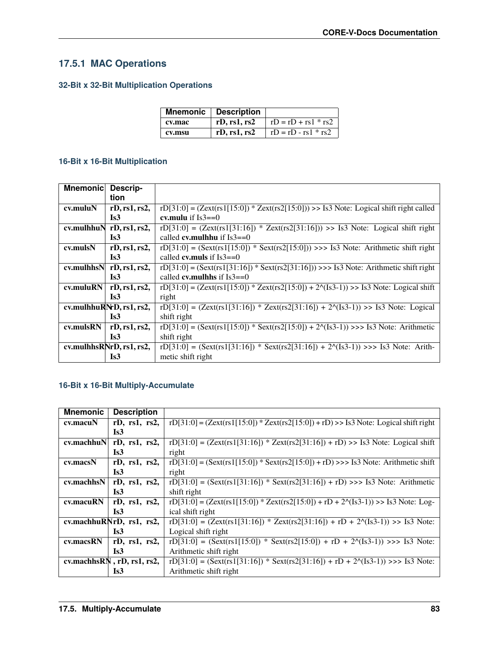### **17.5.1 MAC Operations**

### **32-Bit x 32-Bit Multiplication Operations**

|        | <b>Mnemonic</b> Description |                       |
|--------|-----------------------------|-----------------------|
| cv.mac | rD, rs1, rs2                | $rD = rD + rs1 * rs2$ |
| cv.msu | rD, rs1, rs2                | $rD = rD - rs1 * rs2$ |

#### **16-Bit x 16-Bit Multiplication**

| <b>Mnemonic</b> | Descrip-                    |                                                                                              |
|-----------------|-----------------------------|----------------------------------------------------------------------------------------------|
|                 | tion                        |                                                                                              |
| $cv$ .mulu $N$  | rD, rs1, rs2,               | $rD[31:0] = (Zext(rs1[15:0]) * Zext(rs2[15:0])) >>$ Is3 Note: Logical shift right called     |
|                 | Is3                         | cv.mulu if $Is3 == 0$                                                                        |
|                 | cv.mulhhu $N$ rD, rs1, rs2, | $rD[31:0] = (Zext(rs1[31:16]) * Zext(rs2[31:16])) >>$ Is3 Note: Logical shift right          |
|                 | Is <sub>3</sub>             | called <b>cv.mulhhu</b> if $Is3 == 0$                                                        |
| cv.mulsN        | rD, rs1, rs2,               | $rD[31:0] = (Sext(rs1[15:0]) * Sext(rs2[15:0])) >> Is3 Note: Arithmetic shift right$         |
|                 | Is <sub>3</sub>             | called <b>cy, muls</b> if $Is3 == 0$                                                         |
|                 | cv.mulhhs $N$ rD, rs1, rs2, | $rD[31:0] = (Sext(rs1[31:16]) * Sext(rs2[31:16])) \gg > 1s3$ Note: Arithmetic shift right    |
|                 | Is <sub>3</sub>             | called <b>cy.mulhhs</b> if $Is3 == 0$                                                        |
| cv.muluRN       | rD, rs1, rs2,               | $rD[31:0] = (Zext(rs1[15:0]) * Zext(rs2[15:0]) + 2\gamma(Is3-1)) >> Is3 Note: Logical shift$ |
|                 | Is <sub>3</sub>             | right                                                                                        |
|                 | cv.mulhhuRNrD, rs1, rs2,    | $rD[31:0] = (Zext(rs1[31:16]) * Zext(rs2[31:16]) + 20(Is3-1)) >> Is3 Note: Logical$          |
|                 | Is3                         | shift right                                                                                  |
| cv.mulsRN       | rD, rs1, rs2,               | $rD[31:0] = (Sext(rs1[15:0]) * Sext(rs2[15:0]) + 20(Is3-1)) >> S3 Note: Arithmetic$          |
|                 | Is <sub>3</sub>             | shift right                                                                                  |
|                 | cv.mulhhsRNrD, rs1, rs2,    | $rD[31:0] = (Sext(rs1[31:16]) * Sext(rs2[31:16]) + 2(1s3-1)) >> Is3 Note: Arith-$            |
|                 | Is3                         | metic shift right                                                                            |

#### **16-Bit x 16-Bit Multiply-Accumulate**

| <b>Mnemonic</b>  | <b>Description</b>         |                                                                                       |
|------------------|----------------------------|---------------------------------------------------------------------------------------|
| cv.macuN         | $rD$ , $rs1$ , $rs2$ ,     | $rD[31:0] = (Zext(rs1[15:0]) * Zext(rs2[15:0]) + rD) >>$ Is Note: Logical shift right |
|                  | Is3                        |                                                                                       |
| $cv$ .machhu $N$ | $rD$ , $rs1$ , $rs2$ ,     | $rD[31:0] = (Zext(rs1[31:16]) * Zext(rs2[31:16]) + rD) >>$ Is Note: Logical shift     |
|                  | Is3                        | right                                                                                 |
| cv.macsN         | rD, rs1, rs2,              | $rD[31:0] = (Sext(rs1[15:0]) * Sext(rs2[15:0]) + rD) >> S3 Note: Arithmetic shift$    |
|                  | Is3                        | right                                                                                 |
| cv.machhsN       | rD, rs1, rs2,              | $rD[31:0] = (Sext(rs1[31:16]) * Sext(rs2[31:16]) + rD) >> Is3 Note: Arithmetic$       |
|                  | Is3                        | shift right                                                                           |
| cv.macuRN        | $rD$ , $rs1$ , $rs2$ ,     | $rD[31:0] = (Zext(rs1[15:0]) * Zext(rs2[15:0]) + rD + 21(1s3-1)) >>$ Is3 Note: Log-   |
|                  | Is3                        | ical shift right                                                                      |
|                  | cv.machhuRNrD, rs1, rs2,   | $rD[31:0] = (Zext(rs1[31:16]) * Zext(rs2[31:16]) + rD + 20(Is3-1)) >> Is3 Note:$      |
|                  | Is3                        | Logical shift right                                                                   |
| cv.macsRN        | $rD$ , $rs1$ , $rs2$ ,     | $rD[31:0] = (Sext(rs1[15:0]) * Sext(rs2[15:0]) + rD + 2\gamma(1s3-1)) >> Is3 Note:$   |
|                  | Is <sub>3</sub>            | Arithmetic shift right                                                                |
|                  | cv.machhsRN, rD, rs1, rs2, | $rD[31:0] = (Sext(rs1[31:16]) * Sext(rs2[31:16]) + rD + 20(Is3-1)) >> Is3 Note:$      |
|                  | Is <sub>3</sub>            | Arithmetic shift right                                                                |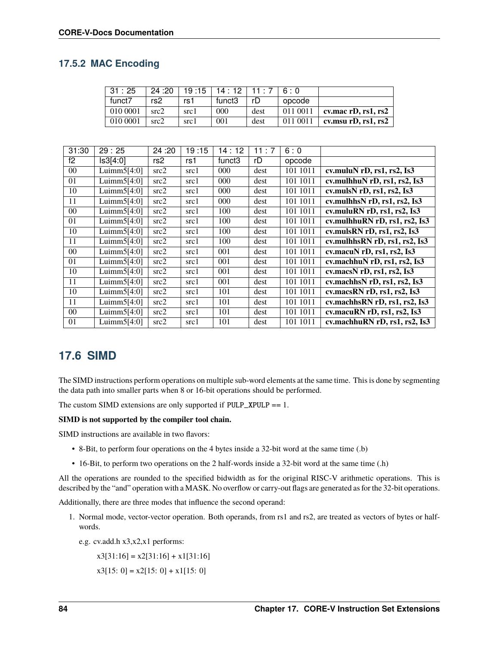#### **17.5.2 MAC Encoding**

| 31:25    | 24 :20 |      | $19:15$   14 : 12   11 : 7 |      | 6 <sup>. N</sup> |                             |
|----------|--------|------|----------------------------|------|------------------|-----------------------------|
| funct7   | rs2    | rs1  | funct3                     | rD   | opcode           |                             |
| 010 0001 | src2   | src1 | 000                        | dest | 011 0011         | cv.mac $rD$ , $rs1$ , $rs2$ |
| 010 0001 | src2   | src1 | 001                        | dest | 011 0011         | cv.msu $rD$ , $rs1$ , $rs2$ |

| 31:30          | 29:25          | 24:20 | 19:15 | 14:12              | 11:7 | 6:0      |                                        |
|----------------|----------------|-------|-------|--------------------|------|----------|----------------------------------------|
| f2             | Is3[4:0]       | rs2   | rs1   | funct <sub>3</sub> | rD   | opcode   |                                        |
| 0 <sup>0</sup> | Luimm $5[4:0]$ | src2  | src1  | $000 \,$           | dest | 101 1011 | cv.muluN rD, rs1, rs2, Is3             |
| 01             | Luimm $5[4:0]$ | src2  | src1  | 000                | dest | 101 1011 | cv.mulhhu $N$ rD, rs1, rs2, Is3        |
| 10             | Luimm $5[4:0]$ | src2  | src1  | 000                | dest | 101 1011 | cv.muls $N$ rD, rs1, rs2, Is3          |
| 11             | Luimm $5[4:0]$ | src2  | src1  | 000                | dest | 101 1011 | cv.mulhhs $N$ rD, rs1, rs2, Is3        |
| $00\,$         | Luimm $5[4:0]$ | src2  | src1  | 100                | dest | 101 1011 | cv.muluRN $rD$ , $rs1$ , $rs2$ , $Is3$ |
| 01             | Luimm $5[4:0]$ | src2  | src1  | 100                | dest | 101 1011 | cv.mulhhu $RN$ rD, rs1, rs2, Is3       |
| 10             | Luimm $5[4:0]$ | src2  | src1  | 100                | dest | 101 1011 | cv.mulsRN rD, rs1, rs2, Is3            |
| 11             | Luimm $5[4:0]$ | src2  | src1  | 100                | dest | 101 1011 | cv.mulhhs $RN$ rD, rs1, rs2, Is3       |
| $00\,$         | Luimm $5[4:0]$ | src2  | src1  | 001                | dest | 101 1011 | cv.macuN rD, rs1, rs2, Is3             |
| 01             | Luimm $5[4:0]$ | src2  | src1  | 001                | dest | 101 1011 | cv.machhu $N$ rD, rs1, rs2, Is3        |
| 10             | Luimm $5[4:0]$ | src2  | src1  | 001                | dest | 101 1011 | cv.macsN rD, rs1, rs2, Is3             |
| 11             | Luimm $5[4:0]$ | src2  | src1  | 001                | dest | 101 1011 | cv.machhs $N$ rD, rs1, rs2, Is3        |
| 10             | Luimm $5[4:0]$ | src2  | src1  | 101                | dest | 101 1011 | cv.macsRN rD, rs1, rs2, Is3            |
| 11             | Luimm $5[4:0]$ | src2  | src1  | 101                | dest | 101 1011 | cv.machhsRN rD, rs1, rs2, Is3          |
| $00\,$         | Luimm $5[4:0]$ | src2  | src1  | 101                | dest | 101 1011 | cv.macuRN rD, rs1, rs2, Is3            |
| 01             | Luimm $5[4:0]$ | src2  | src1  | 101                | dest | 101 1011 | cv.machhuRN rD, rs1, rs2, Is3          |

### <span id="page-89-0"></span>**17.6 SIMD**

The SIMD instructions perform operations on multiple sub-word elements at the same time. This is done by segmenting the data path into smaller parts when 8 or 16-bit operations should be performed.

The custom SIMD extensions are only supported if  $PULP$ \_XPULP == 1.

#### **SIMD is not supported by the compiler tool chain.**

SIMD instructions are available in two flavors:

- 8-Bit, to perform four operations on the 4 bytes inside a 32-bit word at the same time (.b)
- 16-Bit, to perform two operations on the 2 half-words inside a 32-bit word at the same time (.h)

All the operations are rounded to the specified bidwidth as for the original RISC-V arithmetic operations. This is described by the "and" operation with a MASK. No overflow or carry-out flags are generated as for the 32-bit operations.

Additionally, there are three modes that influence the second operand:

- 1. Normal mode, vector-vector operation. Both operands, from rs1 and rs2, are treated as vectors of bytes or halfwords.
	- e.g. cv.add.h x3,x2,x1 performs:

 $x3[31:16] = x2[31:16] + x1[31:16]$ 

$$
x3[15: 0] = x2[15: 0] + x1[15: 0]
$$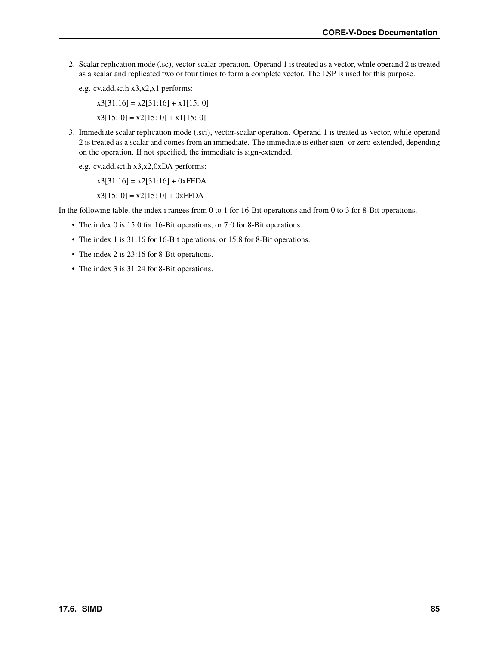- 2. Scalar replication mode (.sc), vector-scalar operation. Operand 1 is treated as a vector, while operand 2 is treated as a scalar and replicated two or four times to form a complete vector. The LSP is used for this purpose.
	- e.g. cv.add.sc.h x3,x2,x1 performs:

 $x3[31:16] = x2[31:16] + x1[15:0]$ 

- $x3[15: 0] = x2[15: 0] + x1[15: 0]$
- 3. Immediate scalar replication mode (.sci), vector-scalar operation. Operand 1 is treated as vector, while operand 2 is treated as a scalar and comes from an immediate. The immediate is either sign- or zero-extended, depending on the operation. If not specified, the immediate is sign-extended.
	- e.g. cv.add.sci.h x3,x2,0xDA performs:

 $x3[31:16] = x2[31:16] + 0xFFDA$ 

 $x3[15: 0] = x2[15: 0] + 0xFFDA$ 

In the following table, the index i ranges from 0 to 1 for 16-Bit operations and from 0 to 3 for 8-Bit operations.

- The index 0 is 15:0 for 16-Bit operations, or 7:0 for 8-Bit operations.
- The index 1 is 31:16 for 16-Bit operations, or 15:8 for 8-Bit operations.
- The index 2 is 23:16 for 8-Bit operations.
- The index 3 is 31:24 for 8-Bit operations.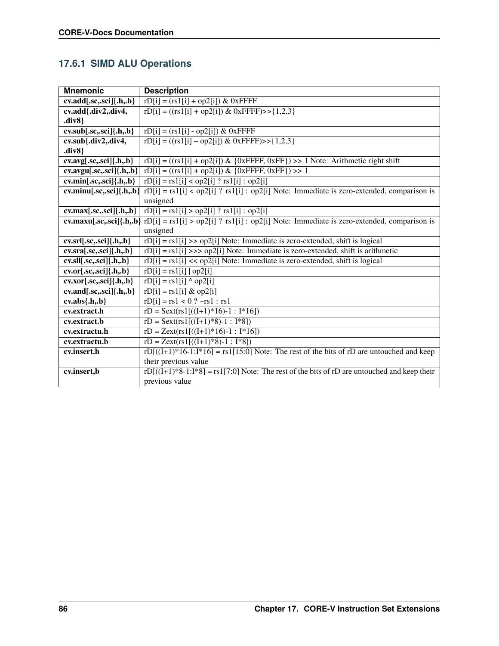## **17.6.1 SIMD ALU Operations**

| <b>Mnemonic</b>                                             | <b>Description</b>                                                                              |
|-------------------------------------------------------------|-------------------------------------------------------------------------------------------------|
| $cv.add[.sc,.sci]{.h, .b}$                                  | $rD[i] = (rs1[i] + op2[i]) &$ 0xFFFF                                                            |
| cv.add{.div2,.div4,                                         | $rD[i] = ((rs1[i] + op2[i]) & 0xFFFF) >> \{1,2,3\}$                                             |
| div8                                                        |                                                                                                 |
| $\overline{\text{cv.sub}[\text{.sc}, \text{.sc}]}$ ,h,.b}   | $rD[i] = (rs1[i] - op2[i]) & 0xFFFF$                                                            |
| cv.sub{.div2,.div4,                                         | $rD[i] = ((rs1[i] - op2[i]) & 0xFFFF) >> \{1,2,3\}$                                             |
| div8                                                        |                                                                                                 |
| $\overline{\text{cv.avg}[\text{.sc.,sci}]\{\text{.h.,b}\}}$ | $rD[i] = ((rs1[i] + op2[i]) & (0xFFF, 0xFF)) >> 1$ Note: Arithmetic right shift                 |
| $cv. avgu[.sc,.sci]{.h,.b}$                                 | $rD[i] = ((rs1[i] + op2[i]) & (0xFFFF, 0xFF)) >> 1$                                             |
| $cv.min[.sc,.sci]{.h, .b}$                                  | $rD[i] = rs1[i] < op2[i]$ ? $rs1[i] : op2[i]$                                                   |
| $cv.minu[.sc,.sci]{.h,.b}$                                  | $rD[i] = rs1[i] < op2[i]$ ? $rs1[i]$ : $op2[i]$ Note: Immediate is zero-extended, comparison is |
|                                                             | unsigned                                                                                        |
| $cv.max[.sc,.sci]$ {.h,.b}                                  | $rD[i] = rs1[i] > op2[i]$ ? $rs1[i] : op2[i]$                                                   |
| cv.maxu[.sc,.sci]{.h,.b}                                    | $rD[i] = rs1[i] > op2[i]$ ? $rs1[i]$ : $op2[i]$ Note: Immediate is zero-extended, comparison is |
|                                                             | unsigned                                                                                        |
| $cv.srl[.sc,.sci]{.h, .b}$                                  | $rD[i] = rs1[i] >> op2[i] Note: Immediately the next method, shift is logical.$                 |
| $cv.sra[.sc,.sci]{.h,b}$                                    | $rD[i] = rs1[i] >> op2[i] Note: Immediately the same set of the set of vertices.$               |
| $cv. sll[. sc,. sci]{. h., b}$                              | $rD[i] = rs1[i] \ll op2[i]$ Note: Immediate is zero-extended, shift is logical                  |
| $cv.$ or $[sc.,$ sci $]\{.h.,b\}$                           | $rD[i] = rs1[i]   op2[i]$                                                                       |
| $cv.xor[sc, sci]$ {.h,.b}                                   | $rD[i] = rs1[i]$ ^ op2[i]                                                                       |
| $cv. and$ [.sc,.sci] $\{h,b\}$                              | $rD[i] = rs1[i] \& op2[i]$                                                                      |
| $cv.abs{h,b}$                                               | $rD[i] = rs1 < 0$ ? $-rs1 : rs1$                                                                |
| cv.extract.h                                                | $rD =$ Sext(rs1[((I+1)*16)-1 : I*16])                                                           |
| cv.extract.b                                                | $rD =$ Sext(rs1[((I+1)*8)-1 : I*8])                                                             |
| cv.extractu.h                                               | $rD = Zext(rsl((I+1)*16)-1$ : $I*16)$                                                           |
| cv.extractu.b                                               | $rD = Zext(rs1[((I+1)*8)-1: I*8])$                                                              |
| cv.insert.h                                                 | $rD[((I+1)*16-1:I*16] = rs1[15:0] Note: The rest of the bits of rD are untouched and keep$      |
|                                                             | their previous value                                                                            |
| cv.insert,b                                                 | $rD[((I+1)*8-1:I*8] = rs1[7:0] Note: The rest of the bits of rD are untouched and keep their$   |
|                                                             | previous value                                                                                  |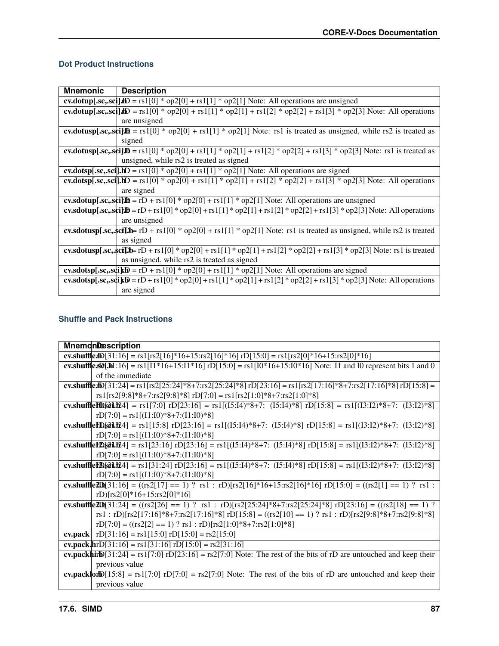#### **Dot Product Instructions**

| <b>Mnemonic</b> | <b>Description</b>                                                                                                                 |
|-----------------|------------------------------------------------------------------------------------------------------------------------------------|
|                 | <b>cv.dotup[.sc,.sci].lD</b> = $rs1[0]$ * $op2[0]$ + $rs1[1]$ * $op2[1]$ Note: All operations are unsigned                         |
|                 | cv.dotup[.sc,.sci]Jb = rs1[0] * op2[0] + rs1[1] * op2[1] + rs1[2] * op2[2] + rs1[3] * op2[3] Note: All operations                  |
|                 | are unsigned                                                                                                                       |
|                 | cv.dotusp[.sc,.sci] $\mathbf{B} = rs1[0] * op2[0] + rs1[1] * op2[1]$ Note: rs1 is treated as unsigned, while rs2 is treated as     |
|                 | signed                                                                                                                             |
|                 | cv.dotusp[.sc,.sci] $\mathbf{D} = rs1[0] * op2[0] + rs1[1] * op2[1] + rs1[2] * op2[2] + rs1[3] * op2[3] Note: rs1 is treated as$   |
|                 | unsigned, while rs2 is treated as signed                                                                                           |
|                 | cv.dotsp[.sc,.sci].hD = $rs1[0]$ * $op2[0]$ + $rs1[1]$ * $op2[1]$ Note: All operations are signed                                  |
|                 | cv.dotsp[.sc,.sci].bD = $rs1[0]$ * $op2[0]$ + $rs1[1]$ * $op2[1]$ + $rs1[2]$ * $op2[2]$ + $rs1[3]$ * $op2[3]$ Note: All operations |
|                 | are signed                                                                                                                         |
|                 | cv.sdotup[.sc,.sci] $\mathbf{B} = rD + rsI[0] * op2[0] + rsI[1] * op2[1] Note: All operations are unsigned$                        |
|                 | cv.sdotup[.sc,.sci] $\mathbf{D} = rD + rsI[0] * op2[0] + rsI[1] * op2[1] + rsI[2] * op2[2] + rsI[3] * op2[3] Note: All operations$ |
|                 | are unsigned                                                                                                                       |
|                 | cv.sdotusp[.sc,.sci]D= $rD$ + $rsI[0]$ * $op2[0]$ + $rsI[1]$ * $op2[1]$ Note: $rsI$ is treated as unsigned, while $rs2$ is treated |
|                 | as signed                                                                                                                          |
|                 | cv.sdotusp[.sc,.sci]D= rD + rs1[0] * op2[0] + rs1[1] * op2[1] + rs1[2] * op2[2] + rs1[3] * op2[3] Note: rs1 is treated             |
|                 | as unsigned, while rs2 is treated as signed                                                                                        |
|                 | cv.sdotsp[.sc,.sdi]rD = rD + rs1[0] * op2[0] + rs1[1] * op2[1] Note: All operations are signed                                     |
|                 | cv.sdotsp[.sc,.sd]tD = rD + rs1[0] * op2[0] + rs1[1] * op2[1] + rs1[2] * op2[2] + rs1[3] * op2[3] Note: All operations             |
|                 | are signed                                                                                                                         |

#### **Shuffle and Pack Instructions**

| <b>MnemonDescription</b>                                                                                                     |
|------------------------------------------------------------------------------------------------------------------------------|
| cv.shuffledD[31:16] = rs1[rs2[16]*16+15:rs2[16]*16] rD[15:0] = rs1[rs2[0]*16+15:rs2[0]*16]                                   |
| cv.shufflex50j.hl:16] = $rs1[11*16+15:11*16]$ rD[15:0] = $rs1[10*16+15:10*16]$ Note: 11 and 10 represent bits 1 and 0        |
| of the immediate                                                                                                             |
| cv.shuffledD[31:24] = rs1[rs2[25:24]*8+7:rs2[25:24]*8] rD[23:16] = rs1[rs2[17:16]*8+7:rs2[17:16]*8] rD[15:8] =               |
| rs1[rs2[9:8]*8+7:rs2[9:8]*8] rD[7:0] = rs1[rs2[1:0]*8+7:rs2[1:0]*8]                                                          |
| cv.shuffleH0§81.b24] = rs1[7:0] rD[23:16] = rs1[(I5:I4)*8+7: (I5:I4)*8] rD[15:8] = rs1[(I3:I2)*8+7: (I3:I2)*8]               |
| $rD[7:0] = rs1[(11:10)*8+7:(11:10)*8]$                                                                                       |
| cv.shuffleID\$81.b24] = rs1[15:8] rD[23:16] = rs1[(I5:I4)*8+7: (I5:I4)*8] rD[15:8] = rs1[(I3:I2)*8+7: (I3:I2)*8]             |
| $rD[7:0] = rs1[(11:10)*8+7:(11:10)*8]$                                                                                       |
| cv.shuffleI2){81.124] = rs1[23:16] rD[23:16] = rs1[(I5:I4)*8+7: (I5:I4)*8] rD[15:8] = rs1[(I3:I2)*8+7: (I3:I2)*8]            |
| $rD[7:0] = rs1[(11:10)*8+7:(11:10)*8]$                                                                                       |
| cv.shuffleH\\\$di.h24] = rs1[31:24] rD[23:16] = rs1[(I5:I4)*8+7: (I5:I4)*8] rD[15:8] = rs1[(I3:I2)*8+7: (I3:I2)*8]           |
| $rD[7:0] = rs1[(11:10)*8+7:(11:10)*8]$                                                                                       |
| cv.shuffle2Dh[31:16] = ((rs2[17] == 1) ? rs1 : rD)[rs2[16]*16+15:rs2[16]*16] rD[15:0] = ((rs2[1] == 1) ? rs1 :               |
| rD)[rs2[0]*16+15:rs2[0]*16]                                                                                                  |
| cv.shuffle2Db[31:24] = ((rs2[26] == 1) ? rs1 : rD)[rs2[25:24]*8+7:rs2[25:24]*8] rD[23:16] = ((rs2[18] == 1) ?                |
| rs1:rD)[rs2[17:16]*8+7:rs2[17:16]*8] rD[15:8] = ((rs2[10] == 1) ? rs1:rD)[rs2[9:8]*8+7:rs2[9:8]*8]                           |
| $rD[7:0] = ((rs2[2] == 1) ? rs1 : rD)[rs2[1:0]*8+7:rs2[1:0]*8]$                                                              |
| cv.pack   $rD[31:16] = rs1[15:0]$ $rD[15:0] = rs2[15:0]$                                                                     |
| <b>cv.pack.hr</b> D[31:16] = $rs1[31:16]$ rD[15:0] = $rs2[31:16]$                                                            |
| <b>cv.packhird</b> [31:24] = $rs1[7:0]$ rD[23:16] = $rs2[7:0]$ Note: The rest of the bits of rD are untouched and keep their |
| previous value                                                                                                               |
| <b>cv.packlon</b> $D[15:8] = rs1[7:0]$ rD[7:0] = $rs2[7:0]$ Note: The rest of the bits of rD are untouched and keep their    |
| previous value                                                                                                               |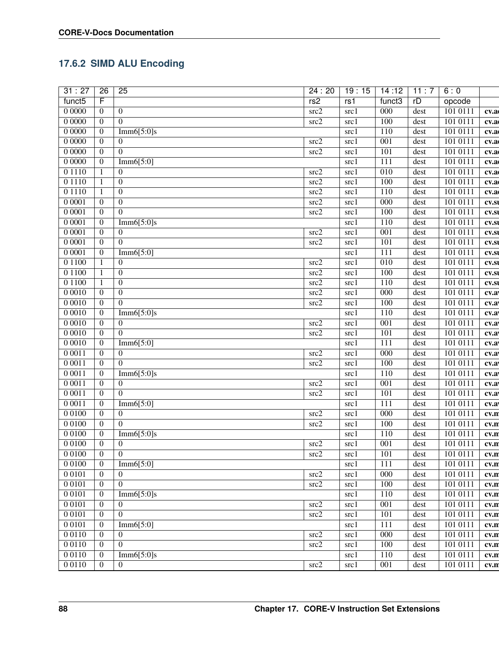## **17.6.2 SIMD ALU Encoding**

| 31:27              | $\overline{26}$  | $\overline{25}$  | 24:20                    | 19:15 | 14:12            | $\overline{11:7}$ | 6:0      |       |
|--------------------|------------------|------------------|--------------------------|-------|------------------|-------------------|----------|-------|
| funct <sub>5</sub> | F                |                  | rs2                      | rs1   | funct3           | rD                | opcode   |       |
| 00000              | $\boldsymbol{0}$ | $\boldsymbol{0}$ | src2                     | src1  | $\overline{000}$ | dest              | 101 0111 | cv.a  |
| 00000              | $\theta$         | $\theta$         | $\overline{\text{src2}}$ | src1  | 100              | dest              | 101 0111 | cv.a  |
| 00000              | $\boldsymbol{0}$ | Imm6[5:0]s       |                          | src1  | 110              | dest              | 101 0111 | cv.a  |
| 00000              | $\theta$         | $\theta$         | src2                     | src1  | $\overline{001}$ | dest              | 101 0111 | cv.a  |
| 00000              | $\boldsymbol{0}$ | $\theta$         | $\overline{\text{src2}}$ | src1  | 101              | dest              | 101 0111 | cv.a  |
| 00000              | $\boldsymbol{0}$ | Imm6[5:0]        |                          | src1  | 111              | dest              | 101 0111 | cv.a  |
| 0 1 1 1 0          | $\mathbf{1}$     | $\theta$         | src2                     | src1  | 010              | dest              | 101 0111 | cv.a  |
| 0 1 1 1 0          | $\mathbf{1}$     | $\boldsymbol{0}$ | src2                     | src1  | 100              | dest              | 101 0111 | cv.a  |
| 01110              | $\mathbf{1}$     | $\boldsymbol{0}$ | src2                     | src1  | 110              | dest              | 101 0111 | cv.a  |
| 0 0 0 0 1          | $\boldsymbol{0}$ | $\boldsymbol{0}$ | src2                     | src1  | $\overline{000}$ | dest              | 101 0111 |       |
| 0 0 0 0 1          | $\boldsymbol{0}$ | $\Omega$         | src2                     |       | 100              | dest              | 101 0111 | cv.s  |
|                    |                  |                  |                          | src1  | 110              |                   | 101 0111 | CV.SI |
| 0 0 0 0 1<br>00001 | $\boldsymbol{0}$ | Imm $6[5:0]$ s   |                          | src1  | $\overline{001}$ | dest              | 101 0111 | CV.SI |
|                    | $\boldsymbol{0}$ | $\boldsymbol{0}$ | src2                     | src1  |                  | dest              |          | CV.SI |
| 0 0 0 0 1          | $\boldsymbol{0}$ | $\overline{0}$   | $\overline{\text{src2}}$ | src1  | 101              | dest              | 101 0111 | CV.SI |
| 0 0 0 0 1          | $\boldsymbol{0}$ | Imm6[5:0]        |                          | src1  | 111              | dest              | 101 0111 | CV.SI |
| 0 1 1 0 0          | $\mathbf{1}$     | $\boldsymbol{0}$ | src2                     | src1  | $\overline{010}$ | dest              | 101 0111 | CV.SI |
| 0 1 1 0 0          | $\mathbf{1}$     | $\boldsymbol{0}$ | src2                     | src1  | 100              | dest              | 101 0111 | CV.SI |
| 0 1 1 0 0          | $\mathbf{1}$     | $\boldsymbol{0}$ | src2                     | src1  | 110              | dest              | 101 0111 | CV.SI |
| 00010              | $\mathbf{0}$     | $\boldsymbol{0}$ | src2                     | src1  | 000              | dest              | 101 0111 | cv.a  |
| 00010              | $\overline{0}$   | $\theta$         | src2                     | src1  | 100              | dest              | 101 0111 | cv.a  |
| 00010              | $\theta$         | Imm6[5:0]s       |                          | src1  | 110              | dest              | 101 0111 | cv.a  |
| 00010              | $\overline{0}$   | $\overline{0}$   | src2                     | src1  | 001              | dest              | 101 0111 | cv.a  |
| 00010              | $\boldsymbol{0}$ | $\Omega$         | $\overline{\text{src2}}$ | src1  | 101              | dest              | 101 0111 | cv.a  |
| 00010              | $\boldsymbol{0}$ | Imm6[5:0]        |                          | src1  | 111              | dest              | 101 0111 | cv.a  |
| 00011              | $\boldsymbol{0}$ | $\overline{0}$   | src2                     | src1  | 000              | dest              | 101 0111 | cv.a  |
| 00011              | $\overline{0}$   | $\overline{0}$   | src2                     | src1  | 100              | dest              | 101 0111 | cv.a  |
| 00011              | $\boldsymbol{0}$ | Imm6[5:0]s       |                          | src1  | 110              | dest              | 101 0111 | cv.a  |
| 0 0 0 1 1          | $\mathbf{0}$     | $\overline{0}$   | src2                     | src1  | $\overline{001}$ | dest              | 101 0111 | cv.a  |
| 00011              | $\overline{0}$   | $\Omega$         | src2                     | src1  | 101              | dest              | 101 0111 | cv.a  |
| 00011              | $\boldsymbol{0}$ | Imm6[5:0]        |                          | src1  | $\overline{111}$ | dest              | 101 0111 | cv.a  |
| 0 0 1 0 0          | $\boldsymbol{0}$ | $\overline{0}$   | src2                     | src1  | $\overline{000}$ | dest              | 101 0111 | cv.n  |
| 0 0 1 0 0          | $\boldsymbol{0}$ | $\Omega$         | $\overline{\text{src2}}$ | src1  | 100              | dest              | 101 0111 | cv.n  |
| 0 0 1 0 0          | $\boldsymbol{0}$ | Imm6[5:0]s       |                          | src1  | $\overline{110}$ | dest              | 101 0111 | cv.n  |
| 0 0 1 0 0          | $\boldsymbol{0}$ | $\boldsymbol{0}$ | src2                     | src1  | $\overline{001}$ | dest              | 101 0111 | cv.n  |
| 0 0 1 0 0          | $\mathbf{0}$     | $\boldsymbol{0}$ | src2                     | src1  | 101              | dest              | 101 0111 | cv.n  |
| 0 0 1 0 0          | $\overline{0}$   | Imm6[5:0]        |                          | src1  | 111              | dest              | 101 0111 | cv.n  |
| 00101              | $\overline{0}$   | $\overline{0}$   | src2                     | src1  | $\overline{000}$ | dest              | 101 0111 | cv.n  |
| 00101              | $\overline{0}$   | $\theta$         | src2                     | src1  | 100              | dest              | 101 0111 | cv.n  |
| 00101              | $\overline{0}$   | Imm $6[5:0]$ s   |                          | src1  | 110              | dest              | 101 0111 | cv.n  |
| 0 0 1 0 1          | $\mathbf{0}$     | $\overline{0}$   | src2                     | src1  | 001              | dest              | 101 0111 | cv.n  |
| 0 0 1 0 1          | $\overline{0}$   | $\Omega$         | src2                     | src1  | 101              | dest              | 101 0111 | cv.n  |
| 0 0 1 0 1          | $\overline{0}$   | Imm6[5:0]        |                          | src1  | 111              | dest              | 101 0111 | cv.n  |
| 00110              | $\overline{0}$   | $\overline{0}$   | src2                     | src1  | 000              | dest              | 101 0111 | cv.n  |
| 00110              | $\overline{0}$   | $\overline{0}$   | src2                     | src1  | 100              | dest              | 101 0111 | cv.n  |
| 0 0 1 1 0          | $\overline{0}$   | Imm $6[5:0]$ s   |                          | src1  | 110              | dest              | 101 0111 | cv.n  |
| 0 0 1 1 0          | $\overline{0}$   | $\Omega$         | src2                     | src1  | $\overline{001}$ | dest              | 101 0111 | cv.n  |
|                    |                  |                  |                          |       |                  |                   |          |       |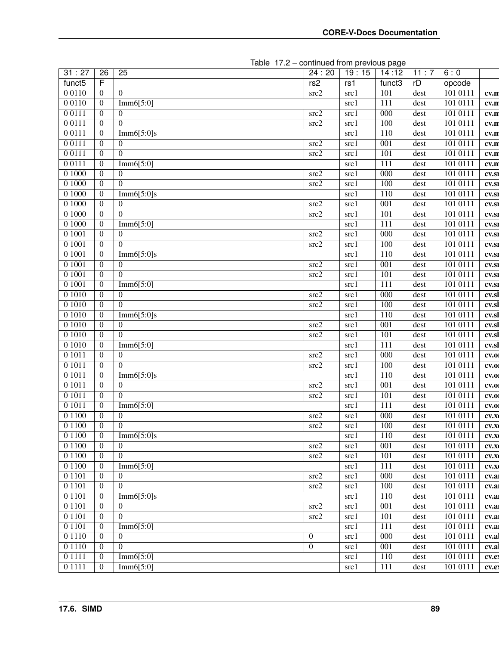|           |                  | $\mu$ and $\mu$ . $\mu$ - $\mu$ commuted from previous page |                   |       |                    |      |          |       |
|-----------|------------------|-------------------------------------------------------------|-------------------|-------|--------------------|------|----------|-------|
| 31:27     | $\overline{26}$  | $\overline{25}$                                             | 24:20             | 19:15 | 14:12              | 11:7 | 6:0      |       |
| funct5    | F                |                                                             | rs2               | rs1   | funct <sub>3</sub> | rD   | opcode   |       |
| 0 0 1 1 0 | $\overline{0}$   | $\overline{0}$                                              | src2              | src1  | 101                | dest | 101 0111 | cv.n  |
| 0 0 1 1 0 | $\boldsymbol{0}$ | Imm $6[5:0]$                                                |                   | src1  | 111                | dest | 101 0111 | cv.n  |
| 0 0 1 1 1 | $\boldsymbol{0}$ | $\overline{0}$                                              | src2              | src1  | $\overline{000}$   | dest | 101 0111 | cv.n  |
| 0 0 1 1 1 | $\boldsymbol{0}$ | $\overline{0}$                                              | $src\overline{2}$ | src1  | 100                | dest | 101 0111 | cv.n  |
| 00111     | $\boldsymbol{0}$ | Imm $6[5:0]$ s                                              |                   | src1  | 110                | dest | 101 0111 | cv.n  |
| 0 0 1 1 1 | $\overline{0}$   | 0                                                           | $src\overline{2}$ | src1  | 001                | dest | 101 0111 | cv.n  |
| 00111     | $\boldsymbol{0}$ | $\Omega$                                                    | src2              | src1  | 101                | dest | 101 0111 | cv.n  |
| 00111     | $\boldsymbol{0}$ | Imm6[5:0]                                                   |                   | src1  | 111                | dest | 101 0111 | cv.n  |
| 0 1000    | $\boldsymbol{0}$ | $\overline{0}$                                              | src2              | src1  | 000                | dest | 101 0111 | CV.SI |
| 0 1000    | $\boldsymbol{0}$ | $\Omega$                                                    | src2              | src1  | 100                | dest | 101 0111 | CV.SI |
| 0 1000    | $\boldsymbol{0}$ | Imm6[5:0]s                                                  |                   | src1  | 110                | dest | 101 0111 | CV.SI |
| 0 1000    | $\boldsymbol{0}$ | $\overline{0}$                                              | src2              | src1  | 001                | dest | 101 0111 | CV.SI |
| 0 1000    | $\boldsymbol{0}$ | $\overline{0}$                                              | src2              | src1  | 101                | dest | 101 0111 | CV.SI |
| 0 1000    | $\boldsymbol{0}$ | Imm6[5:0]                                                   |                   | src1  | 111                | dest | 101 0111 | CV.SI |
| 0 1001    | $\boldsymbol{0}$ | $\overline{0}$                                              | src2              | src1  | 000                | dest | 101 0111 | CV.SI |
| 0 1001    | $\boldsymbol{0}$ | $\Omega$                                                    | src2              | src1  | 100                | dest | 101 0111 | CV.SI |
| 0 1001    | $\boldsymbol{0}$ | Imm $6[5:0]$ s                                              |                   | src1  | 110                | dest | 101 0111 | CV.SI |
| 0 1001    | $\boldsymbol{0}$ | $\overline{0}$                                              | src2              | src1  | 001                | dest | 101 0111 | CV.SI |
| 0 1001    | $\boldsymbol{0}$ | $\Omega$                                                    | src2              | src1  | 101                | dest | 101 0111 | CV.SI |
| 0 1001    | $\boldsymbol{0}$ | Imm $6[5:0]$                                                |                   | src1  | 111                | dest | 101 0111 | CV.SI |
| 0 10 10   | $\boldsymbol{0}$ | $\overline{0}$                                              | src2              | src1  | $\overline{000}$   | dest | 101 0111 | cv.sl |
| 0 10 10   | $\boldsymbol{0}$ | $\Omega$                                                    | src2              | src1  | 100                | dest | 101 0111 | cv.sl |
| 0 10 10   | $\boldsymbol{0}$ | Imm $6[5:0]$ s                                              |                   | src1  | 110                | dest | 101 0111 | cv.sl |
| 0 10 10   | $\boldsymbol{0}$ | 0                                                           | src2              | src1  | 001                | dest | 101 0111 | cv.sl |
| 0 10 10   | $\boldsymbol{0}$ | $\Omega$                                                    | src2              | src1  | 101                | dest | 101 0111 | cv.sl |
| 0 10 10   | $\boldsymbol{0}$ | Imm6[5:0]                                                   |                   | src1  | 111                | dest | 101 0111 | cv.sl |
| 0 10 11   | $\boldsymbol{0}$ | $\overline{0}$                                              | src2              | src1  | 000                | dest | 101 0111 | CV.0  |
| 0 10 11   | $\boldsymbol{0}$ | $\Omega$                                                    | src2              | src1  | 100                | dest | 101 0111 | CV.0  |
| 0 10 11   | $\boldsymbol{0}$ | Imm $6[5:0]$ s                                              |                   | src1  | 110                | dest | 101 0111 | CV.0  |
| 0 10 11   | $\mathbf{0}$     | $\overline{0}$                                              | src2              | src1  | 001                | dest | 101 0111 | CV.0  |
| 0 10 11   | $\overline{0}$   | $\Omega$                                                    | src2              | src1  | 101                | dest | 101 0111 | CV.0  |
| 0 10 11   | $\boldsymbol{0}$ | Imm $6[5:0]$                                                |                   | src1  | 111                | dest | 101 0111 |       |
| 0 1 1 0 0 | $\boldsymbol{0}$ | $\boldsymbol{0}$                                            | $src\overline{2}$ | src1  | $\overline{000}$   | dest | 101 0111 | CV.0  |
| 0 1 1 0 0 | $\boldsymbol{0}$ | $\overline{0}$                                              | src2              | src1  | 100                | dest | 101 0111 | CV.X  |
| 0 1 1 0 0 | $\overline{0}$   | Imm $6[5:0]$ s                                              |                   | src1  | 110                | dest | 101 0111 | CV.X  |
| 0 1 1 0 0 |                  | $\overline{0}$                                              | src2              |       | 001                |      | 101 0111 | CV.X  |
|           | $\boldsymbol{0}$ | $\overline{0}$                                              |                   | src1  |                    | dest |          | CV.X  |
| 0 1 1 0 0 | $\boldsymbol{0}$ |                                                             | src2              | src1  | 101                | dest | 101 0111 | CV.X  |
| 0 1 1 0 0 | $\boldsymbol{0}$ | Imm6[5:0]                                                   |                   | src1  | 111                | dest | 101 0111 | CV.X  |
| 0 1 1 0 1 | $\boldsymbol{0}$ | 0                                                           | src2              | src1  | $\overline{000}$   | dest | 101 0111 | cv.a  |
| 0 1 1 0 1 | $\boldsymbol{0}$ | $\overline{0}$                                              | src2              | src1  | 100                | dest | 101 0111 | cv.a  |
| 0 1 1 0 1 | $\boldsymbol{0}$ | Imm6[5:0]s                                                  |                   | src1  | 110                | dest | 101 0111 | cv.a  |
| 0 1 1 0 1 | $\boldsymbol{0}$ | $\overline{0}$                                              | src2              | src1  | 001                | dest | 101 0111 | cv.a  |
| 0 1 1 0 1 | $\boldsymbol{0}$ | $\Omega$                                                    | $src\overline{2}$ | src1  | 101                | dest | 101 0111 | cv.a  |
| 0 1 1 0 1 | $\boldsymbol{0}$ | Imm6[5:0]                                                   |                   | src1  | 111                | dest | 101 0111 | cv.a  |
| 0 1 1 1 0 | $\boldsymbol{0}$ | $\overline{0}$                                              | $\boldsymbol{0}$  | src1  | 000                | dest | 101 0111 | cv.al |
| 0 1 1 1 0 | $\boldsymbol{0}$ | $\Omega$                                                    | $\boldsymbol{0}$  | src1  | 001                | dest | 101 0111 | cv.al |
| 0 1 1 1 1 | $\overline{0}$   | Imm $6[5:0]$                                                |                   | src1  | 110                | dest | 101 0111 | cv.e  |
| 0 1 1 1 1 | $\mathbf{0}$     | Imm6[5:0]                                                   |                   | src1  | 111                | dest | 101 0111 | cv.e  |

Table 17.2 – continued from previous page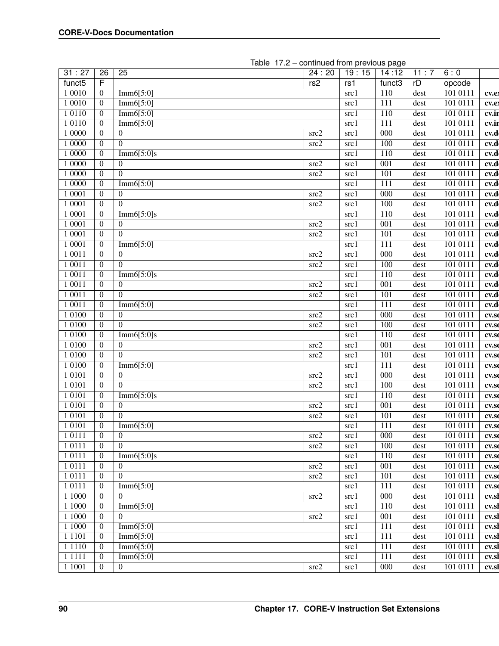| 31:27              | $\overline{26}$  | 25             | 24:20 | 19:15 | 14:12              | 11:7 | 6:0       |       |
|--------------------|------------------|----------------|-------|-------|--------------------|------|-----------|-------|
| funct <sub>5</sub> | F                |                | rs2   | rs1   | funct <sub>3</sub> | rD   | opcode    |       |
| 1 0 0 1 0          | $\boldsymbol{0}$ | Imm6[5:0]      |       | src1  | 110                | dest | 101 0111  | cv.ex |
| 1 0 0 1 0          | $\mathbf{0}$     | Imm6[5:0]      |       | src1  | 111                | dest | 101 0111  | cv.ex |
| 1 0 1 1 0          | $\mathbf{0}$     | Imm6[5:0]      |       | src1  | 110                | dest | 101 0111  | cv.ir |
| 1 0 1 1 0          | $\mathbf{0}$     | Imm6[5:0]      |       | src1  | 111                | dest | 101 0111  | cv.ir |
| 1 0000             | $\mathbf{0}$     | $\Omega$       | src2  | src1  | $\overline{000}$   | dest | 101 0111  | cv.d  |
| 1 0000             | $\mathbf{0}$     | $\overline{0}$ | src2  | src1  | 100                | dest | 101 0111  | cv.d  |
| 1 0000             | $\mathbf{0}$     | Imm6[5:0]s     |       | src1  | 110                | dest | 101 0111  | cv.d  |
| 1 0000             | $\overline{0}$   | $\overline{0}$ | src2  | src1  | $\overline{001}$   | dest | 101 0111  | cv.d  |
| 1 0000             | $\mathbf{0}$     | $\Omega$       | src2  | src1  | 101                | dest | 101 0111  | cv.d  |
| 1 0000             | $\overline{0}$   | Imm6[5:0]      |       | src1  | 111                | dest | 101 0111  | cv.d  |
| 1 0001             | $\mathbf{0}$     | $\overline{0}$ | src2  | src1  | 000                | dest | 101 0111  | cv.d  |
| 1 0001             | $\boldsymbol{0}$ | $\Omega$       | src2  | src1  | 100                | dest | 101 0111  | cv.d  |
| 1 0001             | $\overline{0}$   | Imm6[5:0]s     |       | src1  | 110                | dest | 101 0111  | cv.d  |
| 1 0001             | $\boldsymbol{0}$ | $\overline{0}$ | src2  | src1  | $\overline{001}$   | dest | 101 0111  | cv.d  |
| 1 0001             | $\overline{0}$   | $\overline{0}$ | src2  | src1  | 101                | dest | 101 0111  | cv.d  |
| 1 0001             | $\mathbf{0}$     | Imm6[5:0]      |       | src1  | 111                | dest | 1010111   | cv.d  |
| 1 0 0 1 1          | $\mathbf{0}$     | $\overline{0}$ | src2  | src1  | 000                | dest | 101 0111  | cv.d  |
| 1 0 0 1 1          | $\mathbf{0}$     | $\overline{0}$ | src2  | src1  | 100                | dest | 101 0111  | cv.d  |
| 1 0 0 1 1          | $\overline{0}$   | Imm6[5:0]s     |       | src1  | 110                | dest | 101 0111  | cv.d  |
| 1 0 0 1 1          | $\overline{0}$   | $\theta$       | src2  | src1  | 001                | dest | 101 0111  | cv.d  |
| 1 0 0 1 1          | $\overline{0}$   | $\Omega$       | src2  | src1  | 101                | dest | 101 0111  | cv.d  |
| 1 0 0 1 1          | $\mathbf{0}$     | Imm6[5:0]      |       | src1  | 111                | dest | 101 0111  | cv.d  |
| 1 0 1 0 0          | $\mathbf{0}$     | $\overline{0}$ | src2  | src1  | $\overline{000}$   | dest | 101 0111  | cv.so |
| 1 0 1 0 0          | $\overline{0}$   | $\theta$       | src2  | src1  | 100                | dest | 101 0111  | CV.St |
| 1 0 1 0 0          | $\mathbf{0}$     | Imm6[5:0]s     |       | src1  | 110                | dest | 101 0111  | CV.S  |
| 1 0 1 0 0          | $\mathbf{0}$     | $\overline{0}$ | src2  | src1  | $\overline{001}$   | dest | 101 01 11 | cv.so |
| 1 0 1 0 0          | $\overline{0}$   | $\Omega$       | src2  | src1  | 101                | dest | 101 0111  | CV.S  |
| 1 0 1 0 0          | $\mathbf{0}$     | Imm6[5:0]      |       | src1  | 111                | dest | 101 0111  | CV.S  |
| 1 0 1 0 1          | $\boldsymbol{0}$ | $\overline{0}$ | src2  | src1  | 000                | dest | 101 0111  | cv.so |
| 1 0 1 0 1          | $\boldsymbol{0}$ | $\Omega$       | src2  | src1  | 100                | dest | 101 0111  | CV.S  |
| 1 0 1 0 1          | $\boldsymbol{0}$ | Imm $6[5:0]$ s |       | src1  | 110                | dest | 101 0111  | CV.S  |
| 1 0 1 0 1          | $\boldsymbol{0}$ | $\overline{0}$ | src2  | src1  | $\overline{001}$   | dest | 101 0111  | CV.S  |
| 1 0 1 0 1          | $\mathbf{0}$     | $\theta$       | src2  | src1  | 101                | dest | 101 0111  | CV.S  |
| 1 0 1 0 1          | $\boldsymbol{0}$ | Imm6[5:0]      |       | src1  | 111                | dest | 101 0111  | cv.so |
| 1 0 1 1 1          | $\overline{0}$   | $\overline{0}$ | src2  | src 1 | 000                | dest | 101 0111  | CV.SC |
| 1 0 1 1 1          | $\mathbf{0}$     | $\overline{0}$ | src2  | src1  | 100                | dest | 101 0111  | CV.S  |
| 1 0 1 1 1          | $\mathbf{0}$     | Imm6[5:0]s     |       | src1  | 110                | dest | 101 0111  | CV.S  |
| 1 0 1 1 1          | $\overline{0}$   | $\overline{0}$ | src2  | src1  | 001                | dest | 101 0111  | CV.SO |
| 1 0 1 1 1          | $\boldsymbol{0}$ | $\overline{0}$ | src2  | src1  | 101                | dest | 101 0111  | CV.SO |
| 1 0 1 1 1          | $\overline{0}$   | Imm6[5:0]      |       | src1  | 111                | dest | 101 0111  | CV.S  |
| 1 1 0 0 0          | $\overline{0}$   | $\theta$       | src2  | src1  | $\overline{000}$   | dest | 101 0111  | cv.sl |
| 1 1 0 0 0          | $\overline{0}$   | Imm6[5:0]      |       | src1  | 110                | dest | 101 0111  | cv.sl |
| 1 1000             | $\overline{0}$   | $\Omega$       | src2  | src1  | $\overline{001}$   | dest | 101 0111  | cv.sl |
| 1 1000             | $\overline{0}$   | Imm6[5:0]      |       | src1  | $\overline{111}$   | dest | 101 0111  | cv.sl |
| 1 1 1 0 1          | $\overline{0}$   | Imm6[5:0]      |       | src1  | 111                | dest | 101 0111  | cv.sl |
| 1 1 1 1 1 0        | $\overline{0}$   | Imm6[5:0]      |       | src1  | 111                | dest | 101 0111  |       |
| 1 1 1 1 1          |                  | Imm $6[5:0]$   |       |       | 111                |      | 101 0111  | cv.sl |
|                    | $\mathbf{0}$     | $\Omega$       | src2  | src1  | 000                | dest | 101 0111  | cv.sl |
| 1 1 0 0 1          | $\mathbf{0}$     |                |       | src1  |                    | dest |           | cv.sl |

Table 17.2 – continued from previous page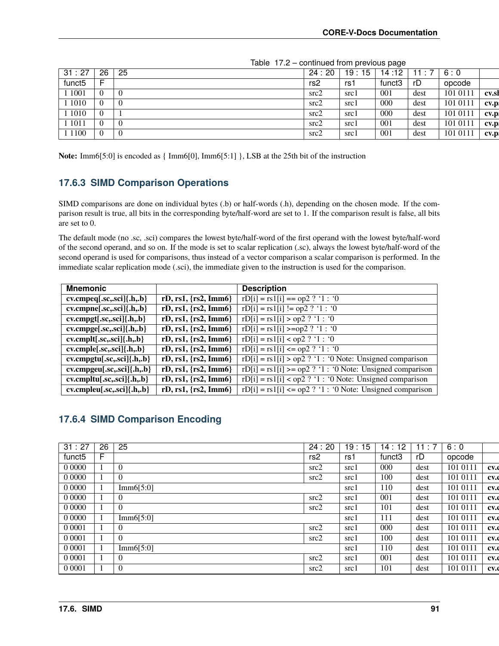| 31:27              | 26             | 25  | 24:20           | 19:15 | 14:12  |      | 6:0      |       |
|--------------------|----------------|-----|-----------------|-------|--------|------|----------|-------|
| funct <sub>5</sub> | F              |     | rs <sub>2</sub> | rs1   | funct3 | rD   | opcode   |       |
| 1001               | $\theta$       | - ს | src2            | src1  | 001    | dest | 101 0111 | cv.sl |
| $\overline{1010}$  | $\overline{0}$ |     | src2            | src1  | 000    | dest | 101 0111 | cv.p  |
| 1010               | $\overline{0}$ |     | src2            | src1  | 000    | dest | 101 0111 | cv.p  |
| 1011               | $\overline{0}$ |     | src2            | src1  | 001    | dest | 101 0111 | cv.p  |
| 1 1 1 0 0          | $\overline{0}$ |     | src2            | src l | 001    | dest | 101 0111 | cv.p  |

Table 17.2 – continued from previous page

**Note:** Imm6[5:0] is encoded as { Imm6[0], Imm6[5:1] }, LSB at the 25th bit of the instruction

### **17.6.3 SIMD Comparison Operations**

SIMD comparisons are done on individual bytes (.b) or half-words (.h), depending on the chosen mode. If the comparison result is true, all bits in the corresponding byte/half-word are set to 1. If the comparison result is false, all bits are set to 0.

The default mode (no .sc, .sci) compares the lowest byte/half-word of the first operand with the lowest byte/half-word of the second operand, and so on. If the mode is set to scalar replication (.sc), always the lowest byte/half-word of the second operand is used for comparisons, thus instead of a vector comparison a scalar comparison is performed. In the immediate scalar replication mode (.sci), the immediate given to the instruction is used for the comparison.

| <b>Mnemonic</b>                   |                                  | <b>Description</b>                                            |
|-----------------------------------|----------------------------------|---------------------------------------------------------------|
| $cv.cmpeq[.sc,.sci]{.h,b}$        | rD, rs1, $\{rs2, \text{Imm6}\}\$ | $rD[i] = rs1[i] == op2 ? '1 : '0$                             |
| $cv.cmpne[.sc,.sci]{.h, .b}$      | rD, rs1, $\{rs2, \text{Imm6}\}\$ | $rD[i] = rs1[i] := op2 ? '1 : '0$                             |
| $cv.cmpgt[.sc,.sci]{.h, b}$       | rD, rs1, $\{rs2, \text{Imm6}\}\$ | $rD[i] = rs1[i] > op2$ ? '1 : '0                              |
| $cv.cmpge[sc, sci]$ {.h,.b}       | rD, rs1, $\{rs2, \text{Imm6}\}\$ | $rD[i] = rs1[i] > = op2$ ? '1 : '0                            |
| $cv.cmplt[.sc,.sci]$ $\{.h.,b\}$  | $rD, rs1, \{rs2, Imm6\}$         | $rD[i] = rs1[i] < op2$ ? '1 : '0                              |
| $cv.cmple[.sc,.sci]$ $\{.h, .b\}$ | $rD, rs1, \{rs2, Imm6\}$         | $rD[i] = rs1[i] \leq op2$ ? '1 : '0                           |
| $cv.cmpgtu[.sc,.sci]{.h,.b}$      | rD, rs1, $\{rs2, \text{Imm6}\}\$ | $rD[i] = rs1[i] > op2$ ? '1 : '0 Note: Unsigned comparison    |
| $cv.cmpgeu[.sc,.sci]\{.h.,b\}$    | rD, rs1, $\{rs2, \text{Imm6}\}\$ | $rD[i] = rs1[i] >= op2$ ? '1 : '0 Note: Unsigned comparison   |
| $cv.cmpltu[.sc,.sci]{.h, .b}$     | rD, rs1, $\{rs2, \text{Imm6}\}\$ | $rD[i] = rs1[i] < op2$ ? '1 : '0 Note: Unsigned comparison    |
| $cv.cmpleu[.sc,.sci]\{.h.,b\}$    | rD, rs1, $\{rs2, \text{Imm6}\}\$ | $rD[i] = rs1[i] \leq op2$ ? '1 : '0 Note: Unsigned comparison |

### **17.6.4 SIMD Comparison Encoding**

| 25<br>31:27<br>26<br>19:15<br>24:20<br>11:7<br>6:0<br>14:12<br>F<br>rD<br>funct <sub>5</sub><br>funct3<br>rs2<br>opcode<br>rs1<br>$\Omega$<br>101 0111<br>src2<br>000<br>dest<br>src1<br>0 0000<br>$\Omega$<br>100<br>101 0111<br>src2<br>dest<br>src1<br>101 0111<br>Imm6[5:0]<br>110<br>dest<br>src1<br>001<br>101 0111<br>$\theta$<br>src2<br>dest<br>src1<br>$\Omega$<br>101<br>101 0111<br>src2<br>dest<br>src1<br>0 0000<br>101 0111<br>Imm6[5:0]<br>111<br>dest<br>src1<br>0 0 0 0 1<br>000<br>101 0111<br>$\Omega$<br>src2<br>dest<br>src1<br>0 0 0 0 1<br>$\theta$<br>100<br>101 0111<br>src2<br>dest<br>src1<br>0 0 0 0 1<br>Imm6[5:0]<br>101 0111<br>110<br>src1<br>dest<br>0 0 0 0 1<br>001<br>101 0111<br>$\Omega$<br>src2<br>dest<br>src1<br>$\Omega$<br>101 0111<br>0 0 0 0 1<br>101<br>src2<br>dest<br>src1 |  |  |  |  |      |
|-----------------------------------------------------------------------------------------------------------------------------------------------------------------------------------------------------------------------------------------------------------------------------------------------------------------------------------------------------------------------------------------------------------------------------------------------------------------------------------------------------------------------------------------------------------------------------------------------------------------------------------------------------------------------------------------------------------------------------------------------------------------------------------------------------------------------------|--|--|--|--|------|
|                                                                                                                                                                                                                                                                                                                                                                                                                                                                                                                                                                                                                                                                                                                                                                                                                             |  |  |  |  |      |
|                                                                                                                                                                                                                                                                                                                                                                                                                                                                                                                                                                                                                                                                                                                                                                                                                             |  |  |  |  |      |
|                                                                                                                                                                                                                                                                                                                                                                                                                                                                                                                                                                                                                                                                                                                                                                                                                             |  |  |  |  | CV.  |
|                                                                                                                                                                                                                                                                                                                                                                                                                                                                                                                                                                                                                                                                                                                                                                                                                             |  |  |  |  | CV.  |
|                                                                                                                                                                                                                                                                                                                                                                                                                                                                                                                                                                                                                                                                                                                                                                                                                             |  |  |  |  | CV.  |
|                                                                                                                                                                                                                                                                                                                                                                                                                                                                                                                                                                                                                                                                                                                                                                                                                             |  |  |  |  | CV.  |
|                                                                                                                                                                                                                                                                                                                                                                                                                                                                                                                                                                                                                                                                                                                                                                                                                             |  |  |  |  | CV.  |
|                                                                                                                                                                                                                                                                                                                                                                                                                                                                                                                                                                                                                                                                                                                                                                                                                             |  |  |  |  | CV.  |
|                                                                                                                                                                                                                                                                                                                                                                                                                                                                                                                                                                                                                                                                                                                                                                                                                             |  |  |  |  | CV.  |
|                                                                                                                                                                                                                                                                                                                                                                                                                                                                                                                                                                                                                                                                                                                                                                                                                             |  |  |  |  | CV.  |
|                                                                                                                                                                                                                                                                                                                                                                                                                                                                                                                                                                                                                                                                                                                                                                                                                             |  |  |  |  | cv.d |
|                                                                                                                                                                                                                                                                                                                                                                                                                                                                                                                                                                                                                                                                                                                                                                                                                             |  |  |  |  | CV.  |
|                                                                                                                                                                                                                                                                                                                                                                                                                                                                                                                                                                                                                                                                                                                                                                                                                             |  |  |  |  | CV.  |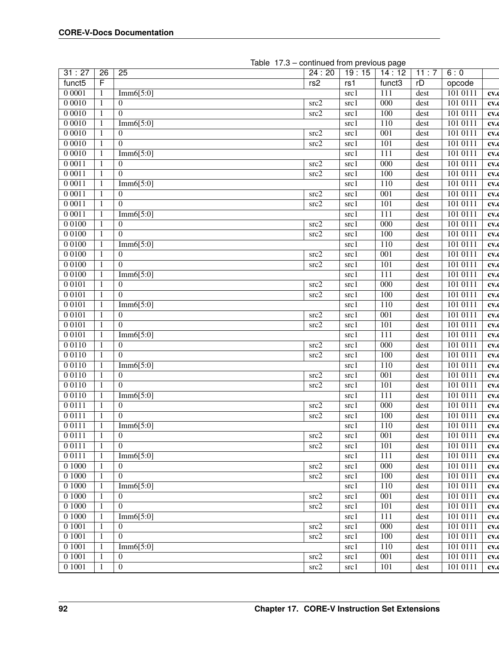| 31:27              | 26           | $\overline{25}$ | 24:20 | 19:15 | 14:12              | 11:7 | 6:0      |      |
|--------------------|--------------|-----------------|-------|-------|--------------------|------|----------|------|
| funct <sub>5</sub> | F            |                 | rs2   | rs1   | funct <sub>3</sub> | rD   | opcode   |      |
| 0 0 0 0 1          | 1            | Imm6[5:0]       |       | src1  | 111                | dest | 101 0111 | cv.o |
| 00010              | 1            | $\Omega$        | src2  | src1  | $\overline{000}$   | dest | 101 0111 | cv.  |
| 00010              |              | $\theta$        | src2  | src1  | 100                | dest | 101 0111 | cv.  |
| 00010              | 1            | Imm6[5:0]       |       | src1  | 110                | dest | 101 0111 | cv.  |
| 00010              |              | $\theta$        | src2  | src1  | $\overline{001}$   | dest | 101 0111 | cv.  |
| 00010              |              | $\Omega$        | src2  | src1  | 101                | dest | 101 0111 | cv.o |
| 00010              | 1            | Imm6[5:0]       |       | src1  | 111                | dest | 101 0111 | cv.o |
| 00011              | 1            | $\overline{0}$  | src2  | src1  | 000                | dest | 101 0111 | cv.  |
| 00011              | 1            | $\theta$        | src2  | src1  | 100                | dest | 101 0111 | cv.  |
| 00011              | 1            | Imm $6[5:0]$    |       | src1  | 110                | dest | 101 0111 | cv.d |
| 00011              | 1            | $\overline{0}$  | src2  | src1  | $\overline{001}$   | dest | 101 0111 | cv.o |
| 00011              | 1            | $\overline{0}$  | src2  | src1  | 101                | dest | 101 0111 | cv.o |
| 00011              | 1            | Imm $6[5:0]$    |       | src1  | 111                | dest | 101 0111 | cv.o |
| 00100              | 1            | $\overline{0}$  | src2  | src1  | 000                | dest | 101 0111 | cv.o |
| 00100              | $\mathbf{1}$ | $\overline{0}$  | src2  | src1  | 100                | dest | 101 0111 | cv.o |
| 0 0 1 0 0          | $\mathbf{1}$ | Imm6[5:0]       |       | src1  | 110                | dest | 101 0111 | cv.o |
| 0 0 1 0 0          | $\mathbf{1}$ | $\overline{0}$  | src2  | src1  | $\overline{001}$   | dest | 101 0111 | cv.  |
| 0 0 1 0 0          | 1            | $\theta$        | src2  | src1  | 101                | dest | 101 0111 | cv.  |
| 0 0 1 0 0          |              | Imm6[5:0]       |       | src1  | 111                | dest | 101 0111 | cv.  |
| 00101              | 1            | $\Omega$        | src2  | src1  | $\overline{000}$   | dest | 101 0111 | cv.  |
| 00101              | 1            | $\theta$        | src2  | src1  | 100                | dest | 101 0111 | cv.  |
| 00101              |              | Imm6[5:0]       |       | src1  | 110                | dest | 101 0111 | cv.  |
| 0 0 1 0 1          | 1            | $\overline{0}$  | src2  | src1  | $\overline{001}$   | dest | 101 0111 | cv.o |
| 00101              |              | $\Omega$        | src2  | src1  | 101                | dest | 101 0111 |      |
| 0 0 1 0 1          | 1            | Imm6[5:0]       |       | src1  | $\overline{111}$   |      | 101 0111 | cv.o |
| 00110              | 1            | $\theta$        | src2  |       | $\overline{000}$   | dest | 101 0111 | cv.d |
|                    | 1            | $\Omega$        |       | src1  |                    | dest |          | cv.o |
| 00110              | 1            |                 | src2  | src1  | 100                | dest | 101 0111 | cv.d |
| 0 0 1 1 0          | 1            | Imm6[5:0]       |       | src1  | 110                | dest | 101 0111 | cv.o |
| 0 0 1 1 0          | 1            | $\overline{0}$  | src2  | src1  | $\overline{001}$   | dest | 101 0111 | cv.o |
| 0 0 1 1 0          | 1            | $\theta$        | src2  | src1  | 101                | dest | 101 0111 | cv.o |
| 00110              | 1            | Imm6[5:0]       |       | src1  | 111                | dest | 101 0111 | cv.o |
| 00111              | $\mathbf{1}$ | $\overline{0}$  | src2  | src1  | 000                | dest | 101 0111 | cv.o |
| 00111              | 1            | $\overline{0}$  | src2  | src1  | 100                | dest | 101 0111 | cv.o |
| 0 0 1 1 1          | $\mathbf{1}$ | Imm6[5:0]       |       | src1  | 110                | dest | 101 0111 | cv.o |
| 0 0 1 1 1          | $\perp$      | $\theta$        | src2  | src1  | 001                | dest | 101 0111 | cv.o |
| 00111              | 1            | $\Omega$        | src2  | src1  | 101                | dest | 101 0111 | cv.d |
| 0 0 1 1 1          | 1            | Imm6[5:0]       |       | src1  | 111                | dest | 101 0111 | cv.o |
| 0 1000             | 1            | $\overline{0}$  | src2  | src1  | $\overline{000}$   | dest | 101 0111 | cv.o |
| 0 1000             | 1            | $\theta$        | src2  | src1  | 100                | dest | 101 0111 | cv.o |
| 0 1000             | 1            | Imm6[5:0]       |       | src1  | 110                | dest | 101 0111 | cv.o |
| 0 1000             |              | $\overline{0}$  | src2  | src1  | 001                | dest | 101 0111 | cv.  |
| 0 1000             | 1            | $\overline{0}$  | src2  | src1  | 101                | dest | 101 0111 | cv.o |
| 0 1000             | 1            | Imm6[5:0]       |       | src1  | $\overline{111}$   | dest | 101 0111 | cv.o |
| 0 1001             | 1            | $\overline{0}$  | src2  | src1  | $\overline{000}$   | dest | 101 0111 | cv.o |
| 0 1001             | 1            | $\overline{0}$  | src2  | src1  | 100                | dest | 101 0111 | cv.  |
| 0 1001             | 1            | Imm $6[5:0]$    |       | src1  | 110                | dest | 101 0111 | cv.o |
| 0 1001             | 1            | $\overline{0}$  | src2  | src1  | 001                | dest | 101 0111 | cv.o |
| 0 1001             | 1            | $\overline{0}$  | src2  | src1  | 101                | dest | 101 0111 | cv.o |

Table 17.3 – continued from previous page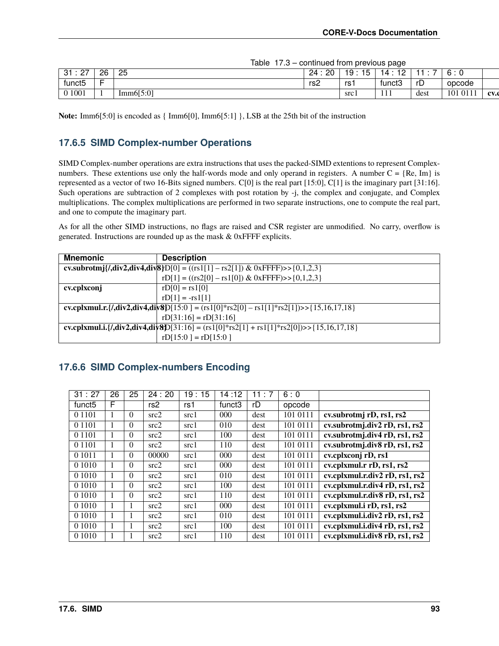|  |  | Table 17.3 - continued from previous page |  |  |  |
|--|--|-------------------------------------------|--|--|--|
|--|--|-------------------------------------------|--|--|--|

|                                  |      |           |                      |                                   | _                  |      |             |      |
|----------------------------------|------|-----------|----------------------|-----------------------------------|--------------------|------|-------------|------|
| - 27<br>- 04<br>ັບ I<br><u>_</u> | 26   | 25        | 20<br>24<br><u>.</u> | 19.<br>$\cdot$ $-$<br>∽<br>ີ<br>. | $\sim$<br><u>_</u> | -    |             |      |
| funct <sub>5</sub>               |      |           | rs2                  | rs .                              | funct3             | rD   | opcode      |      |
| 01001                            | - 11 | Imm6[5:0] |                      | $src_1$                           | - 4<br><b>TTT</b>  | dest | 0111<br>101 | CV.C |

**Note:** Imm6[5:0] is encoded as { $Imm6[0], Imm6[5:1]$ }, LSB at the 25th bit of the instruction

### **17.6.5 SIMD Complex-number Operations**

SIMD Complex-number operations are extra instructions that uses the packed-SIMD extentions to represent Complexnumbers. These extentions use only the half-words mode and only operand in registers. A number  $C = \{Re, Im\}$  is represented as a vector of two 16-Bits signed numbers. C[0] is the real part [15:0], C[1] is the imaginary part [31:16]. Such operations are subtraction of 2 complexes with post rotation by -j, the complex and conjugate, and Complex multiplications. The complex multiplications are performed in two separate instructions, one to compute the real part, and one to compute the imaginary part.

As for all the other SIMD instructions, no flags are raised and CSR register are unmodified. No carry, overflow is generated. Instructions are rounded up as the mask & 0xFFFF explicits.

| <b>Mnemonic</b>                                                                                | <b>Description</b>                                                                       |  |  |  |  |  |  |
|------------------------------------------------------------------------------------------------|------------------------------------------------------------------------------------------|--|--|--|--|--|--|
| cv.subrotmj{/,div2,div4,div8}D[0] = $((rs1[1] - rs2[1]) & 0 \times 0 \times FFFF) > (0,1,2,3)$ |                                                                                          |  |  |  |  |  |  |
|                                                                                                | $rD[1] = ((rs2[0] - rs1[0]) &$ 0xFFFF)>>{0,1,2,3}                                        |  |  |  |  |  |  |
| cv.cplxconj                                                                                    | $rD[0] = rs1[0]$                                                                         |  |  |  |  |  |  |
|                                                                                                | $rD[1] = -rS1[1]$                                                                        |  |  |  |  |  |  |
|                                                                                                | cv.cplxmul.r.{/,div2,div4,div8D[15:0 ] = (rs1[0]*rs2[0] - rs1[1]*rs2[1])>>{15,16,17,18}  |  |  |  |  |  |  |
|                                                                                                | $rD[31:16] = rD[31:16]$                                                                  |  |  |  |  |  |  |
|                                                                                                | cv.cplxmul.i.{/,div2,div4,div8}D[31:16] = (rs1[0]*rs2[1] + rs1[1]*rs2[0])>>{15,16,17,18} |  |  |  |  |  |  |
|                                                                                                | $rD[15:0] = rD[15:0]$                                                                    |  |  |  |  |  |  |

#### **17.6.6 SIMD Complex-numbers Encoding**

| 31:27              | 26 | 25       | 24:20           | 19:15 | 14:12    | 11:7 | 6:0      |                                                             |
|--------------------|----|----------|-----------------|-------|----------|------|----------|-------------------------------------------------------------|
| funct <sub>5</sub> | F  |          | rs <sub>2</sub> | rs1   | funct3   | rD   | opcode   |                                                             |
| 0 1 1 0 1          |    | 0        | src2            | src1  | $000 \,$ | dest | 101 0111 | cv.subrotmj rD, rs1, rs2                                    |
| 0 1 1 0 1          |    | 0        | src2            | src1  | 010      | dest | 101 0111 | cv.subrotmj.div2 rD, rs1, rs2                               |
| 0 1 1 0 1          | 1  | $\theta$ | src2            | src1  | 100      | dest | 101 0111 | cv.subrotmj.div4 rD, rs1, rs2                               |
| 0 1 1 0 1          |    | $\theta$ | src2            | src1  | 110      | dest | 101 0111 | cv.subrotmj.div8 rD, rs1, rs2                               |
| 0 1 0 1 1          |    | $\theta$ | 00000           | src1  | $000 \,$ | dest | 101 0111 | cv.cplxconj rD, rs1                                         |
| 0 1 0 1 0          |    | $\theta$ | src2            | src1  | 000      | dest | 101 0111 | $\overline{\text{cv.cplxmul.r rD}, \text{rs1}, \text{rs2}}$ |
| 0 1 0 1 0          |    | $\Omega$ | src2            | src1  | 010      | dest | 101 0111 | cv.cplxmul.r.div2 rD, rs1, rs2                              |
| 0 1 0 1 0          |    | $\Omega$ | src2            | src1  | 100      | dest | 101 0111 | cv.cplxmul.r.div4 rD, rs1, rs2                              |
| 0 1 0 1 0          |    | $\Omega$ | src2            | src1  | 110      | dest | 101 0111 | cv.cplxmul.r.div8 rD, rs1, rs2                              |
| 0 1 0 1 0          |    |          | src2            | src1  | 000      | dest | 101 0111 | cv.cplxmul.i rD, rs1, rs2                                   |
| 0 1 0 1 0          | 1  |          | src2            | src1  | 010      | dest | 101 0111 | cv.cplxmul.i.div2 rD, rs1, rs2                              |
| 0 1 0 1 0          |    |          | src2            | src1  | 100      | dest | 101 0111 | cv.cplxmul.i.div4 rD, rs1, rs2                              |
| 0 1 0 1 0          |    |          | src2            | src1  | 110      | dest | 101 0111 | cv.cplxmul.i.div8 rD, rs1, rs2                              |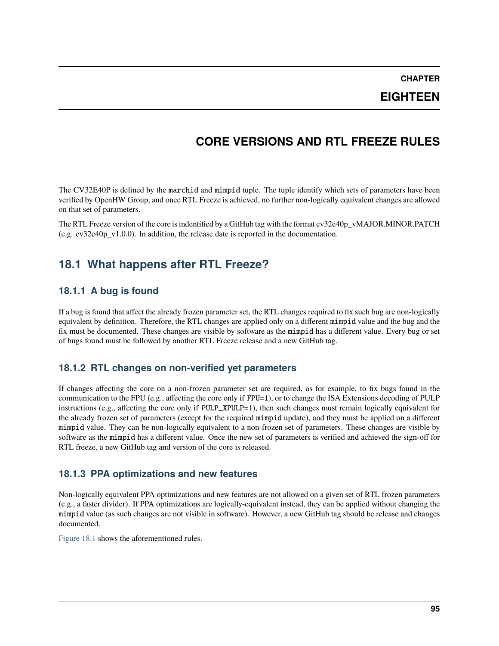**CHAPTER**

**EIGHTEEN**

## **CORE VERSIONS AND RTL FREEZE RULES**

The CV32E40P is defined by the marchid and mimpid tuple. The tuple identify which sets of parameters have been verified by OpenHW Group, and once RTL Freeze is achieved, no further non-logically equivalent changes are allowed on that set of parameters.

The RTL Freeze version of the core is indentified by a GitHub tag with the format cv32e40p\_vMAJOR.MINOR.PATCH (e.g.  $cv32e40p$  v1.0.0). In addition, the release date is reported in the documentation.

## **18.1 What happens after RTL Freeze?**

### **18.1.1 A bug is found**

If a bug is found that affect the already frozen parameter set, the RTL changes required to fix such bug are non-logically equivalent by definition. Therefore, the RTL changes are applied only on a different mimpid value and the bug and the fix must be documented. These changes are visible by software as the mimpid has a different value. Every bug or set of bugs found must be followed by another RTL Freeze release and a new GitHub tag.

#### **18.1.2 RTL changes on non-verified yet parameters**

If changes affecting the core on a non-frozen parameter set are required, as for example, to fix bugs found in the communication to the FPU (e.g., affecting the core only if FPU=1), or to change the ISA Extensions decoding of PULP instructions (e.g., affecting the core only if PULP\_XPULP=1), then such changes must remain logically equivalent for the already frozen set of parameters (except for the required mimpid update), and they must be applied on a different mimpid value. They can be non-logically equivalent to a non-frozen set of parameters. These changes are visible by software as the mimpid has a different value. Once the new set of parameters is verified and achieved the sign-off for RTL freeze, a new GitHub tag and version of the core is released.

#### **18.1.3 PPA optimizations and new features**

Non-logically equivalent PPA optimizations and new features are not allowed on a given set of RTL frozen parameters (e.g., a faster divider). If PPA optimizations are logically-equivalent instead, they can be applied without changing the mimpid value (as such changes are not visible in software). However, a new GitHub tag should be release and changes documented.

[Figure](#page-101-0) [18.1](#page-101-0) shows the aforementioned rules.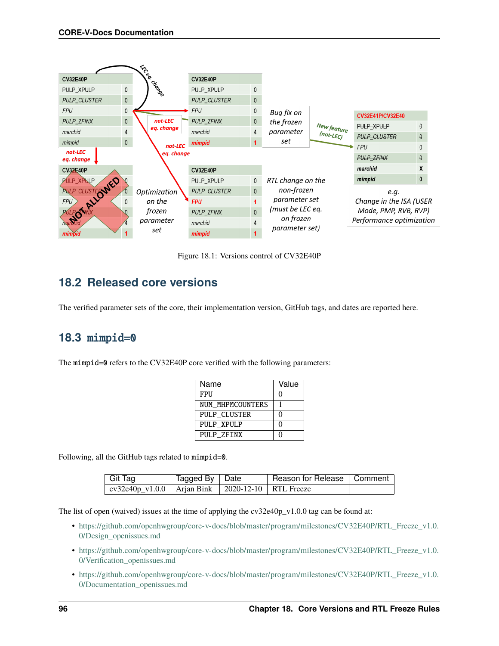<span id="page-101-0"></span>

|                       |                | ᡩ            |                     |                |                   |             |                          |          |  |
|-----------------------|----------------|--------------|---------------------|----------------|-------------------|-------------|--------------------------|----------|--|
| <b>CV32E40P</b>       |                |              | <b>CV32E40P</b>     |                |                   |             |                          |          |  |
| PULP_XPULP            | $\overline{0}$ | CROSOS       | PULP_XPULP          | $\mathbf{0}$   |                   |             |                          |          |  |
| <b>PULP CLUSTER</b>   | $\overline{0}$ |              | <b>PULP CLUSTER</b> | $\mathbf{0}$   |                   |             |                          |          |  |
| <b>FPU</b>            | 0              |              | <b>FPU</b>          | $\theta$       | Bug fix on        |             | CV32E41P/CV32E40         |          |  |
| PULP_ZFINX            | $\overline{0}$ | not-LEC      | PULP_ZFINX          | $\mathbf{0}$   | the frozen        |             |                          |          |  |
| marchid               | 4              | eg. change   | marchid             | $\overline{4}$ | parameter         | New feature | PULP XPULP               | $\theta$ |  |
|                       |                |              |                     |                |                   | (not-LEC)   | <b>PULP_CLUSTER</b>      | $\theta$ |  |
| mimpid                | $\overline{0}$ | not-LEC      | mimpid              |                | set               |             | FPU                      |          |  |
| not-LEC<br>eq. change |                | eg. change   |                     |                |                   |             | PULP ZFINX               | $\theta$ |  |
| <b>CV32E40P</b>       |                |              | <b>CV32E40P</b>     |                |                   |             | marchid                  |          |  |
| PULP XPULP            |                |              | PULP XPULP          | $\mathbf{0}$   | RTL change on the |             | mimpid                   | $\bf{0}$ |  |
| PULP_CLUSTEQWED       |                | Optimization | <b>PULP CLUSTER</b> | $\Omega$       | non-frozen        |             | e.q.                     |          |  |
|                       |                | on the       | <b>FPU</b>          |                | parameter set     |             | Change in the ISA (USER  |          |  |
|                       |                | frozen       | <b>PULP ZFINX</b>   | $\Omega$       | (must be LEC eq.  |             | Mode, PMP, RVB, RVP)     |          |  |
| <b>LPOW</b>           |                | parameter    | marchid             |                | on frozen         |             | Performance optimization |          |  |
| mimpid                |                | set          | mimpid              |                | parameter set)    |             |                          |          |  |

Figure 18.1: Versions control of CV32E40P

## **18.2 Released core versions**

The verified parameter sets of the core, their implementation version, GitHub tags, and dates are reported here.

### **18.3** mimpid=0

The mimpid=0 refers to the CV32E40P core verified with the following parameters:

| Name             | Value |
|------------------|-------|
| FPU              |       |
| NUM MHPMCOUNTERS |       |
| PULP_CLUSTER     |       |
| PULP XPULP       |       |
| PULP ZFINX       |       |

Following, all the GitHub tags related to mimpid=0.

| Git Tag                                                        | Tagged By   Date | Reason for Release   Comment |  |
|----------------------------------------------------------------|------------------|------------------------------|--|
| $\vert$ cv32e40p_v1.0.0   Arjan Bink   2020-12-10   RTL Freeze |                  |                              |  |

The list of open (waived) issues at the time of applying the  $cv32e40p_v1.0.0$  tag can be found at:

- [https://github.com/openhwgroup/core-v-docs/blob/master/program/milestones/CV32E40P/RTL\\_Freeze\\_v1.0.](https://github.com/openhwgroup/core-v-docs/blob/master/program/milestones/CV32E40P/RTL_Freeze_v1.0.0/Design_openissues.md) [0/Design\\_openissues.md](https://github.com/openhwgroup/core-v-docs/blob/master/program/milestones/CV32E40P/RTL_Freeze_v1.0.0/Design_openissues.md)
- [https://github.com/openhwgroup/core-v-docs/blob/master/program/milestones/CV32E40P/RTL\\_Freeze\\_v1.0.](https://github.com/openhwgroup/core-v-docs/blob/master/program/milestones/CV32E40P/RTL_Freeze_v1.0.0/Verification_openissues.md) [0/Verification\\_openissues.md](https://github.com/openhwgroup/core-v-docs/blob/master/program/milestones/CV32E40P/RTL_Freeze_v1.0.0/Verification_openissues.md)
- [https://github.com/openhwgroup/core-v-docs/blob/master/program/milestones/CV32E40P/RTL\\_Freeze\\_v1.0.](https://github.com/openhwgroup/core-v-docs/blob/master/program/milestones/CV32E40P/RTL_Freeze_v1.0.0/Documentation_openissues.md) [0/Documentation\\_openissues.md](https://github.com/openhwgroup/core-v-docs/blob/master/program/milestones/CV32E40P/RTL_Freeze_v1.0.0/Documentation_openissues.md)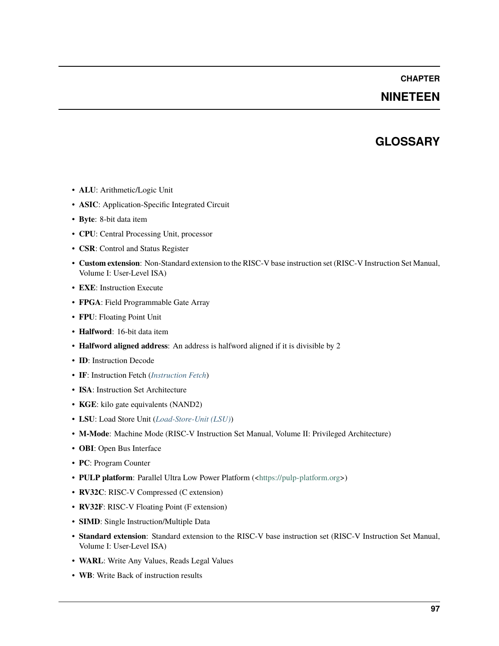#### **CHAPTER**

### **NINETEEN**

### **GLOSSARY**

- **ALU**: Arithmetic/Logic Unit
- **ASIC**: Application-Specific Integrated Circuit
- **Byte**: 8-bit data item
- **CPU**: Central Processing Unit, processor
- **CSR**: Control and Status Register
- **Custom extension**: Non-Standard extension to the RISC-V base instruction set (RISC-V Instruction Set Manual, Volume I: User-Level ISA)
- **EXE**: Instruction Execute
- **FPGA**: Field Programmable Gate Array
- **FPU**: Floating Point Unit
- **Halfword**: 16-bit data item
- **Halfword aligned address**: An address is halfword aligned if it is divisible by 2
- **ID**: Instruction Decode
- **IF**: Instruction Fetch (*[Instruction Fetch](#page-26-0)*)
- **ISA**: Instruction Set Architecture
- **KGE**: kilo gate equivalents (NAND2)
- **LSU**: Load Store Unit (*[Load-Store-Unit \(LSU\)](#page-28-0)*)
- **M-Mode**: Machine Mode (RISC-V Instruction Set Manual, Volume II: Privileged Architecture)
- **OBI**: Open Bus Interface
- **PC**: Program Counter
- **PULP platform**: Parallel Ultra Low Power Platform ([<https://pulp-platform.org>](https://pulp-platform.org))
- **RV32C**: RISC-V Compressed (C extension)
- **RV32F**: RISC-V Floating Point (F extension)
- **SIMD**: Single Instruction/Multiple Data
- **Standard extension**: Standard extension to the RISC-V base instruction set (RISC-V Instruction Set Manual, Volume I: User-Level ISA)
- **WARL**: Write Any Values, Reads Legal Values
- **WB**: Write Back of instruction results